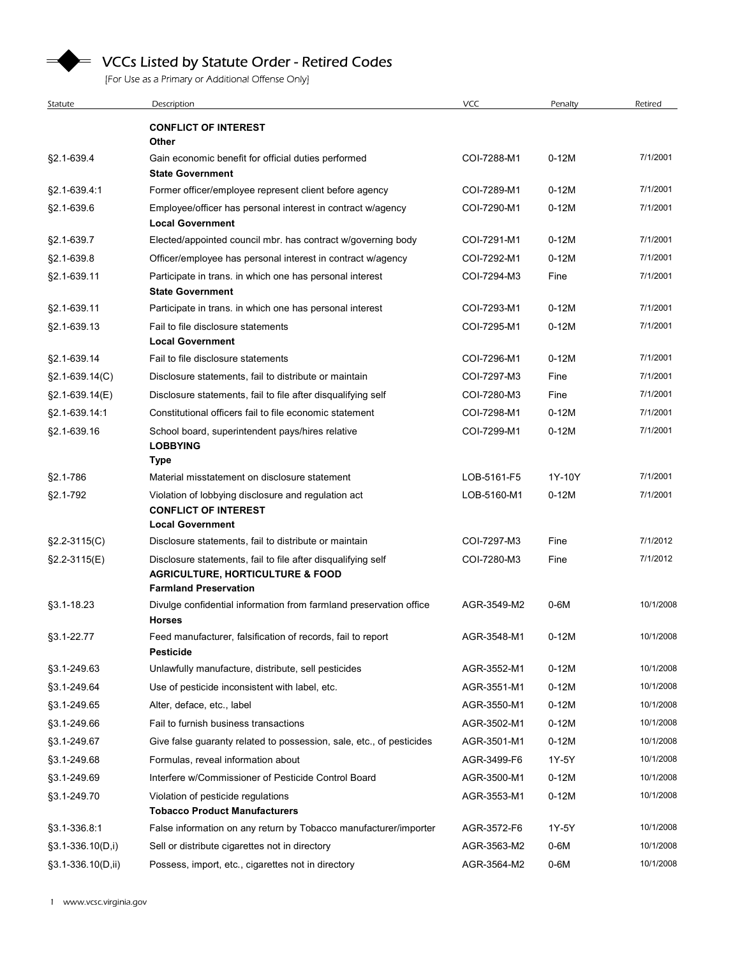## **VCCs Listed by Statute Order - Retired Codes**

|                                     | <b>VCCs Listed by Statute Order - Retired Codes</b>                                                                   |                            |                  |                        |
|-------------------------------------|-----------------------------------------------------------------------------------------------------------------------|----------------------------|------------------|------------------------|
|                                     |                                                                                                                       |                            |                  |                        |
|                                     | [For Use as a Primary or Additional Offense Only]                                                                     |                            |                  |                        |
| Statute                             | Description                                                                                                           | <b>VCC</b>                 | Penalty          | Retired                |
|                                     |                                                                                                                       |                            |                  |                        |
|                                     | <b>CONFLICT OF INTEREST</b><br>Other                                                                                  |                            |                  |                        |
| §2.1-639.4                          | Gain economic benefit for official duties performed<br><b>State Government</b>                                        | COI-7288-M1                | $0-12M$          | 7/1/2001               |
| §2.1-639.4:1                        | Former officer/employee represent client before agency                                                                | COI-7289-M1                | $0-12M$          | 7/1/2001               |
| §2.1-639.6                          | Employee/officer has personal interest in contract w/agency<br><b>Local Government</b>                                | COI-7290-M1                | $0-12M$          | 7/1/2001               |
| §2.1-639.7                          | Elected/appointed council mbr. has contract w/governing body                                                          | COI-7291-M1                | $0-12M$          | 7/1/2001               |
| §2.1-639.8                          | Officer/employee has personal interest in contract w/agency                                                           | COI-7292-M1                | $0-12M$          | 7/1/2001               |
| §2.1-639.11                         | Participate in trans. in which one has personal interest<br><b>State Government</b>                                   | COI-7294-M3                | Fine             | 7/1/2001               |
| §2.1-639.11                         | Participate in trans. in which one has personal interest                                                              | COI-7293-M1                | $0 - 12M$        | 7/1/2001               |
| §2.1-639.13                         | Fail to file disclosure statements<br><b>Local Government</b>                                                         | COI-7295-M1                | $0-12M$          | 7/1/2001               |
| $§2.1 - 639.14$                     | Fail to file disclosure statements                                                                                    | COI-7296-M1                | $0 - 12M$        | 7/1/2001               |
| $$2.1-639.14(C)$                    | Disclosure statements, fail to distribute or maintain                                                                 | COI-7297-M3                | Fine             | 7/1/2001               |
| §2.1-639.14(E)                      | Disclosure statements, fail to file after disqualifying self                                                          | COI-7280-M3                | Fine             | 7/1/2001               |
| §2.1-639.14:1                       | Constitutional officers fail to file economic statement                                                               | COI-7298-M1                | $0-12M$          | 7/1/2001               |
| §2.1-639.16                         | School board, superintendent pays/hires relative<br><b>LOBBYING</b><br>Type                                           | COI-7299-M1                | $0-12M$          | 7/1/2001               |
| §2.1-786                            | Material misstatement on disclosure statement                                                                         | LOB-5161-F5                | 1Y-10Y           | 7/1/2001               |
| §2.1-792                            | Violation of lobbying disclosure and regulation act<br><b>CONFLICT OF INTEREST</b>                                    | LOB-5160-M1                | $0-12M$          | 7/1/2001               |
|                                     | <b>Local Government</b>                                                                                               |                            |                  |                        |
| $$2.2-3115(C)$<br>$\S2.2 - 3115(E)$ | Disclosure statements, fail to distribute or maintain<br>Disclosure statements, fail to file after disqualifying self | COI-7297-M3<br>COI-7280-M3 | Fine<br>Fine     | 7/1/2012<br>7/1/2012   |
|                                     | <b>AGRICULTURE, HORTICULTURE &amp; FOOD</b><br><b>Farmland Preservation</b>                                           |                            |                  |                        |
| §3.1-18.23                          | Divulge confidential information from farmland preservation office<br><b>Horses</b>                                   | AGR-3549-M2                | 0-6M             | 10/1/2008              |
| §3.1-22.77                          | Feed manufacturer, falsification of records, fail to report<br>Pesticide                                              | AGR-3548-M1                | $0-12M$          | 10/1/2008              |
| §3.1-249.63                         | Unlawfully manufacture, distribute, sell pesticides                                                                   | AGR-3552-M1                | $0-12M$          | 10/1/2008              |
| §3.1-249.64                         | Use of pesticide inconsistent with label, etc.                                                                        | AGR-3551-M1                | $0-12M$          | 10/1/2008              |
| §3.1-249.65                         | Alter, deface, etc., label                                                                                            | AGR-3550-M1                | $0-12M$          | 10/1/2008              |
| §3.1-249.66                         | Fail to furnish business transactions                                                                                 | AGR-3502-M1                | $0-12M$          | 10/1/2008<br>10/1/2008 |
| §3.1-249.67<br>§3.1-249.68          | Give false guaranty related to possession, sale, etc., of pesticides<br>Formulas, reveal information about            | AGR-3501-M1<br>AGR-3499-F6 | $0-12M$<br>1Y-5Y | 10/1/2008              |
| §3.1-249.69                         | Interfere w/Commissioner of Pesticide Control Board                                                                   | AGR-3500-M1                | $0-12M$          | 10/1/2008              |
| §3.1-249.70                         | Violation of pesticide regulations<br><b>Tobacco Product Manufacturers</b>                                            | AGR-3553-M1                | $0-12M$          | 10/1/2008              |
| §3.1-336.8.1                        | False information on any return by Tobacco manufacturer/importer                                                      | AGR-3572-F6                | 1Y-5Y            | 10/1/2008              |
| §3.1-336.10(D,i)                    | Sell or distribute cigarettes not in directory                                                                        | AGR-3563-M2                | $0-6M$           | 10/1/2008              |
| $§3.1 - 336.10(D, ii)$              | Possess, import, etc., cigarettes not in directory                                                                    | AGR-3564-M2                | $0-6M$           | 10/1/2008              |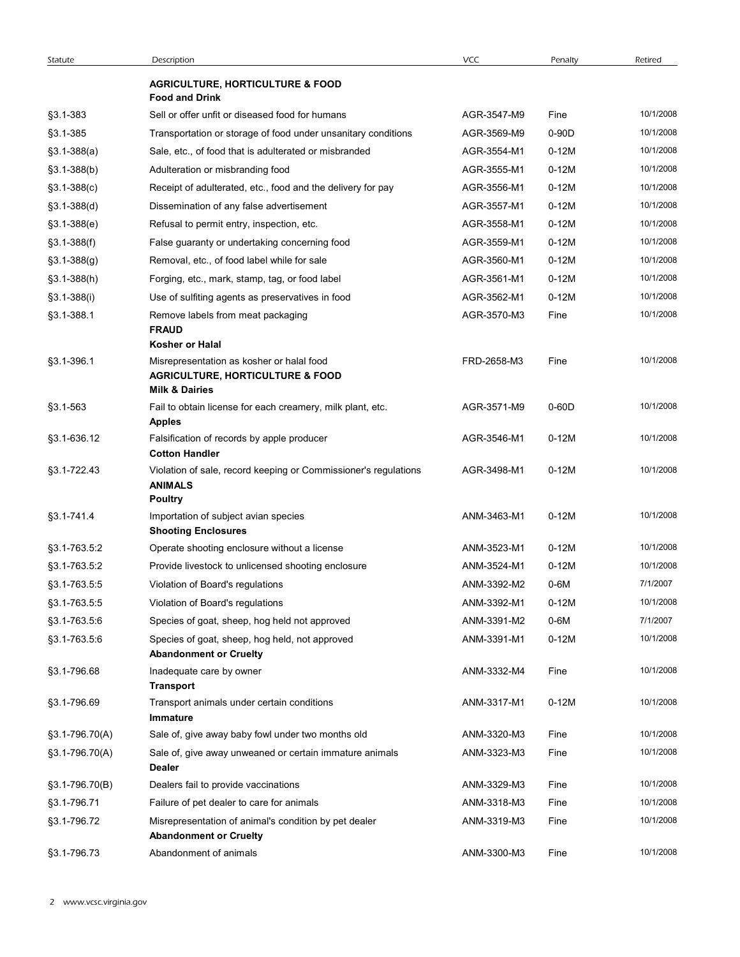| Statute            | Description                                                                                         | <b>VCC</b>  | Penalty | Retired   |
|--------------------|-----------------------------------------------------------------------------------------------------|-------------|---------|-----------|
|                    | <b>AGRICULTURE, HORTICULTURE &amp; FOOD</b><br><b>Food and Drink</b>                                |             |         |           |
| §3.1-383           | Sell or offer unfit or diseased food for humans                                                     | AGR-3547-M9 | Fine    | 10/1/2008 |
| §3.1-385           | Transportation or storage of food under unsanitary conditions                                       | AGR-3569-M9 | 0-90D   | 10/1/2008 |
| $$3.1-388(a)$      | Sale, etc., of food that is adulterated or misbranded                                               | AGR-3554-M1 | $0-12M$ | 10/1/2008 |
| $$3.1-388(b)$      | Adulteration or misbranding food                                                                    | AGR-3555-M1 | $0-12M$ | 10/1/2008 |
| $§3.1 - 388(c)$    | Receipt of adulterated, etc., food and the delivery for pay                                         | AGR-3556-M1 | $0-12M$ | 10/1/2008 |
| $$3.1-388(d)$      | Dissemination of any false advertisement                                                            | AGR-3557-M1 | $0-12M$ | 10/1/2008 |
| $\S3.1 - 388(e)$   | Refusal to permit entry, inspection, etc.                                                           | AGR-3558-M1 | $0-12M$ | 10/1/2008 |
| $$3.1-388(f)$      | False guaranty or undertaking concerning food                                                       | AGR-3559-M1 | $0-12M$ | 10/1/2008 |
| $$3.1 - 388(g)$    | Removal, etc., of food label while for sale                                                         | AGR-3560-M1 | $0-12M$ | 10/1/2008 |
| $§3.1 - 388(h)$    | Forging, etc., mark, stamp, tag, or food label                                                      | AGR-3561-M1 | $0-12M$ | 10/1/2008 |
| $$3.1 - 388(i)$    | Use of sulfiting agents as preservatives in food                                                    | AGR-3562-M1 | $0-12M$ | 10/1/2008 |
| §3.1-388.1         | Remove labels from meat packaging<br><b>FRAUD</b><br>Kosher or Halal                                | AGR-3570-M3 | Fine    | 10/1/2008 |
| §3.1-396.1         | Misrepresentation as kosher or halal food                                                           | FRD-2658-M3 | Fine    | 10/1/2008 |
|                    | <b>AGRICULTURE, HORTICULTURE &amp; FOOD</b><br><b>Milk &amp; Dairies</b>                            |             |         |           |
| §3.1-563           | Fail to obtain license for each creamery, milk plant, etc.<br><b>Apples</b>                         | AGR-3571-M9 | $0-60D$ | 10/1/2008 |
| §3.1-636.12        | Falsification of records by apple producer<br><b>Cotton Handler</b>                                 | AGR-3546-M1 | $0-12M$ | 10/1/2008 |
| §3.1-722.43        | Violation of sale, record keeping or Commissioner's regulations<br><b>ANIMALS</b><br><b>Poultry</b> | AGR-3498-M1 | $0-12M$ | 10/1/2008 |
| §3.1-741.4         | Importation of subject avian species<br><b>Shooting Enclosures</b>                                  | ANM-3463-M1 | $0-12M$ | 10/1/2008 |
| §3.1-763.5:2       | Operate shooting enclosure without a license                                                        | ANM-3523-M1 | $0-12M$ | 10/1/2008 |
| §3.1-763.5:2       | Provide livestock to unlicensed shooting enclosure                                                  | ANM-3524-M1 | $0-12M$ | 10/1/2008 |
| §3.1-763.5:5       | Violation of Board's regulations                                                                    | ANM-3392-M2 | 0-6M    | 7/1/2007  |
| §3.1-763.5:5       | Violation of Board's regulations                                                                    | ANM-3392-M1 | $0-12M$ | 10/1/2008 |
| §3.1-763.5:6       | Species of goat, sheep, hog held not approved                                                       | ANM-3391-M2 | 0-6M    | 7/1/2007  |
| §3.1-763.5:6       | Species of goat, sheep, hog held, not approved<br><b>Abandonment or Cruelty</b>                     | ANM-3391-M1 | $0-12M$ | 10/1/2008 |
| §3.1-796.68        | Inadequate care by owner<br><b>Transport</b>                                                        | ANM-3332-M4 | Fine    | 10/1/2008 |
| §3.1-796.69        | Transport animals under certain conditions<br>Immature                                              | ANM-3317-M1 | $0-12M$ | 10/1/2008 |
| §3.1-796.70(A)     | Sale of, give away baby fowl under two months old                                                   | ANM-3320-M3 | Fine    | 10/1/2008 |
| $§3.1 - 796.70(A)$ | Sale of, give away unweaned or certain immature animals<br><b>Dealer</b>                            | ANM-3323-M3 | Fine    | 10/1/2008 |
| §3.1-796.70(B)     | Dealers fail to provide vaccinations                                                                | ANM-3329-M3 | Fine    | 10/1/2008 |
| §3.1-796.71        | Failure of pet dealer to care for animals                                                           | ANM-3318-M3 | Fine    | 10/1/2008 |
| §3.1-796.72        | Misrepresentation of animal's condition by pet dealer<br><b>Abandonment or Cruelty</b>              | ANM-3319-M3 | Fine    | 10/1/2008 |
| §3.1-796.73        | Abandonment of animals                                                                              | ANM-3300-M3 | Fine    | 10/1/2008 |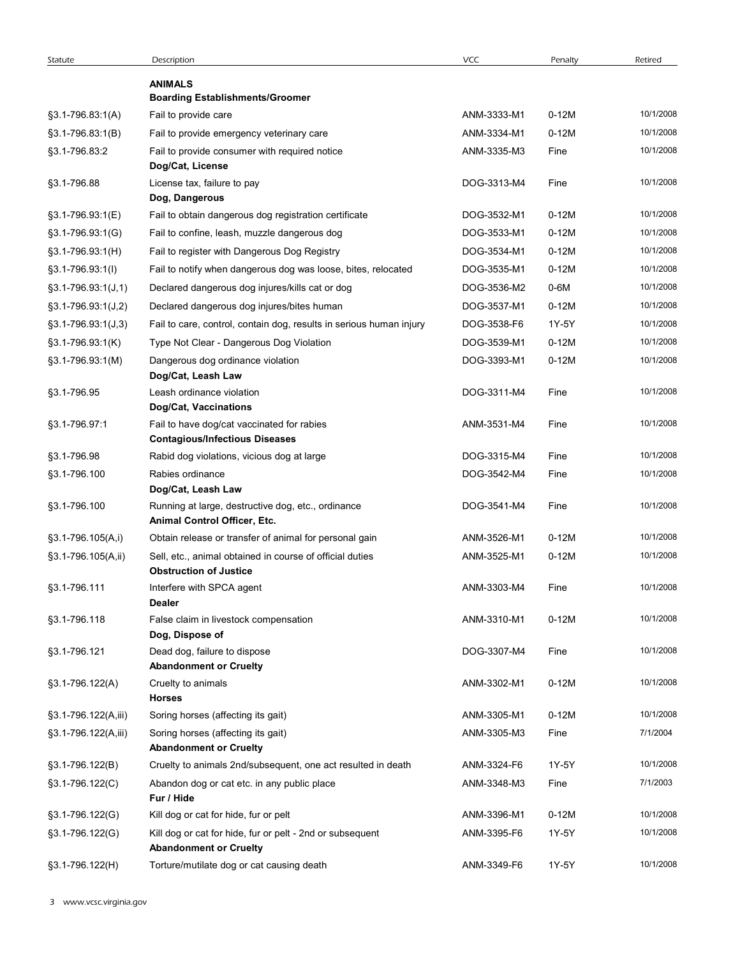| Statute                                      | Description                                                                                                 | VCC                        | Penalty            | Retired               |
|----------------------------------------------|-------------------------------------------------------------------------------------------------------------|----------------------------|--------------------|-----------------------|
|                                              | <b>ANIMALS</b>                                                                                              |                            |                    |                       |
|                                              | <b>Boarding Establishments/Groomer</b>                                                                      |                            |                    | 10/1/2008             |
| $§3.1 - 796.83:1(A)$<br>$§3.1 - 796.83:1(B)$ | Fail to provide care<br>Fail to provide emergency veterinary care                                           | ANM-3333-M1<br>ANM-3334-M1 | $0-12M$<br>$0-12M$ | 10/1/2008             |
| §3.1-796.83:2                                | Fail to provide consumer with required notice                                                               | ANM-3335-M3                | Fine               | 10/1/2008             |
|                                              | Dog/Cat, License                                                                                            |                            |                    |                       |
| §3.1-796.88                                  | License tax, failure to pay<br>Dog, Dangerous                                                               | DOG-3313-M4                | Fine               | 10/1/2008             |
| §3.1-796.93:1(E)                             | Fail to obtain dangerous dog registration certificate                                                       | DOG-3532-M1                | $0-12M$            | 10/1/2008             |
| §3.1-796.93:1(G)                             | Fail to confine, leash, muzzle dangerous dog                                                                | DOG-3533-M1                | $0-12M$            | 10/1/2008             |
| $\S3.1 - 796.93.1$ (H)                       | Fail to register with Dangerous Dog Registry                                                                | DOG-3534-M1                | $0-12M$            | 10/1/2008             |
| $$3.1 - 796.93.1$ (I)                        | Fail to notify when dangerous dog was loose, bites, relocated                                               | DOG-3535-M1                | $0-12M$            | 10/1/2008             |
| $\S3.1 - 796.93.1(J,1)$                      | Declared dangerous dog injures/kills cat or dog                                                             | DOG-3536-M2                | 0-6M               | 10/1/2008             |
| $\S3.1 - 796.93.1(J,2)$                      | Declared dangerous dog injures/bites human                                                                  | DOG-3537-M1                | $0-12M$            | 10/1/2008             |
| $\S3.1 - 796.93.1(J,3)$                      | Fail to care, control, contain dog, results in serious human injury                                         | DOG-3538-F6                | 1Y-5Y              | 10/1/2008             |
| §3.1-796.93.1(K)                             | Type Not Clear - Dangerous Dog Violation                                                                    | DOG-3539-M1                | $0-12M$            | 10/1/2008             |
| §3.1-796.93.1(M)                             | Dangerous dog ordinance violation<br>Dog/Cat, Leash Law                                                     | DOG-3393-M1                | $0-12M$            | 10/1/2008             |
| §3.1-796.95                                  | Leash ordinance violation<br>Dog/Cat, Vaccinations                                                          | DOG-3311-M4                | Fine               | 10/1/2008             |
| §3.1-796.97:1                                | Fail to have dog/cat vaccinated for rabies<br><b>Contagious/Infectious Diseases</b>                         | ANM-3531-M4                | Fine               | 10/1/2008             |
| §3.1-796.98                                  | Rabid dog violations, vicious dog at large                                                                  | DOG-3315-M4                | Fine               | 10/1/2008             |
| §3.1-796.100                                 | Rabies ordinance                                                                                            | DOG-3542-M4                | Fine               | 10/1/2008             |
|                                              | Dog/Cat, Leash Law                                                                                          |                            |                    |                       |
| §3.1-796.100                                 | Running at large, destructive dog, etc., ordinance<br>Animal Control Officer, Etc.                          | DOG-3541-M4                | Fine               | 10/1/2008             |
| §3.1-796.105(A,i)                            | Obtain release or transfer of animal for personal gain                                                      | ANM-3526-M1                | $0-12M$            | 10/1/2008             |
| §3.1-796.105(A,ii)                           | Sell, etc., animal obtained in course of official duties                                                    | ANM-3525-M1                | $0-12M$            | 10/1/2008             |
| §3.1-796.111                                 | <b>Obstruction of Justice</b><br>Interfere with SPCA agent                                                  | ANM-3303-M4                | Fine               | 10/1/2008             |
|                                              | <b>Dealer</b>                                                                                               |                            |                    |                       |
| §3.1-796.118                                 | False claim in livestock compensation<br>Dog, Dispose of                                                    | ANM-3310-M1                | $0-12M$            | 10/1/2008             |
| §3.1-796.121                                 | Dead dog, failure to dispose<br><b>Abandonment or Cruelty</b>                                               | DOG-3307-M4                | Fine               | 10/1/2008             |
| §3.1-796.122(A)                              | Cruelty to animals<br><b>Horses</b>                                                                         | ANM-3302-M1                | $0-12M$            | 10/1/2008             |
| §3.1-796.122(A,iii)                          | Soring horses (affecting its gait)                                                                          | ANM-3305-M1                | $0-12M$            | 10/1/2008             |
| §3.1-796.122(A,iii)                          | Soring horses (affecting its gait)                                                                          | ANM-3305-M3                | Fine               | 7/1/2004              |
|                                              | <b>Abandonment or Cruelty</b>                                                                               |                            |                    |                       |
| §3.1-796.122(B)<br>§3.1-796.122(C)           | Cruelty to animals 2nd/subsequent, one act resulted in death<br>Abandon dog or cat etc. in any public place | ANM-3324-F6<br>ANM-3348-M3 | 1Y-5Y<br>Fine      | 10/1/2008<br>7/1/2003 |
|                                              | Fur / Hide                                                                                                  |                            |                    |                       |
| §3.1-796.122(G)                              | Kill dog or cat for hide, fur or pelt                                                                       | ANM-3396-M1                | $0-12M$            | 10/1/2008             |
| §3.1-796.122(G)                              | Kill dog or cat for hide, fur or pelt - 2nd or subsequent<br><b>Abandonment or Cruelty</b>                  | ANM-3395-F6                | 1Y-5Y              | 10/1/2008             |
|                                              | Torture/mutilate dog or cat causing death                                                                   | ANM-3349-F6                | 1Y-5Y              | 10/1/2008             |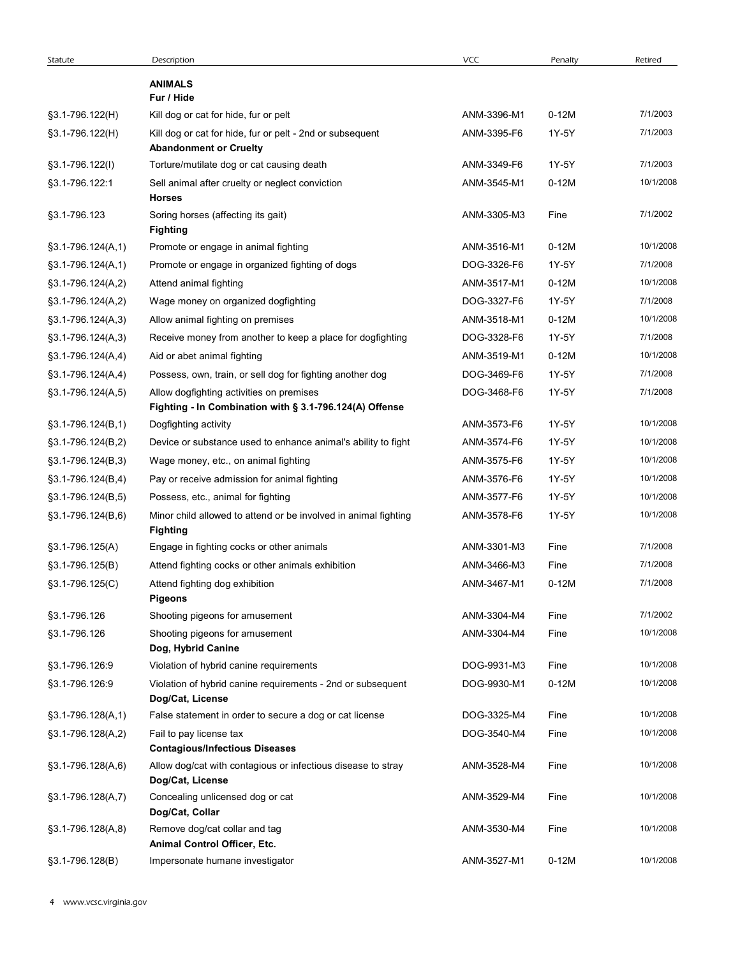| Statute                                       | Description<br><b>ANIMALS</b>                                                                                                              | <b>VCC</b>                 | Penalty         | Retired                |
|-----------------------------------------------|--------------------------------------------------------------------------------------------------------------------------------------------|----------------------------|-----------------|------------------------|
| §3.1-796.122(H)                               | Fur / Hide<br>Kill dog or cat for hide, fur or pelt                                                                                        | ANM-3396-M1                | $0-12M$         | 7/1/2003               |
| §3.1-796.122(H)                               | Kill dog or cat for hide, fur or pelt - 2nd or subsequent<br><b>Abandonment or Cruelty</b>                                                 | ANM-3395-F6                | 1Y-5Y           | 7/1/2003               |
| §3.1-796.122(I)                               | Torture/mutilate dog or cat causing death                                                                                                  | ANM-3349-F6                | 1Y-5Y           | 7/1/2003               |
| §3.1-796.122.1                                | Sell animal after cruelty or neglect conviction<br><b>Horses</b>                                                                           | ANM-3545-M1                | $0-12M$         | 10/1/2008              |
| §3.1-796.123                                  | Soring horses (affecting its gait)<br><b>Fighting</b>                                                                                      | ANM-3305-M3                | Fine            | 7/1/2002               |
| $§3.1 - 796.124(A,1)$                         | Promote or engage in animal fighting                                                                                                       | ANM-3516-M1                | $0-12M$         | 10/1/2008              |
| $§3.1 - 796.124(A,1)$                         | Promote or engage in organized fighting of dogs                                                                                            | DOG-3326-F6                | 1Y-5Y           | 7/1/2008               |
| $$3.1-796.124(A,2)$                           | Attend animal fighting                                                                                                                     | ANM-3517-M1                | $0-12M$         | 10/1/2008              |
| $§3.1 - 796.124(A,2)$                         | Wage money on organized dogfighting                                                                                                        | DOG-3327-F6                | 1Y-5Y           | 7/1/2008               |
| $§3.1 - 796.124(A,3)$                         | Allow animal fighting on premises                                                                                                          | ANM-3518-M1                | $0-12M$         | 10/1/2008              |
| §3.1-796.124(A,3)                             | Receive money from another to keep a place for dogfighting                                                                                 | DOG-3328-F6                | 1Y-5Y           | 7/1/2008               |
| §3.1-796.124(A,4)                             | Aid or abet animal fighting                                                                                                                | ANM-3519-M1                | $0-12M$         | 10/1/2008              |
| $$3.1-796.124(A,4)$                           | Possess, own, train, or sell dog for fighting another dog                                                                                  | DOG-3469-F6                | 1Y-5Y           | 7/1/2008               |
| §3.1-796.124(A,5)                             | Allow dogfighting activities on premises<br>Fighting - In Combination with § 3.1-796.124(A) Offense                                        | DOG-3468-F6                | 1Y-5Y           | 7/1/2008               |
| $§3.1 - 796.124(B,1)$                         | Dogfighting activity                                                                                                                       | ANM-3573-F6                | 1Y-5Y           | 10/1/2008              |
| §3.1-796.124(B,2)                             | Device or substance used to enhance animal's ability to fight                                                                              | ANM-3574-F6                | 1Y-5Y           | 10/1/2008              |
| §3.1-796.124(B,3)                             | Wage money, etc., on animal fighting                                                                                                       | ANM-3575-F6                | 1Y-5Y           | 10/1/2008              |
| §3.1-796.124(B,4)                             | Pay or receive admission for animal fighting                                                                                               | ANM-3576-F6                | 1Y-5Y           | 10/1/2008              |
| $§3.1 - 796.124(B,5)$                         | Possess, etc., animal for fighting                                                                                                         | ANM-3577-F6                | 1Y-5Y           | 10/1/2008              |
| $§3.1 - 796.124(B,6)$                         | Minor child allowed to attend or be involved in animal fighting<br><b>Fighting</b>                                                         | ANM-3578-F6                | 1Y-5Y           | 10/1/2008              |
| §3.1-796.125(A)                               | Engage in fighting cocks or other animals                                                                                                  | ANM-3301-M3                | Fine            | 7/1/2008               |
| §3.1-796.125(B)                               | Attend fighting cocks or other animals exhibition                                                                                          | ANM-3466-M3                | Fine            | 7/1/2008               |
| $$3.1-796.125(C)$                             | Attend fighting dog exhibition<br><b>Pigeons</b>                                                                                           | ANM-3467-M1                | $0-12M$         | 7/1/2008               |
| §3.1-796.126                                  | Shooting pigeons for amusement                                                                                                             | ANM-3304-M4                | Fine            | 7/1/2002               |
| §3.1-796.126                                  | Shooting pigeons for amusement<br>Dog, Hybrid Canine                                                                                       | ANM-3304-M4                | Fine            | 10/1/2008              |
| §3.1-796.126.9                                | Violation of hybrid canine requirements                                                                                                    | DOG-9931-M3                | Fine            | 10/1/2008              |
| §3.1-796.126.9<br>$§3.1 - 796.128(A,1)$       | Violation of hybrid canine requirements - 2nd or subsequent<br>Dog/Cat, License<br>False statement in order to secure a dog or cat license | DOG-9930-M1<br>DOG-3325-M4 | $0-12M$<br>Fine | 10/1/2008<br>10/1/2008 |
|                                               |                                                                                                                                            |                            |                 | 10/1/2008              |
| $$3.1-796.128(A,2)$<br>$§3.1 - 796.128(A, 6)$ | Fail to pay license tax<br><b>Contagious/Infectious Diseases</b><br>Allow dog/cat with contagious or infectious disease to stray           | DOG-3540-M4<br>ANM-3528-M4 | Fine<br>Fine    | 10/1/2008              |
| §3.1-796.128(A,7)                             | Dog/Cat, License<br>Concealing unlicensed dog or cat                                                                                       | ANM-3529-M4                | Fine            | 10/1/2008              |
| $§3.1 - 796.128(A, 8)$                        | Dog/Cat, Collar<br>Remove dog/cat collar and tag                                                                                           | ANM-3530-M4                | Fine            | 10/1/2008              |
|                                               | Animal Control Officer, Etc.                                                                                                               |                            |                 |                        |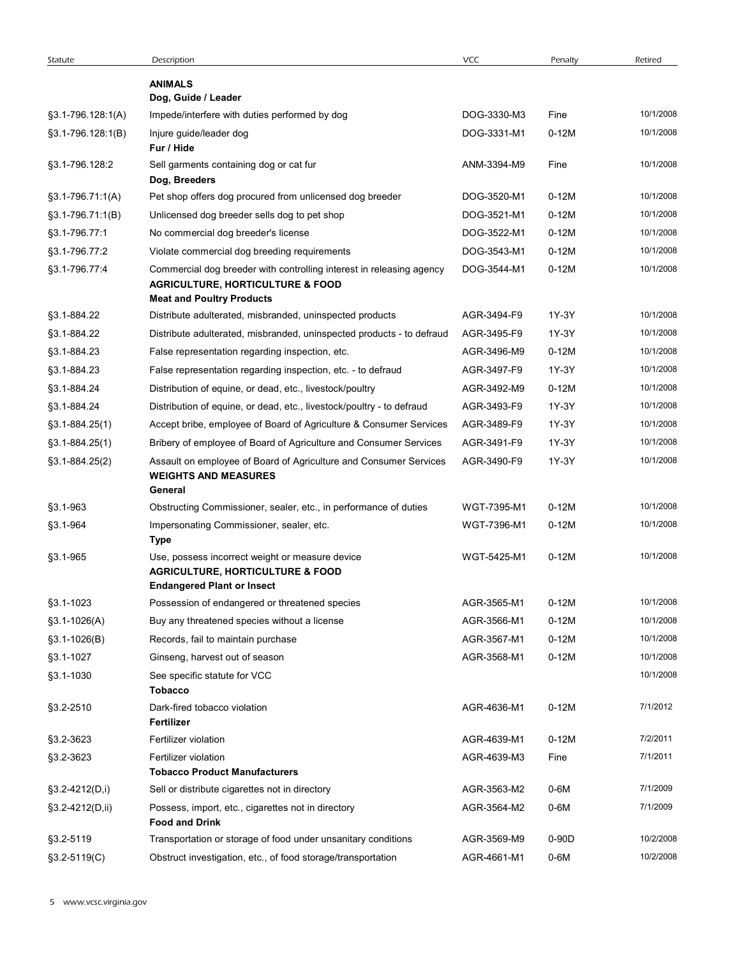| Statute              | Description                                                                                                                         | <b>VCC</b>  | Penalty | Retired   |
|----------------------|-------------------------------------------------------------------------------------------------------------------------------------|-------------|---------|-----------|
|                      | <b>ANIMALS</b><br>Dog, Guide / Leader                                                                                               |             |         |           |
| §3.1-796.128.1(A)    | Impede/interfere with duties performed by dog                                                                                       | DOG-3330-M3 | Fine    | 10/1/2008 |
| §3.1-796.128:1(B)    | Injure guide/leader dog<br>Fur / Hide                                                                                               | DOG-3331-M1 | $0-12M$ | 10/1/2008 |
| §3.1-796.128:2       | Sell garments containing dog or cat fur<br>Dog, Breeders                                                                            | ANM-3394-M9 | Fine    | 10/1/2008 |
| $$3.1-796.71:1(A)$   | Pet shop offers dog procured from unlicensed dog breeder                                                                            | DOG-3520-M1 | $0-12M$ | 10/1/2008 |
| $§3.1 - 796.71:1(B)$ | Unlicensed dog breeder sells dog to pet shop                                                                                        | DOG-3521-M1 | $0-12M$ | 10/1/2008 |
| §3.1-796.77:1        | No commercial dog breeder's license                                                                                                 | DOG-3522-M1 | $0-12M$ | 10/1/2008 |
| §3.1-796.77:2        |                                                                                                                                     | DOG-3543-M1 | $0-12M$ | 10/1/2008 |
| §3.1-796.77:4        | Violate commercial dog breeding requirements<br>Commercial dog breeder with controlling interest in releasing agency                | DOG-3544-M1 | $0-12M$ | 10/1/2008 |
|                      | <b>AGRICULTURE, HORTICULTURE &amp; FOOD</b><br><b>Meat and Poultry Products</b>                                                     |             |         |           |
| §3.1-884.22          | Distribute adulterated, misbranded, uninspected products                                                                            | AGR-3494-F9 | 1Y-3Y   | 10/1/2008 |
| §3.1-884.22          | Distribute adulterated, misbranded, uninspected products - to defraud                                                               | AGR-3495-F9 | 1Y-3Y   | 10/1/2008 |
| §3.1-884.23          | False representation regarding inspection, etc.                                                                                     | AGR-3496-M9 | $0-12M$ | 10/1/2008 |
| §3.1-884.23          | False representation regarding inspection, etc. - to defraud                                                                        | AGR-3497-F9 | 1Y-3Y   | 10/1/2008 |
| §3.1-884.24          | Distribution of equine, or dead, etc., livestock/poultry                                                                            | AGR-3492-M9 | $0-12M$ | 10/1/2008 |
| §3.1-884.24          | Distribution of equine, or dead, etc., livestock/poultry - to defraud                                                               | AGR-3493-F9 | 1Y-3Y   | 10/1/2008 |
| $$3.1-884.25(1)$     | Accept bribe, employee of Board of Agriculture & Consumer Services                                                                  | AGR-3489-F9 | 1Y-3Y   | 10/1/2008 |
| §3.1-884.25(1)       | Bribery of employee of Board of Agriculture and Consumer Services                                                                   | AGR-3491-F9 | 1Y-3Y   | 10/1/2008 |
| $§3.1 - 884.25(2)$   | Assault on employee of Board of Agriculture and Consumer Services                                                                   | AGR-3490-F9 | 1Y-3Y   | 10/1/2008 |
|                      | <b>WEIGHTS AND MEASURES</b><br>General                                                                                              |             |         |           |
| §3.1-963             | Obstructing Commissioner, sealer, etc., in performance of duties                                                                    | WGT-7395-M1 | $0-12M$ | 10/1/2008 |
| §3.1-964             | Impersonating Commissioner, sealer, etc.<br>Type                                                                                    | WGT-7396-M1 | $0-12M$ | 10/1/2008 |
| §3.1-965             | Use, possess incorrect weight or measure device<br><b>AGRICULTURE, HORTICULTURE &amp; FOOD</b><br><b>Endangered Plant or Insect</b> | WGT-5425-M1 | $0-12M$ | 10/1/2008 |
| §3.1-1023            | Possession of endangered or threatened species                                                                                      | AGR-3565-M1 | $0-12M$ | 10/1/2008 |
| $§3.1 - 1026(A)$     | Buy any threatened species without a license                                                                                        | AGR-3566-M1 | $0-12M$ | 10/1/2008 |
| $§3.1 - 1026(B)$     | Records, fail to maintain purchase                                                                                                  | AGR-3567-M1 | $0-12M$ | 10/1/2008 |
| §3.1-1027            | Ginseng, harvest out of season                                                                                                      | AGR-3568-M1 | $0-12M$ | 10/1/2008 |
| §3.1-1030            | See specific statute for VCC<br><b>Tobacco</b>                                                                                      |             |         | 10/1/2008 |
| §3.2-2510            | Dark-fired tobacco violation<br>Fertilizer                                                                                          | AGR-4636-M1 | $0-12M$ | 7/1/2012  |
| §3.2-3623            | Fertilizer violation                                                                                                                | AGR-4639-M1 | $0-12M$ | 7/2/2011  |
| §3.2-3623            | Fertilizer violation                                                                                                                | AGR-4639-M3 | Fine    | 7/1/2011  |
|                      | <b>Tobacco Product Manufacturers</b>                                                                                                |             |         |           |
| §3.2-4212(D,i)       | Sell or distribute cigarettes not in directory                                                                                      | AGR-3563-M2 | 0-6M    | 7/1/2009  |
| $$3.2-4212(D, ii)$   | Possess, import, etc., cigarettes not in directory<br><b>Food and Drink</b>                                                         | AGR-3564-M2 | $0-6M$  | 7/1/2009  |
| §3.2-5119            | Transportation or storage of food under unsanitary conditions                                                                       | AGR-3569-M9 | 0-90D   | 10/2/2008 |
|                      | Obstruct investigation, etc., of food storage/transportation                                                                        | AGR-4661-M1 | $0-6M$  | 10/2/2008 |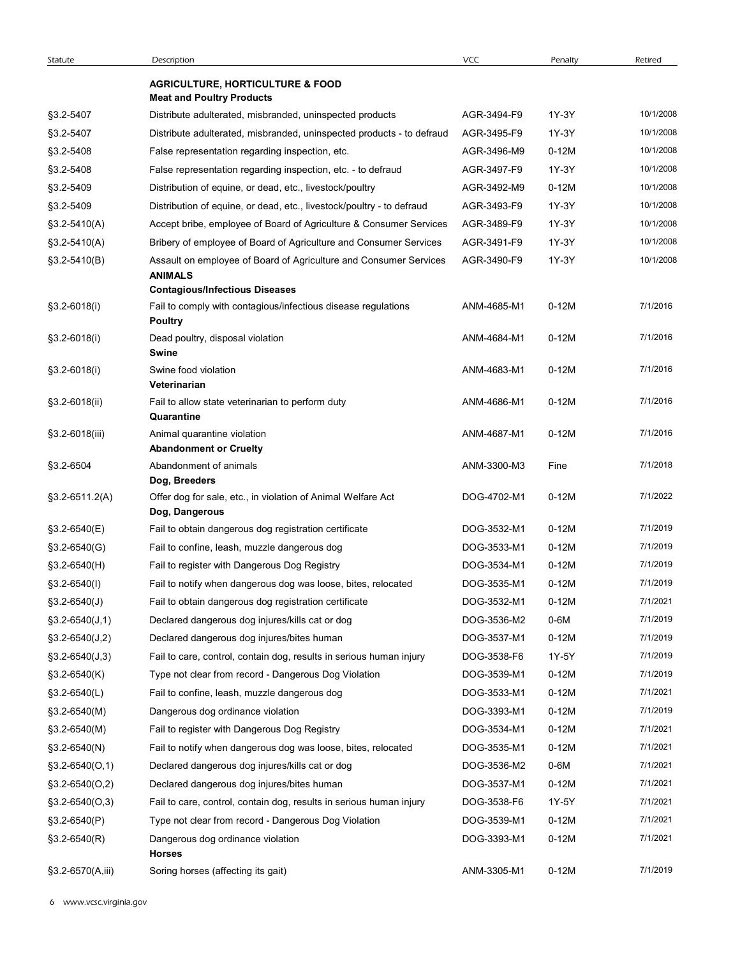| Statute             | Description                                                                                                                  | <b>VCC</b>  | Penalty | Retired   |
|---------------------|------------------------------------------------------------------------------------------------------------------------------|-------------|---------|-----------|
|                     | <b>AGRICULTURE, HORTICULTURE &amp; FOOD</b><br><b>Meat and Poultry Products</b>                                              |             |         |           |
| §3.2-5407           | Distribute adulterated, misbranded, uninspected products                                                                     | AGR-3494-F9 | 1Y-3Y   | 10/1/2008 |
| §3.2-5407           | Distribute adulterated, misbranded, uninspected products - to defraud                                                        | AGR-3495-F9 | 1Y-3Y   | 10/1/2008 |
| §3.2-5408           | False representation regarding inspection, etc.                                                                              | AGR-3496-M9 | $0-12M$ | 10/1/2008 |
| §3.2-5408           | False representation regarding inspection, etc. - to defraud                                                                 | AGR-3497-F9 | 1Y-3Y   | 10/1/2008 |
| §3.2-5409           | Distribution of equine, or dead, etc., livestock/poultry                                                                     | AGR-3492-M9 | $0-12M$ | 10/1/2008 |
| §3.2-5409           | Distribution of equine, or dead, etc., livestock/poultry - to defraud                                                        | AGR-3493-F9 | 1Y-3Y   | 10/1/2008 |
| $$3.2 - 5410(A)$    | Accept bribe, employee of Board of Agriculture & Consumer Services                                                           | AGR-3489-F9 | 1Y-3Y   | 10/1/2008 |
| $$3.2 - 5410(A)$    | Bribery of employee of Board of Agriculture and Consumer Services                                                            | AGR-3491-F9 | 1Y-3Y   | 10/1/2008 |
| $$3.2 - 5410(B)$    | Assault on employee of Board of Agriculture and Consumer Services<br><b>ANIMALS</b><br><b>Contagious/Infectious Diseases</b> | AGR-3490-F9 | 1Y-3Y   | 10/1/2008 |
| $§3.2 - 6018(i)$    | Fail to comply with contagious/infectious disease regulations<br><b>Poultry</b>                                              | ANM-4685-M1 | $0-12M$ | 7/1/2016  |
| §3.2-6018(i)        | Dead poultry, disposal violation<br>Swine                                                                                    | ANM-4684-M1 | $0-12M$ | 7/1/2016  |
| §3.2-6018(i)        | Swine food violation<br>Veterinarian                                                                                         | ANM-4683-M1 | $0-12M$ | 7/1/2016  |
| §3.2-6018(ii)       | Fail to allow state veterinarian to perform duty<br>Quarantine                                                               | ANM-4686-M1 | $0-12M$ | 7/1/2016  |
| §3.2-6018(iii)      | Animal quarantine violation<br><b>Abandonment or Cruelty</b>                                                                 | ANM-4687-M1 | $0-12M$ | 7/1/2016  |
| §3.2-6504           | Abandonment of animals<br>Dog, Breeders                                                                                      | ANM-3300-M3 | Fine    | 7/1/2018  |
| $$3.2-6511.2(A)$    | Offer dog for sale, etc., in violation of Animal Welfare Act<br>Dog, Dangerous                                               | DOG-4702-M1 | $0-12M$ | 7/1/2022  |
| §3.2-6540(E)        | Fail to obtain dangerous dog registration certificate                                                                        | DOG-3532-M1 | $0-12M$ | 7/1/2019  |
| $$3.2-6540(G)$      | Fail to confine, leash, muzzle dangerous dog                                                                                 | DOG-3533-M1 | $0-12M$ | 7/1/2019  |
| $$3.2-6540(H)$      | Fail to register with Dangerous Dog Registry                                                                                 | DOG-3534-M1 | $0-12M$ | 7/1/2019  |
| $$3.2-6540(l)$      | Fail to notify when dangerous dog was loose, bites, relocated                                                                | DOG-3535-M1 | $0-12M$ | 7/1/2019  |
| $$3.2-6540(J)$      | Fail to obtain dangerous dog registration certificate                                                                        | DOG-3532-M1 | $0-12M$ | 7/1/2021  |
| $§3.2 - 6540(J,1)$  | Declared dangerous dog injures/kills cat or dog                                                                              | DOG-3536-M2 | $0-6M$  | 7/1/2019  |
| $\S3.2 - 6540(J,2)$ | Declared dangerous dog injures/bites human                                                                                   | DOG-3537-M1 | $0-12M$ | 7/1/2019  |
| $$3.2-6540(J,3)$    | Fail to care, control, contain dog, results in serious human injury                                                          | DOG-3538-F6 | 1Y-5Y   | 7/1/2019  |
| $$3.2-6540(K)$      | Type not clear from record - Dangerous Dog Violation                                                                         | DOG-3539-M1 | $0-12M$ | 7/1/2019  |
| $$3.2-6540(L)$      | Fail to confine, leash, muzzle dangerous dog                                                                                 | DOG-3533-M1 | $0-12M$ | 7/1/2021  |
| $\S3.2 - 6540(M)$   | Dangerous dog ordinance violation                                                                                            | DOG-3393-M1 | $0-12M$ | 7/1/2019  |
| §3.2-6540(M)        | Fail to register with Dangerous Dog Registry                                                                                 | DOG-3534-M1 | $0-12M$ | 7/1/2021  |
| $$3.2-6540(N)$      | Fail to notify when dangerous dog was loose, bites, relocated                                                                | DOG-3535-M1 | $0-12M$ | 7/1/2021  |
| $§3.2 - 6540(0,1)$  | Declared dangerous dog injures/kills cat or dog                                                                              | DOG-3536-M2 | 0-6M    | 7/1/2021  |
| $\S3.2 - 6540(0,2)$ | Declared dangerous dog injures/bites human                                                                                   | DOG-3537-M1 | $0-12M$ | 7/1/2021  |
| $\S3.2 - 6540(0,3)$ | Fail to care, control, contain dog, results in serious human injury                                                          | DOG-3538-F6 | 1Y-5Y   | 7/1/2021  |
| $$3.2-6540(P)$      | Type not clear from record - Dangerous Dog Violation                                                                         | DOG-3539-M1 | $0-12M$ | 7/1/2021  |
| $$3.2-6540(R)$      | Dangerous dog ordinance violation<br><b>Horses</b>                                                                           | DOG-3393-M1 | $0-12M$ | 7/1/2021  |
|                     | Soring horses (affecting its gait)                                                                                           | ANM-3305-M1 | $0-12M$ | 7/1/2019  |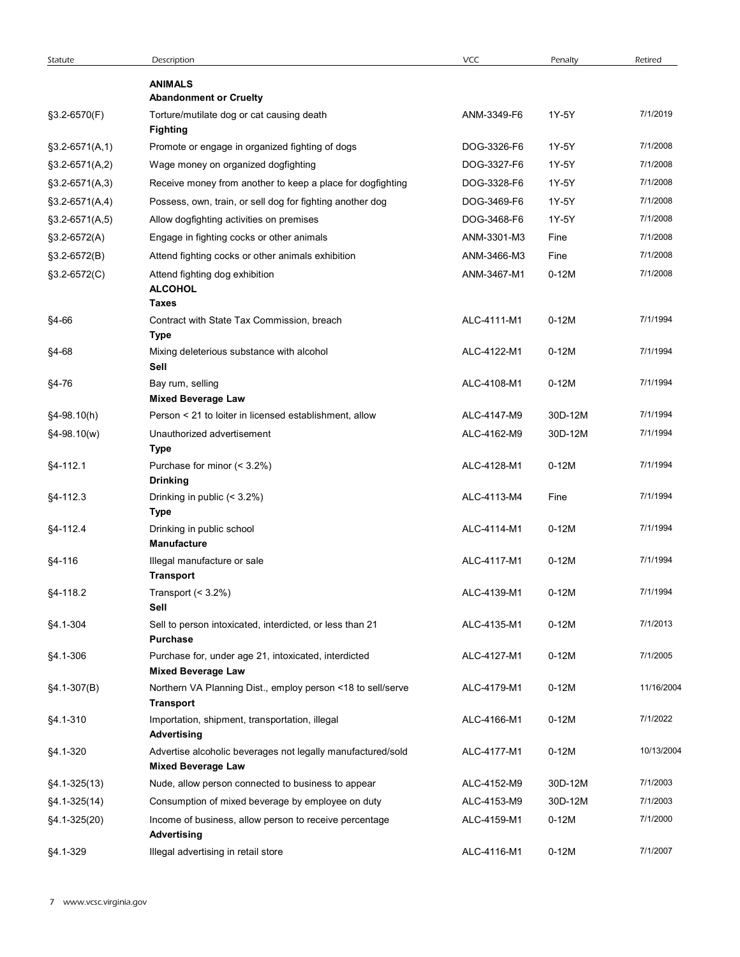| Statute              | Description                                                                                                                  | <b>VCC</b>                 | Penalty            | Retired              |
|----------------------|------------------------------------------------------------------------------------------------------------------------------|----------------------------|--------------------|----------------------|
|                      | <b>ANIMALS</b>                                                                                                               |                            |                    |                      |
|                      | <b>Abandonment or Cruelty</b>                                                                                                |                            |                    | 7/1/2019             |
| §3.2-6570(F)         | Torture/mutilate dog or cat causing death<br><b>Fighting</b>                                                                 | ANM-3349-F6                | 1Y-5Y              |                      |
| $$3.2-6571(A,1)$     | Promote or engage in organized fighting of dogs                                                                              | DOG-3326-F6                | 1Y-5Y              | 7/1/2008             |
| $$3.2-6571(A,2)$     | Wage money on organized dogfighting                                                                                          | DOG-3327-F6                | 1Y-5Y              | 7/1/2008             |
| $$3.2-6571(A,3)$     | Receive money from another to keep a place for dogfighting                                                                   | DOG-3328-F6                | 1Y-5Y              | 7/1/2008             |
| $$3.2-6571(A,4)$     | Possess, own, train, or sell dog for fighting another dog                                                                    | DOG-3469-F6                | 1Y-5Y              | 7/1/2008             |
| $$3.2-6571(A,5)$     | Allow dogfighting activities on premises                                                                                     | DOG-3468-F6                | 1Y-5Y              | 7/1/2008             |
| §3.2-6572(A)         | Engage in fighting cocks or other animals                                                                                    | ANM-3301-M3                | Fine               | 7/1/2008             |
| $$3.2-6572(B)$       | Attend fighting cocks or other animals exhibition                                                                            | ANM-3466-M3                | Fine               | 7/1/2008             |
| $$3.2-6572(C)$       | Attend fighting dog exhibition<br><b>ALCOHOL</b><br>Taxes                                                                    | ANM-3467-M1                | $0-12M$            | 7/1/2008             |
| §4-66                | Contract with State Tax Commission, breach<br><b>Type</b>                                                                    | ALC-4111-M1                | $0-12M$            | 7/1/1994             |
| §4-68                | Mixing deleterious substance with alcohol<br>Sell                                                                            | ALC-4122-M1                | $0-12M$            | 7/1/1994             |
| $§4 - 76$            | Bay rum, selling<br><b>Mixed Beverage Law</b>                                                                                | ALC-4108-M1                | $0-12M$            | 7/1/1994             |
| §4-98.10(h)          | Person < 21 to loiter in licensed establishment, allow                                                                       | ALC-4147-M9                | 30D-12M            | 7/1/1994             |
| $§4-98.10(w)$        | Unauthorized advertisement<br>Type                                                                                           | ALC-4162-M9                | 30D-12M            | 7/1/1994             |
| §4-112.1             | Purchase for minor (< 3.2%)<br><b>Drinking</b>                                                                               | ALC-4128-M1                | $0-12M$            | 7/1/1994             |
| §4-112.3             | Drinking in public (< 3.2%)<br>Type                                                                                          | ALC-4113-M4                | Fine               | 7/1/1994             |
| §4-112.4             | Drinking in public school<br>Manufacture                                                                                     | ALC-4114-M1                | $0-12M$            | 7/1/1994             |
| §4-116               | Illegal manufacture or sale<br><b>Transport</b>                                                                              | ALC-4117-M1                | $0-12M$            | 7/1/1994             |
| §4-118.2             | Transport (< 3.2%)<br>Sell                                                                                                   | ALC-4139-M1                | $0-12M$            | 7/1/1994<br>7/1/2013 |
| §4.1-304<br>§4.1-306 | Sell to person intoxicated, interdicted, or less than 21<br>Purchase<br>Purchase for, under age 21, intoxicated, interdicted | ALC-4135-M1<br>ALC-4127-M1 | $0-12M$<br>$0-12M$ | 7/1/2005             |
| $§4.1-307(B)$        | <b>Mixed Beverage Law</b><br>Northern VA Planning Dist., employ person <18 to sell/serve                                     | ALC-4179-M1                | $0-12M$            | 11/16/2004           |
| §4.1-310             | Transport<br>Importation, shipment, transportation, illegal                                                                  | ALC-4166-M1                | $0-12M$            | 7/1/2022             |
| §4.1-320             | <b>Advertising</b><br>Advertise alcoholic beverages not legally manufactured/sold                                            | ALC-4177-M1                | $0-12M$            | 10/13/2004           |
|                      | <b>Mixed Beverage Law</b>                                                                                                    |                            |                    |                      |
| $§4.1 - 325(13)$     | Nude, allow person connected to business to appear                                                                           | ALC-4152-M9                | 30D-12M            | 7/1/2003             |
| §4.1-325(14)         | Consumption of mixed beverage by employee on duty                                                                            | ALC-4153-M9                | 30D-12M            | 7/1/2003             |
| §4.1-325(20)         | Income of business, allow person to receive percentage<br><b>Advertising</b>                                                 | ALC-4159-M1                | $0-12M$            | 7/1/2000             |
|                      | Illegal advertising in retail store                                                                                          | ALC-4116-M1                | $0-12M$            | 7/1/2007             |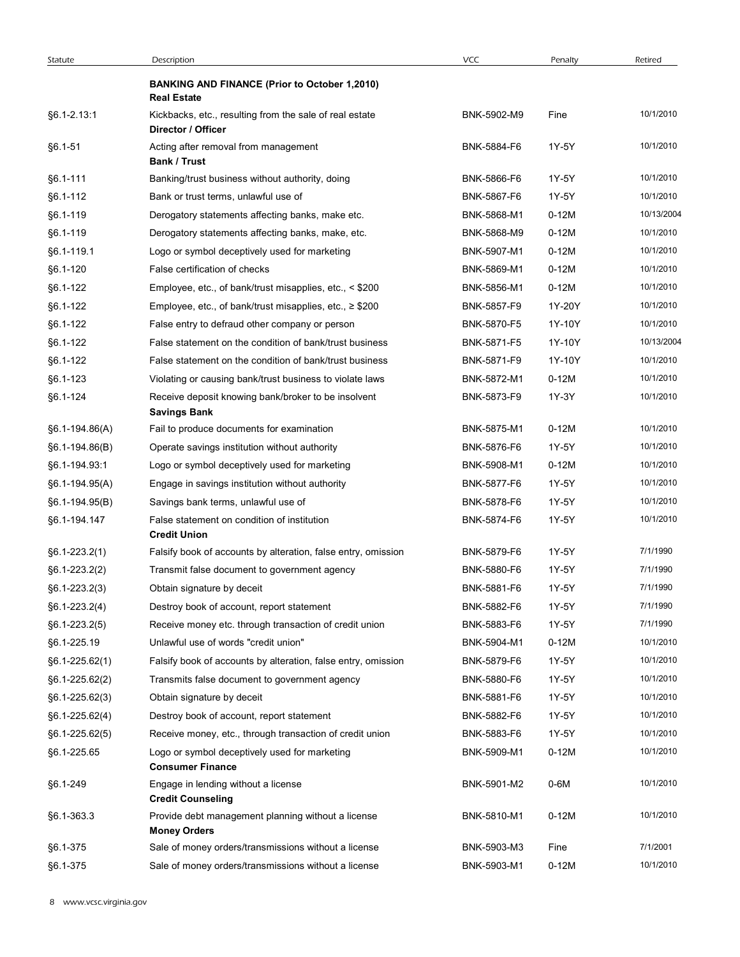| Statute              | Description                                                                                               | <b>VCC</b>                 | Penalty          | Retired                 |
|----------------------|-----------------------------------------------------------------------------------------------------------|----------------------------|------------------|-------------------------|
|                      | <b>BANKING AND FINANCE (Prior to October 1,2010)</b><br><b>Real Estate</b>                                |                            |                  |                         |
| §6.1-2.13:1          | Kickbacks, etc., resulting from the sale of real estate<br>Director / Officer                             | BNK-5902-M9                | Fine             | 10/1/2010               |
| $§6.1 - 51$          | Acting after removal from management<br><b>Bank / Trust</b>                                               | BNK-5884-F6                | 1Y-5Y            | 10/1/2010               |
| §6.1-111             | Banking/trust business without authority, doing                                                           | BNK-5866-F6                | 1Y-5Y            | 10/1/2010               |
| §6.1-112             | Bank or trust terms, unlawful use of                                                                      | BNK-5867-F6                | 1Y-5Y            | 10/1/2010               |
| §6.1-119             | Derogatory statements affecting banks, make etc.                                                          | BNK-5868-M1                | $0 - 12M$        | 10/13/2004              |
| §6.1-119             | Derogatory statements affecting banks, make, etc.                                                         | BNK-5868-M9                | $0-12M$          | 10/1/2010               |
| §6.1-119.1           | Logo or symbol deceptively used for marketing                                                             | BNK-5907-M1                | $0-12M$          | 10/1/2010               |
| §6.1-120             | False certification of checks                                                                             | BNK-5869-M1                | $0 - 12M$        | 10/1/2010               |
| §6.1-122             | Employee, etc., of bank/trust misapplies, etc., < \$200                                                   | BNK-5856-M1                | $0 - 12M$        | 10/1/2010               |
| §6.1-122             | Employee, etc., of bank/trust misapplies, etc., $\geq$ \$200                                              | BNK-5857-F9                | 1Y-20Y           | 10/1/2010               |
| §6.1-122<br>§6.1-122 | False entry to defraud other company or person<br>False statement on the condition of bank/trust business | BNK-5870-F5<br>BNK-5871-F5 | 1Y-10Y<br>1Y-10Y | 10/1/2010<br>10/13/2004 |
| §6.1-122             | False statement on the condition of bank/trust business                                                   | BNK-5871-F9                | 1Y-10Y           | 10/1/2010               |
| §6.1-123             | Violating or causing bank/trust business to violate laws                                                  | BNK-5872-M1                | $0-12M$          | 10/1/2010               |
| §6.1-124             | Receive deposit knowing bank/broker to be insolvent<br><b>Savings Bank</b>                                | BNK-5873-F9                | 1Y-3Y            | 10/1/2010               |
| §6.1-194.86(A)       | Fail to produce documents for examination                                                                 | BNK-5875-M1                | $0-12M$          | 10/1/2010               |
| $§6.1-194.86(B)$     | Operate savings institution without authority                                                             | BNK-5876-F6                | 1Y-5Y            | 10/1/2010               |
| §6.1-194.93:1        | Logo or symbol deceptively used for marketing                                                             | BNK-5908-M1                | $0-12M$          | 10/1/2010               |
| §6.1-194.95(A)       | Engage in savings institution without authority                                                           | BNK-5877-F6                | 1Y-5Y            | 10/1/2010               |
| $§6.1-194.95(B)$     | Savings bank terms, unlawful use of                                                                       | BNK-5878-F6                | 1Y-5Y            | 10/1/2010               |
| §6.1-194.147         | False statement on condition of institution<br><b>Credit Union</b>                                        | BNK-5874-F6                | 1Y-5Y            | 10/1/2010               |
| $§6.1 - 223.2(1)$    | Falsify book of accounts by alteration, false entry, omission                                             | BNK-5879-F6                | 1Y-5Y            | 7/1/1990                |
| $§6.1 - 223.2(2)$    | Transmit false document to government agency                                                              | BNK-5880-F6                | 1Y-5Y            | 7/1/1990                |
| $§6.1 - 223.2(3)$    | Obtain signature by deceit                                                                                | BNK-5881-F6                | 1Y-5Y            | 7/1/1990                |
| $§6.1 - 223.2(4)$    | Destroy book of account, report statement                                                                 | BNK-5882-F6                | 1Y-5Y            | 7/1/1990                |
| $§6.1 - 223.2(5)$    | Receive money etc. through transaction of credit union                                                    | BNK-5883-F6                | 1Y-5Y            | 7/1/1990                |
| §6.1-225.19          | Unlawful use of words "credit union"                                                                      | BNK-5904-M1                | $0-12M$          | 10/1/2010               |
| $§6.1 - 225.62(1)$   | Falsify book of accounts by alteration, false entry, omission                                             | BNK-5879-F6                | 1Y-5Y            | 10/1/2010               |
| §6.1-225.62(2)       | Transmits false document to government agency                                                             | BNK-5880-F6                | 1Y-5Y            | 10/1/2010               |
| $§6.1 - 225.62(3)$   | Obtain signature by deceit                                                                                | BNK-5881-F6                | 1Y-5Y            | 10/1/2010               |
| $§6.1 - 225.62(4)$   | Destroy book of account, report statement                                                                 | BNK-5882-F6                | 1Y-5Y            | 10/1/2010               |
| $§6.1 - 225.62(5)$   | Receive money, etc., through transaction of credit union                                                  | BNK-5883-F6                | 1Y-5Y            | 10/1/2010               |
| §6.1-225.65          | Logo or symbol deceptively used for marketing<br><b>Consumer Finance</b>                                  | BNK-5909-M1                | $0-12M$          | 10/1/2010               |
| §6.1-249             | Engage in lending without a license<br><b>Credit Counseling</b>                                           | BNK-5901-M2                | 0-6M             | 10/1/2010               |
| §6.1-363.3           | Provide debt management planning without a license<br><b>Money Orders</b>                                 | BNK-5810-M1                | $0-12M$          | 10/1/2010               |
| §6.1-375             | Sale of money orders/transmissions without a license                                                      | BNK-5903-M3                | Fine             | 7/1/2001                |
| §6.1-375             | Sale of money orders/transmissions without a license                                                      | BNK-5903-M1                | $0-12M$          | 10/1/2010               |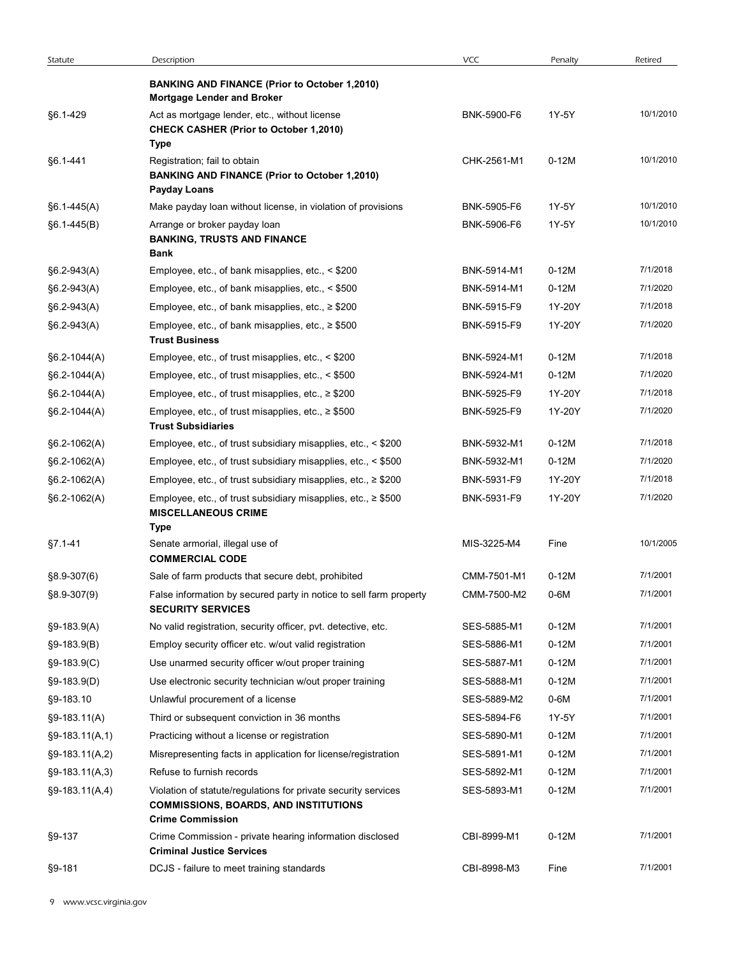| Statute           | Description                                                                                                                               | <b>VCC</b>                 | Penalty            | Retired              |
|-------------------|-------------------------------------------------------------------------------------------------------------------------------------------|----------------------------|--------------------|----------------------|
|                   | <b>BANKING AND FINANCE (Prior to October 1,2010)</b><br><b>Mortgage Lender and Broker</b>                                                 |                            |                    |                      |
| §6.1-429          | Act as mortgage lender, etc., without license<br><b>CHECK CASHER (Prior to October 1,2010)</b><br>Type                                    | BNK-5900-F6                | 1Y-5Y              | 10/1/2010            |
| §6.1-441          | Registration; fail to obtain<br><b>BANKING AND FINANCE (Prior to October 1,2010)</b>                                                      | CHK-2561-M1                | $0-12M$            | 10/1/2010            |
| $§6.1-445(A)$     | <b>Payday Loans</b><br>Make payday loan without license, in violation of provisions                                                       | BNK-5905-F6                | 1Y-5Y              | 10/1/2010            |
| $§6.1-445(B)$     | Arrange or broker payday loan                                                                                                             | BNK-5906-F6                | 1Y-5Y              | 10/1/2010            |
|                   | <b>BANKING, TRUSTS AND FINANCE</b><br><b>Bank</b>                                                                                         |                            |                    |                      |
| $§6.2-943(A)$     | Employee, etc., of bank misapplies, etc., < \$200                                                                                         | BNK-5914-M1                | $0-12M$            | 7/1/2018             |
| $§6.2-943(A)$     | Employee, etc., of bank misapplies, etc., < \$500                                                                                         | BNK-5914-M1                | $0-12M$            | 7/1/2020             |
| $§6.2-943(A)$     | Employee, etc., of bank misapplies, etc., $\geq$ \$200                                                                                    | BNK-5915-F9                | 1Y-20Y             | 7/1/2018             |
| $§6.2-943(A)$     | Employee, etc., of bank misapplies, etc., $\geq$ \$500<br><b>Trust Business</b>                                                           | BNK-5915-F9                | 1Y-20Y             | 7/1/2020             |
| $$6.2-1044(A)$    | Employee, etc., of trust misapplies, etc., < \$200                                                                                        | BNK-5924-M1                | $0-12M$            | 7/1/2018             |
| $$6.2-1044(A)$    | Employee, etc., of trust misapplies, etc., < \$500                                                                                        | BNK-5924-M1                | $0-12M$            | 7/1/2020             |
| $§6.2-1044(A)$    | Employee, etc., of trust misapplies, etc., ≥ \$200                                                                                        | BNK-5925-F9                | 1Y-20Y             | 7/1/2018             |
| $§6.2-1044(A)$    | Employee, etc., of trust misapplies, etc., ≥ \$500<br><b>Trust Subsidiaries</b>                                                           | BNK-5925-F9                | 1Y-20Y             | 7/1/2020             |
| §6.2-1062(A)      | Employee, etc., of trust subsidiary misapplies, etc., < \$200                                                                             | BNK-5932-M1                | $0-12M$            | 7/1/2018             |
| $§6.2-1062(A)$    | Employee, etc., of trust subsidiary misapplies, etc., < \$500                                                                             | BNK-5932-M1                | $0-12M$            | 7/1/2020             |
| $$6.2-1062(A)$    | Employee, etc., of trust subsidiary misapplies, etc., ≥ \$200                                                                             | BNK-5931-F9                | 1Y-20Y             | 7/1/2018             |
| $$6.2-1062(A)$    | Employee, etc., of trust subsidiary misapplies, etc., ≥ \$500<br><b>MISCELLANEOUS CRIME</b><br><b>Type</b>                                | BNK-5931-F9                | 1Y-20Y             | 7/1/2020             |
| $§7.1 - 41$       | Senate armorial, illegal use of<br><b>COMMERCIAL CODE</b>                                                                                 | MIS-3225-M4                | Fine               | 10/1/2005            |
| §8.9-307(6)       | Sale of farm products that secure debt, prohibited                                                                                        | CMM-7501-M1                | $0-12M$            | 7/1/2001             |
| $§8.9-307(9)$     | False information by secured party in notice to sell farm property<br><b>SECURITY SERVICES</b>                                            | CMM-7500-M2                | 0-6M               | 7/1/2001             |
| $§9-183.9(A)$     | No valid registration, security officer, pvt. detective, etc.                                                                             | SES-5885-M1                | $0-12M$            | 7/1/2001             |
| $§9-183.9(B)$     | Employ security officer etc. w/out valid registration                                                                                     | SES-5886-M1                | $0-12M$            | 7/1/2001             |
| $§9-183.9(C)$     | Use unarmed security officer w/out proper training                                                                                        | SES-5887-M1                | $0-12M$            | 7/1/2001             |
| $§9-183.9(D)$     | Use electronic security technician w/out proper training                                                                                  | SES-5888-M1                | $0-12M$            | 7/1/2001             |
| §9-183.10         | Unlawful procurement of a license                                                                                                         | SES-5889-M2                | 0-6M               | 7/1/2001             |
| $§9-183.11(A)$    | Third or subsequent conviction in 36 months                                                                                               | SES-5894-F6                | 1Y-5Y              | 7/1/2001             |
| $\S9-183.11(A,1)$ | Practicing without a license or registration                                                                                              | SES-5890-M1                | $0-12M$            | 7/1/2001             |
| $§9-183.11(A,2)$  | Misrepresenting facts in application for license/registration                                                                             | SES-5891-M1                | $0-12M$            | 7/1/2001             |
| $§9-183.11(A,3)$  | Refuse to furnish records                                                                                                                 | SES-5892-M1<br>SES-5893-M1 | $0-12M$<br>$0-12M$ | 7/1/2001<br>7/1/2001 |
| $§9-183.11(A,4)$  | Violation of statute/regulations for private security services<br><b>COMMISSIONS, BOARDS, AND INSTITUTIONS</b><br><b>Crime Commission</b> |                            |                    |                      |
| §9-137            | Crime Commission - private hearing information disclosed<br><b>Criminal Justice Services</b>                                              | CBI-8999-M1                | $0-12M$            | 7/1/2001             |
| §9-181            | DCJS - failure to meet training standards                                                                                                 | CBI-8998-M3                | Fine               | 7/1/2001             |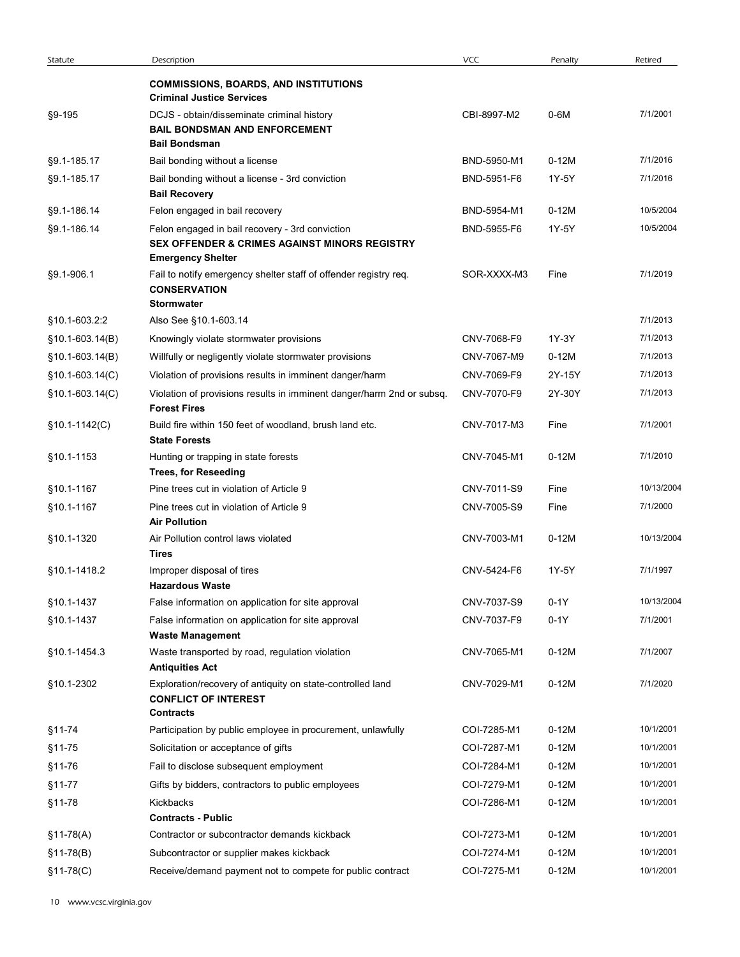| Statute           | Description                                                                                                                             | <b>VCC</b>  | Penalty | Retired    |
|-------------------|-----------------------------------------------------------------------------------------------------------------------------------------|-------------|---------|------------|
|                   | <b>COMMISSIONS, BOARDS, AND INSTITUTIONS</b><br><b>Criminal Justice Services</b>                                                        |             |         |            |
| §9-195            | DCJS - obtain/disseminate criminal history<br><b>BAIL BONDSMAN AND ENFORCEMENT</b><br><b>Bail Bondsman</b>                              | CBI-8997-M2 | 0-6M    | 7/1/2001   |
| §9.1-185.17       | Bail bonding without a license                                                                                                          | BND-5950-M1 | $0-12M$ | 7/1/2016   |
| §9.1-185.17       | Bail bonding without a license - 3rd conviction<br><b>Bail Recovery</b>                                                                 | BND-5951-F6 | 1Y-5Y   | 7/1/2016   |
| §9.1-186.14       | Felon engaged in bail recovery                                                                                                          | BND-5954-M1 | $0-12M$ | 10/5/2004  |
| §9.1-186.14       | Felon engaged in bail recovery - 3rd conviction<br><b>SEX OFFENDER &amp; CRIMES AGAINST MINORS REGISTRY</b><br><b>Emergency Shelter</b> | BND-5955-F6 | 1Y-5Y   | 10/5/2004  |
| §9.1-906.1        | Fail to notify emergency shelter staff of offender registry req.<br><b>CONSERVATION</b><br><b>Stormwater</b>                            | SOR-XXXX-M3 | Fine    | 7/1/2019   |
| §10.1-603.2:2     | Also See §10.1-603.14                                                                                                                   |             |         | 7/1/2013   |
| §10.1-603.14(B)   | Knowingly violate stormwater provisions                                                                                                 | CNV-7068-F9 | 1Y-3Y   | 7/1/2013   |
| §10.1-603.14(B)   | Willfully or negligently violate stormwater provisions                                                                                  | CNV-7067-M9 | $0-12M$ | 7/1/2013   |
| $$10.1-603.14(C)$ | Violation of provisions results in imminent danger/harm                                                                                 | CNV-7069-F9 | 2Y-15Y  | 7/1/2013   |
| $$10.1-603.14(C)$ | Violation of provisions results in imminent danger/harm 2nd or subsq.<br><b>Forest Fires</b>                                            | CNV-7070-F9 | 2Y-30Y  | 7/1/2013   |
| $§10.1-1142(C)$   | Build fire within 150 feet of woodland, brush land etc.<br><b>State Forests</b>                                                         | CNV-7017-M3 | Fine    | 7/1/2001   |
| §10.1-1153        | Hunting or trapping in state forests<br><b>Trees, for Reseeding</b>                                                                     | CNV-7045-M1 | $0-12M$ | 7/1/2010   |
| §10.1-1167        | Pine trees cut in violation of Article 9                                                                                                | CNV-7011-S9 | Fine    | 10/13/2004 |
| §10.1-1167        | Pine trees cut in violation of Article 9<br><b>Air Pollution</b>                                                                        | CNV-7005-S9 | Fine    | 7/1/2000   |
| §10.1-1320        | Air Pollution control laws violated<br>Tires                                                                                            | CNV-7003-M1 | $0-12M$ | 10/13/2004 |
| §10.1-1418.2      | Improper disposal of tires<br><b>Hazardous Waste</b>                                                                                    | CNV-5424-F6 | 1Y-5Y   | 7/1/1997   |
| §10.1-1437        | False information on application for site approval                                                                                      | CNV-7037-S9 | $0-1Y$  | 10/13/2004 |
| §10.1-1437        | False information on application for site approval<br><b>Waste Management</b>                                                           | CNV-7037-F9 | $0-1Y$  | 7/1/2001   |
| §10.1-1454.3      | Waste transported by road, regulation violation<br><b>Antiquities Act</b>                                                               | CNV-7065-M1 | $0-12M$ | 7/1/2007   |
| §10.1-2302        | Exploration/recovery of antiquity on state-controlled land<br><b>CONFLICT OF INTEREST</b><br><b>Contracts</b>                           | CNV-7029-M1 | $0-12M$ | 7/1/2020   |
| $§11 - 74$        | Participation by public employee in procurement, unlawfully                                                                             | COI-7285-M1 | $0-12M$ | 10/1/2001  |
| $§11 - 75$        | Solicitation or acceptance of gifts                                                                                                     | COI-7287-M1 | $0-12M$ | 10/1/2001  |
| §11-76            | Fail to disclose subsequent employment                                                                                                  | COI-7284-M1 | $0-12M$ | 10/1/2001  |
| $§11 - 77$        | Gifts by bidders, contractors to public employees                                                                                       | COI-7279-M1 | $0-12M$ | 10/1/2001  |
| $§11 - 78$        | Kickbacks<br><b>Contracts - Public</b>                                                                                                  | COI-7286-M1 | $0-12M$ | 10/1/2001  |
| $$11-78(A)$       | Contractor or subcontractor demands kickback                                                                                            | COI-7273-M1 | $0-12M$ | 10/1/2001  |
| $$11-78(B)$       | Subcontractor or supplier makes kickback                                                                                                | COI-7274-M1 | $0-12M$ | 10/1/2001  |
|                   | Receive/demand payment not to compete for public contract                                                                               | COI-7275-M1 | $0-12M$ | 10/1/2001  |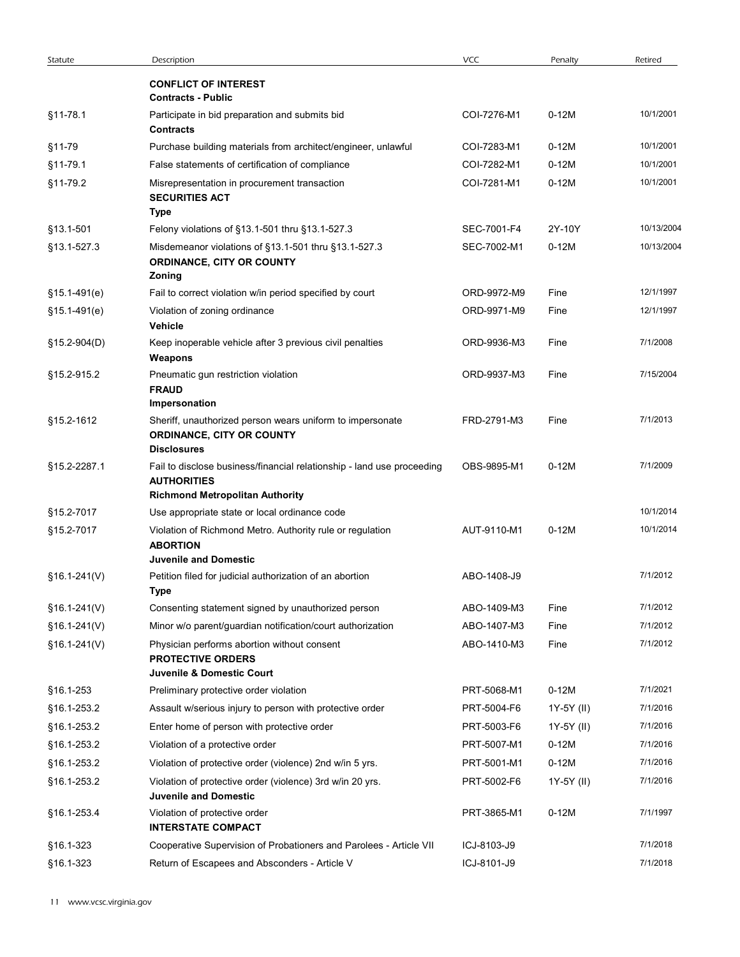| Statute        |                                                                                                                                        |             |            |            |
|----------------|----------------------------------------------------------------------------------------------------------------------------------------|-------------|------------|------------|
|                | Description                                                                                                                            | <b>VCC</b>  | Penalty    | Retired    |
|                | <b>CONFLICT OF INTEREST</b><br><b>Contracts - Public</b>                                                                               |             |            |            |
| §11-78.1       | Participate in bid preparation and submits bid<br><b>Contracts</b>                                                                     | COI-7276-M1 | $0-12M$    | 10/1/2001  |
| §11-79         | Purchase building materials from architect/engineer, unlawful                                                                          | COI-7283-M1 | $0-12M$    | 10/1/2001  |
| §11-79.1       | False statements of certification of compliance                                                                                        | COI-7282-M1 | $0-12M$    | 10/1/2001  |
| §11-79.2       | Misrepresentation in procurement transaction<br><b>SECURITIES ACT</b><br><b>Type</b>                                                   | COI-7281-M1 | $0-12M$    | 10/1/2001  |
| §13.1-501      | Felony violations of §13.1-501 thru §13.1-527.3                                                                                        | SEC-7001-F4 | 2Y-10Y     | 10/13/2004 |
| §13.1-527.3    | Misdemeanor violations of §13.1-501 thru §13.1-527.3<br>ORDINANCE, CITY OR COUNTY                                                      | SEC-7002-M1 | $0-12M$    | 10/13/2004 |
|                | Zoning                                                                                                                                 |             |            |            |
| $§15.1-491(e)$ | Fail to correct violation w/in period specified by court                                                                               | ORD-9972-M9 | Fine       | 12/1/1997  |
| $§15.1-491(e)$ | Violation of zoning ordinance<br>Vehicle                                                                                               | ORD-9971-M9 | Fine       | 12/1/1997  |
| §15.2-904(D)   | Keep inoperable vehicle after 3 previous civil penalties<br>Weapons                                                                    | ORD-9936-M3 | Fine       | 7/1/2008   |
| §15.2-915.2    | Pneumatic gun restriction violation<br><b>FRAUD</b>                                                                                    | ORD-9937-M3 | Fine       | 7/15/2004  |
|                | Impersonation<br>Sheriff, unauthorized person wears uniform to impersonate                                                             | FRD-2791-M3 | Fine       | 7/1/2013   |
| §15.2-1612     | ORDINANCE, CITY OR COUNTY<br><b>Disclosures</b>                                                                                        |             |            |            |
| §15.2-2287.1   | Fail to disclose business/financial relationship - land use proceeding<br><b>AUTHORITIES</b><br><b>Richmond Metropolitan Authority</b> | OBS-9895-M1 | $0-12M$    | 7/1/2009   |
| §15.2-7017     | Use appropriate state or local ordinance code                                                                                          |             |            | 10/1/2014  |
| §15.2-7017     | Violation of Richmond Metro. Authority rule or regulation<br><b>ABORTION</b>                                                           | AUT-9110-M1 | $0-12M$    | 10/1/2014  |
|                | <b>Juvenile and Domestic</b>                                                                                                           |             |            |            |
| $$16.1-241(V)$ | Petition filed for judicial authorization of an abortion<br>Type                                                                       | ABO-1408-J9 |            | 7/1/2012   |
| $$16.1-241(V)$ | Consenting statement signed by unauthorized person                                                                                     | ABO-1409-M3 | Fine       | 7/1/2012   |
| $$16.1-241(V)$ | Minor w/o parent/guardian notification/court authorization                                                                             | ABO-1407-M3 | Fine       | 7/1/2012   |
| $$16.1-241(V)$ | Physician performs abortion without consent<br><b>PROTECTIVE ORDERS</b><br>Juvenile & Domestic Court                                   | ABO-1410-M3 | Fine       | 7/1/2012   |
| §16.1-253      | Preliminary protective order violation                                                                                                 | PRT-5068-M1 | $0-12M$    | 7/1/2021   |
| §16.1-253.2    | Assault w/serious injury to person with protective order                                                                               | PRT-5004-F6 | 1Y-5Y (II) | 7/1/2016   |
| §16.1-253.2    | Enter home of person with protective order                                                                                             | PRT-5003-F6 | 1Y-5Y (II) | 7/1/2016   |
| §16.1-253.2    | Violation of a protective order                                                                                                        | PRT-5007-M1 | $0-12M$    | 7/1/2016   |
| §16.1-253.2    | Violation of protective order (violence) 2nd w/in 5 yrs.                                                                               | PRT-5001-M1 | $0-12M$    | 7/1/2016   |
| §16.1-253.2    | Violation of protective order (violence) 3rd w/in 20 yrs.<br><b>Juvenile and Domestic</b>                                              | PRT-5002-F6 | 1Y-5Y (II) | 7/1/2016   |
| §16.1-253.4    | Violation of protective order<br><b>INTERSTATE COMPACT</b>                                                                             | PRT-3865-M1 | $0-12M$    | 7/1/1997   |
| §16.1-323      | Cooperative Supervision of Probationers and Parolees - Article VII                                                                     | ICJ-8103-J9 |            | 7/1/2018   |
|                |                                                                                                                                        |             |            |            |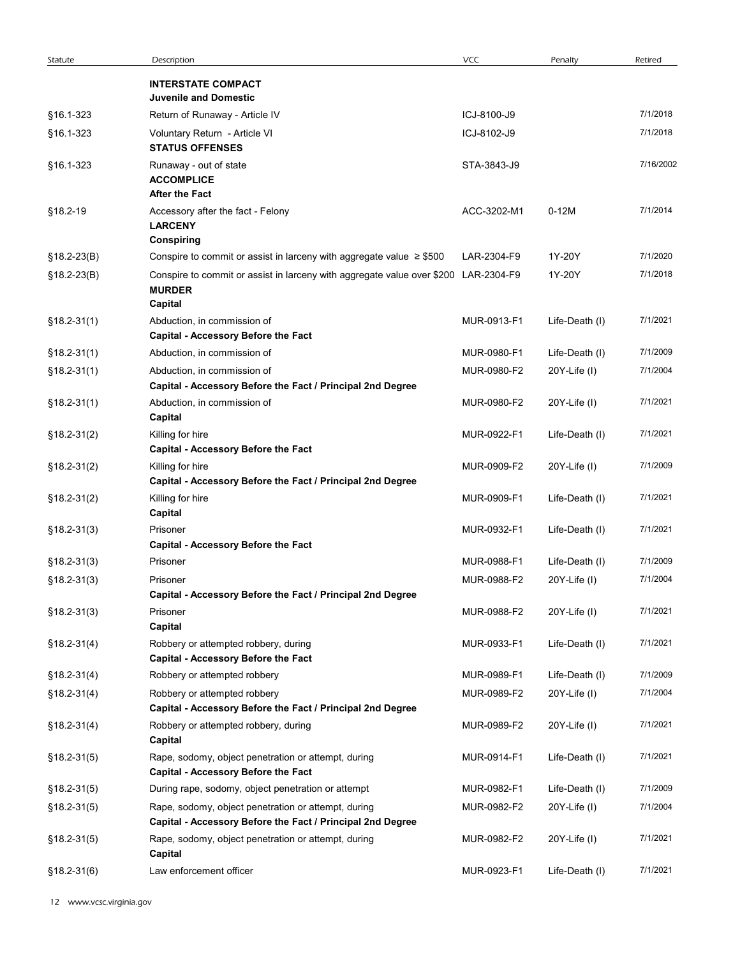| Statute                        | Description                                                                                                       | <b>VCC</b>                 | Penalty                                | Retired              |
|--------------------------------|-------------------------------------------------------------------------------------------------------------------|----------------------------|----------------------------------------|----------------------|
|                                | <b>INTERSTATE COMPACT</b><br><b>Juvenile and Domestic</b>                                                         |                            |                                        |                      |
| §16.1-323                      | Return of Runaway - Article IV                                                                                    | ICJ-8100-J9                |                                        | 7/1/2018             |
| §16.1-323                      | Voluntary Return - Article VI<br><b>STATUS OFFENSES</b>                                                           | ICJ-8102-J9                |                                        | 7/1/2018             |
| §16.1-323                      | Runaway - out of state<br><b>ACCOMPLICE</b><br><b>After the Fact</b>                                              | STA-3843-J9                |                                        | 7/16/2002            |
| §18.2-19                       | Accessory after the fact - Felony<br><b>LARCENY</b><br><b>Conspiring</b>                                          | ACC-3202-M1                | $0-12M$                                | 7/1/2014             |
| $$18.2-23(B)$                  | Conspire to commit or assist in larceny with aggregate value $\geq$ \$500                                         | LAR-2304-F9                | 1Y-20Y                                 | 7/1/2020             |
| $$18.2 - 23(B)$                | Conspire to commit or assist in larceny with aggregate value over \$200 LAR-2304-F9<br><b>MURDER</b><br>Capital   |                            | 1Y-20Y                                 | 7/1/2018             |
| $$18.2 - 31(1)$                | Abduction, in commission of<br><b>Capital - Accessory Before the Fact</b>                                         | MUR-0913-F1                | Life-Death (I)                         | 7/1/2021             |
| $$18.2-31(1)$                  | Abduction, in commission of                                                                                       | MUR-0980-F1                | Life-Death (I)                         | 7/1/2009             |
| $$18.2-31(1)$                  | Abduction, in commission of<br>Capital - Accessory Before the Fact / Principal 2nd Degree                         | MUR-0980-F2                | 20Y-Life (I)                           | 7/1/2004             |
| $$18.2-31(1)$                  | Abduction, in commission of<br>Capital                                                                            | MUR-0980-F2                | $20Y$ -Life $(1)$                      | 7/1/2021             |
| $$18.2-31(2)$                  | Killing for hire<br><b>Capital - Accessory Before the Fact</b>                                                    | MUR-0922-F1                | Life-Death (I)                         | 7/1/2021             |
| $$18.2-31(2)$                  | Killing for hire<br>Capital - Accessory Before the Fact / Principal 2nd Degree                                    | MUR-0909-F2                | $20Y$ -Life $(1)$                      | 7/1/2009             |
| $$18.2-31(2)$                  | Killing for hire<br>Capital                                                                                       | MUR-0909-F1                | Life-Death (I)                         | 7/1/2021             |
| $$18.2-31(3)$                  | Prisoner<br><b>Capital - Accessory Before the Fact</b>                                                            | MUR-0932-F1                | Life-Death (I)                         | 7/1/2021             |
| $$18.2-31(3)$                  | Prisoner                                                                                                          | MUR-0988-F1                | Life-Death (I)                         | 7/1/2009             |
| $§18.2-31(3)$<br>$$18.2-31(3)$ | Prisoner<br>Capital - Accessory Before the Fact / Principal 2nd Degree<br>Prisoner                                | MUR-0988-F2<br>MUR-0988-F2 | $20Y$ -Life $(1)$<br>$20Y$ -Life $(1)$ | 7/1/2004<br>7/1/2021 |
| $$18.2-31(4)$                  | Capital<br>Robbery or attempted robbery, during                                                                   | MUR-0933-F1                | Life-Death (I)                         | 7/1/2021             |
| $$18.2-31(4)$                  | <b>Capital - Accessory Before the Fact</b><br>Robbery or attempted robbery                                        | MUR-0989-F1                | Life-Death (I)                         | 7/1/2009             |
| $$18.2-31(4)$                  | Robbery or attempted robbery<br>Capital - Accessory Before the Fact / Principal 2nd Degree                        | MUR-0989-F2                | 20Y-Life (I)                           | 7/1/2004             |
| $$18.2-31(4)$                  | Robbery or attempted robbery, during<br>Capital                                                                   | MUR-0989-F2                | $20Y$ -Life $(1)$                      | 7/1/2021             |
| $$18.2-31(5)$                  | Rape, sodomy, object penetration or attempt, during<br><b>Capital - Accessory Before the Fact</b>                 | MUR-0914-F1                | Life-Death (I)                         | 7/1/2021             |
| $$18.2-31(5)$                  | During rape, sodomy, object penetration or attempt                                                                | MUR-0982-F1                | Life-Death (I)                         | 7/1/2009             |
| $$18.2-31(5)$                  | Rape, sodomy, object penetration or attempt, during<br>Capital - Accessory Before the Fact / Principal 2nd Degree | MUR-0982-F2                | 20Y-Life (I)                           | 7/1/2004             |
| $$18.2-31(5)$                  | Rape, sodomy, object penetration or attempt, during<br>Capital                                                    | MUR-0982-F2                | $20Y$ -Life $(1)$                      | 7/1/2021             |
| $§18.2-31(6)$                  | Law enforcement officer                                                                                           | MUR-0923-F1                | Life-Death (I)                         | 7/1/2021             |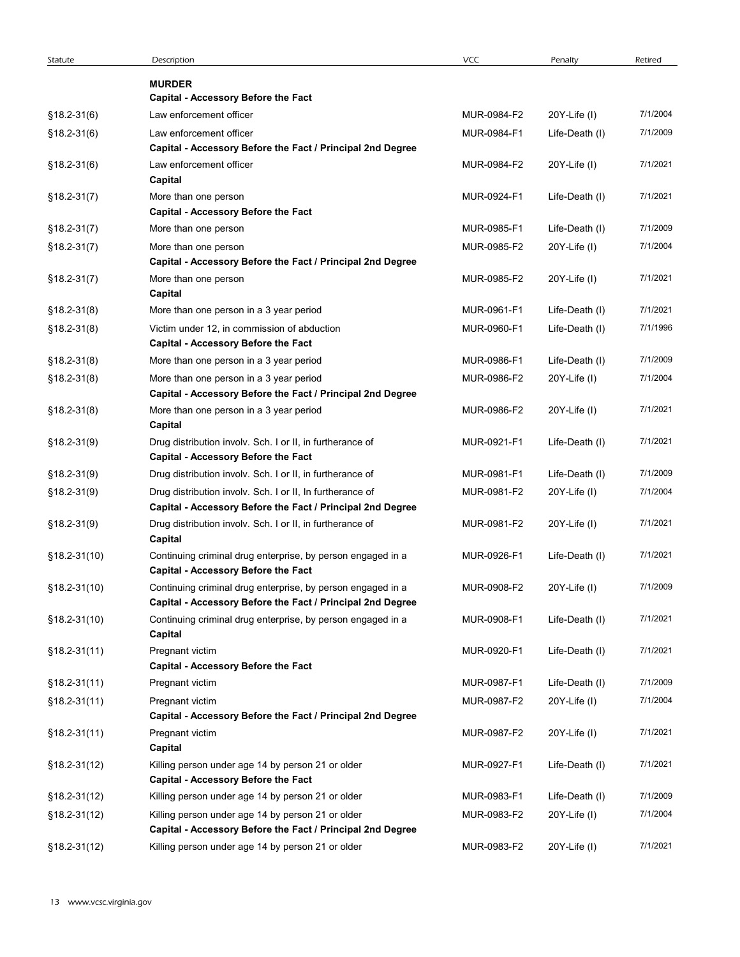| Statute          | Description                                                                                                               | <b>VCC</b>  | Penalty           | Retired  |
|------------------|---------------------------------------------------------------------------------------------------------------------------|-------------|-------------------|----------|
|                  | <b>MURDER</b>                                                                                                             |             |                   |          |
|                  | <b>Capital - Accessory Before the Fact</b>                                                                                |             |                   |          |
| $$18.2 - 31(6)$  | Law enforcement officer                                                                                                   | MUR-0984-F2 | 20Y-Life (I)      | 7/1/2004 |
| $$18.2-31(6)$    | Law enforcement officer<br>Capital - Accessory Before the Fact / Principal 2nd Degree                                     | MUR-0984-F1 | Life-Death (I)    | 7/1/2009 |
| $$18.2 - 31(6)$  | Law enforcement officer<br>Capital                                                                                        | MUR-0984-F2 | 20Y-Life (I)      | 7/1/2021 |
| $$18.2 - 31(7)$  | More than one person                                                                                                      | MUR-0924-F1 | Life-Death (I)    | 7/1/2021 |
| $§18.2-31(7)$    | <b>Capital - Accessory Before the Fact</b><br>More than one person                                                        | MUR-0985-F1 | Life-Death (I)    | 7/1/2009 |
| $$18.2-31(7)$    | More than one person                                                                                                      | MUR-0985-F2 | 20Y-Life (I)      | 7/1/2004 |
| $$18.2-31(7)$    | Capital - Accessory Before the Fact / Principal 2nd Degree<br>More than one person                                        | MUR-0985-F2 | 20Y-Life (I)      | 7/1/2021 |
| $$18.2-31(8)$    | Capital<br>More than one person in a 3 year period                                                                        | MUR-0961-F1 | Life-Death (I)    | 7/1/2021 |
| $$18.2 - 31(8)$  | Victim under 12, in commission of abduction                                                                               | MUR-0960-F1 | Life-Death (I)    | 7/1/1996 |
|                  | <b>Capital - Accessory Before the Fact</b>                                                                                |             |                   |          |
| $$18.2 - 31(8)$  | More than one person in a 3 year period                                                                                   | MUR-0986-F1 | Life-Death (I)    | 7/1/2009 |
| $§18.2-31(8)$    | More than one person in a 3 year period<br>Capital - Accessory Before the Fact / Principal 2nd Degree                     | MUR-0986-F2 | 20Y-Life (I)      | 7/1/2004 |
| $$18.2-31(8)$    | More than one person in a 3 year period<br>Capital                                                                        | MUR-0986-F2 | 20Y-Life (I)      | 7/1/2021 |
| $$18.2-31(9)$    | Drug distribution involv. Sch. I or II, in furtherance of<br><b>Capital - Accessory Before the Fact</b>                   | MUR-0921-F1 | Life-Death (I)    | 7/1/2021 |
| $$18.2-31(9)$    | Drug distribution involv. Sch. I or II, in furtherance of                                                                 | MUR-0981-F1 | Life-Death (I)    | 7/1/2009 |
| $$18.2-31(9)$    | Drug distribution involv. Sch. I or II, In furtherance of                                                                 | MUR-0981-F2 | $20Y$ -Life $(I)$ | 7/1/2004 |
|                  | Capital - Accessory Before the Fact / Principal 2nd Degree                                                                |             |                   |          |
| $$18.2 - 31(9)$  | Drug distribution involv. Sch. I or II, in furtherance of<br>Capital                                                      | MUR-0981-F2 | 20Y-Life (I)      | 7/1/2021 |
| $$18.2-31(10)$   | Continuing criminal drug enterprise, by person engaged in a<br>Capital - Accessory Before the Fact                        | MUR-0926-F1 | Life-Death (I)    | 7/1/2021 |
| $$18.2-31(10)$   | Continuing criminal drug enterprise, by person engaged in a                                                               | MUR-0908-F2 | 20Y-Life (I)      | 7/1/2009 |
| §18.2-31(10)     | Capital - Accessory Before the Fact / Principal 2nd Degree<br>Continuing criminal drug enterprise, by person engaged in a | MUR-0908-F1 | Life-Death (I)    | 7/1/2021 |
| $$18.2 - 31(11)$ | Capital<br>Pregnant victim                                                                                                | MUR-0920-F1 | Life-Death (I)    | 7/1/2021 |
| $$18.2-31(11)$   | Capital - Accessory Before the Fact<br>Pregnant victim                                                                    | MUR-0987-F1 | Life-Death (I)    | 7/1/2009 |
| $$18.2 - 31(11)$ | Pregnant victim                                                                                                           | MUR-0987-F2 | $20Y$ -Life $(1)$ | 7/1/2004 |
|                  | Capital - Accessory Before the Fact / Principal 2nd Degree                                                                |             |                   |          |
| $$18.2-31(11)$   | Pregnant victim<br>Capital                                                                                                | MUR-0987-F2 | 20Y-Life (I)      | 7/1/2021 |
| $$18.2-31(12)$   | Killing person under age 14 by person 21 or older<br>Capital - Accessory Before the Fact                                  | MUR-0927-F1 | Life-Death (I)    | 7/1/2021 |
| $$18.2-31(12)$   | Killing person under age 14 by person 21 or older                                                                         | MUR-0983-F1 | Life-Death (I)    | 7/1/2009 |
| $$18.2-31(12)$   | Killing person under age 14 by person 21 or older<br>Capital - Accessory Before the Fact / Principal 2nd Degree           | MUR-0983-F2 | 20Y-Life (I)      | 7/1/2004 |
| $$18.2-31(12)$   | Killing person under age 14 by person 21 or older                                                                         | MUR-0983-F2 | 20Y-Life (I)      | 7/1/2021 |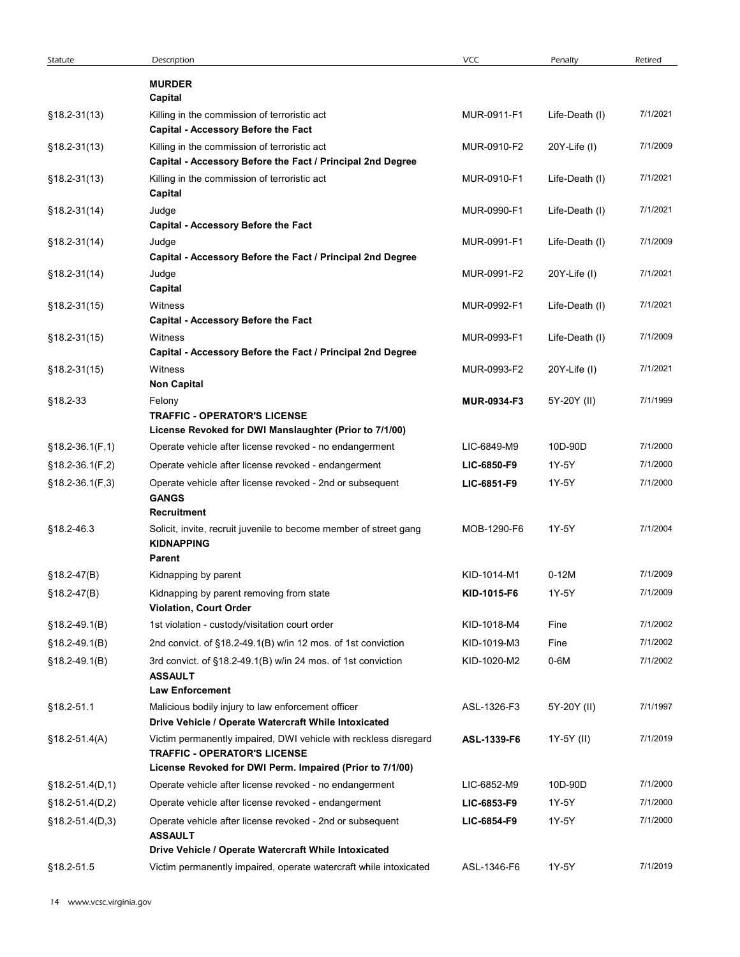| Statute              | Description                                                                                                              | <b>VCC</b>         | Penalty        | Retired  |
|----------------------|--------------------------------------------------------------------------------------------------------------------------|--------------------|----------------|----------|
|                      | <b>MURDER</b>                                                                                                            |                    |                |          |
|                      | Capital                                                                                                                  |                    |                |          |
| $$18.2-31(13)$       | Killing in the commission of terroristic act<br>Capital - Accessory Before the Fact                                      | MUR-0911-F1        | Life-Death (I) | 7/1/2021 |
| $$18.2 - 31(13)$     | Killing in the commission of terroristic act                                                                             | MUR-0910-F2        | 20Y-Life (I)   | 7/1/2009 |
|                      | Capital - Accessory Before the Fact / Principal 2nd Degree                                                               |                    |                |          |
| $$18.2 - 31(13)$     | Killing in the commission of terroristic act<br>Capital                                                                  | MUR-0910-F1        | Life-Death (I) | 7/1/2021 |
| $$18.2-31(14)$       | Judge                                                                                                                    | MUR-0990-F1        | Life-Death (I) | 7/1/2021 |
|                      | <b>Capital - Accessory Before the Fact</b>                                                                               |                    |                |          |
| $$18.2-31(14)$       | Judge<br>Capital - Accessory Before the Fact / Principal 2nd Degree                                                      | MUR-0991-F1        | Life-Death (I) | 7/1/2009 |
| $$18.2-31(14)$       | Judge                                                                                                                    | MUR-0991-F2        | 20Y-Life (I)   | 7/1/2021 |
| $$18.2-31(15)$       | Capital<br>Witness                                                                                                       | MUR-0992-F1        | Life-Death (I) | 7/1/2021 |
|                      | <b>Capital - Accessory Before the Fact</b>                                                                               |                    |                |          |
| $$18.2-31(15)$       | Witness                                                                                                                  | MUR-0993-F1        | Life-Death (I) | 7/1/2009 |
| $$18.2-31(15)$       | Capital - Accessory Before the Fact / Principal 2nd Degree<br>Witness                                                    | MUR-0993-F2        | 20Y-Life (I)   | 7/1/2021 |
|                      | <b>Non Capital</b>                                                                                                       |                    |                |          |
| §18.2-33             | Felony<br><b>TRAFFIC - OPERATOR'S LICENSE</b>                                                                            | <b>MUR-0934-F3</b> | 5Y-20Y (II)    | 7/1/1999 |
|                      | License Revoked for DWI Manslaughter (Prior to 7/1/00)                                                                   |                    |                |          |
| $$18.2-36.1(F,1)$    | Operate vehicle after license revoked - no endangerment                                                                  | LIC-6849-M9        | 10D-90D        | 7/1/2000 |
| $$18.2-36.1(F,2)$    | Operate vehicle after license revoked - endangerment                                                                     | LIC-6850-F9        | 1Y-5Y          | 7/1/2000 |
| $$18.2-36.1(F,3)$    | Operate vehicle after license revoked - 2nd or subsequent<br><b>GANGS</b>                                                | LIC-6851-F9        | 1Y-5Y          | 7/1/2000 |
|                      | Recruitment                                                                                                              |                    |                |          |
| §18.2-46.3           | Solicit, invite, recruit juvenile to become member of street gang<br><b>KIDNAPPING</b>                                   | MOB-1290-F6        | 1Y-5Y          | 7/1/2004 |
|                      | Parent                                                                                                                   |                    |                |          |
| $$18.2-47(B)$        | Kidnapping by parent                                                                                                     | KID-1014-M1        | $0-12M$        | 7/1/2009 |
| $$18.2-47(B)$        | Kidnapping by parent removing from state<br>Violation, Court Order                                                       | KID-1015-F6        | 1Y-5Y          | 7/1/2009 |
| $$18.2 - 49.1(B)$    | 1st violation - custody/visitation court order                                                                           | KID-1018-M4        | Fine           | 7/1/2002 |
| $§18.2-49.1(B)$      | 2nd convict. of §18.2-49.1(B) w/in 12 mos. of 1st conviction                                                             | KID-1019-M3        | Fine           | 7/1/2002 |
| $§18.2-49.1(B)$      | 3rd convict. of §18.2-49.1(B) w/in 24 mos. of 1st conviction                                                             | KID-1020-M2        | 0-6M           | 7/1/2002 |
|                      | <b>ASSAULT</b><br><b>Law Enforcement</b>                                                                                 |                    |                |          |
| §18.2-51.1           | Malicious bodily injury to law enforcement officer                                                                       | ASL-1326-F3        | 5Y-20Y (II)    | 7/1/1997 |
| $$18.2 - 51.4(A)$    | Drive Vehicle / Operate Watercraft While Intoxicated<br>Victim permanently impaired, DWI vehicle with reckless disregard | ASL-1339-F6        | 1Y-5Y (II)     | 7/1/2019 |
|                      | <b>TRAFFIC - OPERATOR'S LICENSE</b>                                                                                      |                    |                |          |
| $$18.2 - 51.4(D, 1)$ | License Revoked for DWI Perm. Impaired (Prior to 7/1/00)<br>Operate vehicle after license revoked - no endangerment      | LIC-6852-M9        | 10D-90D        | 7/1/2000 |
| $$18.2-51.4(D,2)$    | Operate vehicle after license revoked - endangerment                                                                     | LIC-6853-F9        | 1Y-5Y          | 7/1/2000 |
| $$18.2 - 51.4(D,3)$  | Operate vehicle after license revoked - 2nd or subsequent                                                                | LIC-6854-F9        | 1Y-5Y          | 7/1/2000 |
|                      | <b>ASSAULT</b><br>Drive Vehicle / Operate Watercraft While Intoxicated                                                   |                    |                |          |
| §18.2-51.5           | Victim permanently impaired, operate watercraft while intoxicated                                                        | ASL-1346-F6        |                |          |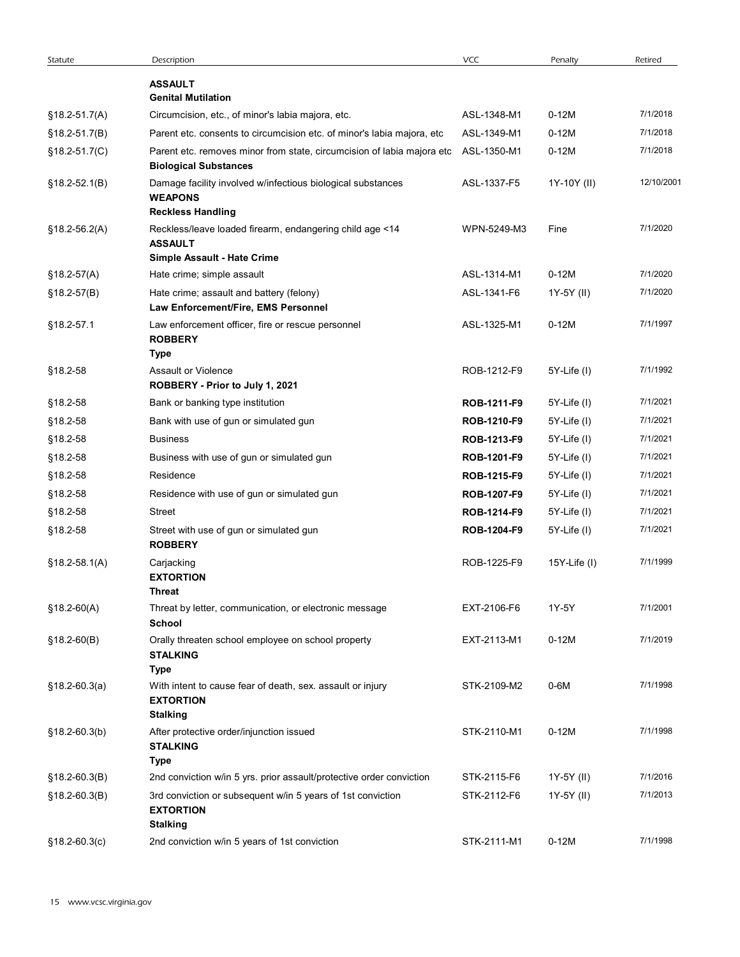| Statute                        | Description                                                                                                   | <b>VCC</b>                 | Penalty               | Retired              |
|--------------------------------|---------------------------------------------------------------------------------------------------------------|----------------------------|-----------------------|----------------------|
|                                | <b>ASSAULT</b><br><b>Genital Mutilation</b>                                                                   |                            |                       |                      |
| $$18.2-51.7(A)$                | Circumcision, etc., of minor's labia majora, etc.                                                             | ASL-1348-M1                | $0-12M$               | 7/1/2018             |
| $$18.2-51.7(B)$                | Parent etc. consents to circumcision etc. of minor's labia majora, etc                                        | ASL-1349-M1                | $0-12M$               | 7/1/2018             |
| $$18.2 - 51.7(C)$              | Parent etc. removes minor from state, circumcision of labia majora etc<br><b>Biological Substances</b>        | ASL-1350-M1                | $0-12M$               | 7/1/2018             |
| $$18.2 - 52.1(B)$              | Damage facility involved w/infectious biological substances<br><b>WEAPONS</b><br><b>Reckless Handling</b>     | ASL-1337-F5                | 1Y-10Y (II)           | 12/10/2001           |
| $$18.2-56.2(A)$                | Reckless/leave loaded firearm, endangering child age <14<br><b>ASSAULT</b>                                    | WPN-5249-M3                | Fine                  | 7/1/2020             |
|                                | Simple Assault - Hate Crime                                                                                   |                            |                       |                      |
| $$18.2-57(A)$<br>$§18.2-57(B)$ | Hate crime; simple assault<br>Hate crime; assault and battery (felony)<br>Law Enforcement/Fire, EMS Personnel | ASL-1314-M1<br>ASL-1341-F6 | $0-12M$<br>1Y-5Y (II) | 7/1/2020<br>7/1/2020 |
| §18.2-57.1                     | Law enforcement officer, fire or rescue personnel<br><b>ROBBERY</b>                                           | ASL-1325-M1                | $0-12M$               | 7/1/1997             |
| §18.2-58                       | <b>Type</b><br>Assault or Violence                                                                            | ROB-1212-F9                | 5Y-Life (I)           | 7/1/1992             |
|                                | ROBBERY - Prior to July 1, 2021                                                                               |                            |                       |                      |
| §18.2-58                       | Bank or banking type institution                                                                              | ROB-1211-F9                | 5Y-Life (I)           | 7/1/2021             |
| §18.2-58                       | Bank with use of gun or simulated gun                                                                         | ROB-1210-F9                | 5Y-Life (I)           | 7/1/2021             |
| §18.2-58                       | <b>Business</b>                                                                                               | ROB-1213-F9                | 5Y-Life (I)           | 7/1/2021             |
| §18.2-58                       | Business with use of gun or simulated gun                                                                     | ROB-1201-F9                | 5Y-Life (I)           | 7/1/2021             |
| §18.2-58                       | Residence                                                                                                     | ROB-1215-F9                | 5Y-Life (I)           | 7/1/2021             |
| §18.2-58                       | Residence with use of gun or simulated gun                                                                    | ROB-1207-F9                | 5Y-Life (I)           | 7/1/2021             |
| §18.2-58                       | Street                                                                                                        | ROB-1214-F9                | 5Y-Life (I)           | 7/1/2021             |
| §18.2-58                       | Street with use of gun or simulated gun<br><b>ROBBERY</b>                                                     | ROB-1204-F9                | 5Y-Life (I)           | 7/1/2021             |
| $$18.2 - 58.1(A)$              | Carjacking<br><b>EXTORTION</b><br>Threat                                                                      | ROB-1225-F9                | 15Y-Life (I)          | 7/1/1999             |
| §18.2-60(A)                    | Threat by letter, communication, or electronic message<br>School                                              | EXT-2106-F6                | 1Y-5Y                 | 7/1/2001             |
| §18.2-60(B)                    | Orally threaten school employee on school property<br><b>STALKING</b><br><b>Type</b>                          | EXT-2113-M1                | $0-12M$               | 7/1/2019             |
| $$18.2-60.3(a)$                | With intent to cause fear of death, sex. assault or injury<br><b>EXTORTION</b><br><b>Stalking</b>             | STK-2109-M2                | $0-6M$                | 7/1/1998             |
| $$18.2-60.3(b)$                | After protective order/injunction issued<br><b>STALKING</b>                                                   | STK-2110-M1                | $0-12M$               | 7/1/1998             |
| $$18.2-60.3(B)$                | Type<br>2nd conviction w/in 5 yrs. prior assault/protective order conviction                                  | STK-2115-F6                | 1Y-5Y (II)            | 7/1/2016             |
| $$18.2 - 60.3(B)$              | 3rd conviction or subsequent w/in 5 years of 1st conviction<br><b>EXTORTION</b>                               | STK-2112-F6                | 1Y-5Y (II)            | 7/1/2013             |
|                                | <b>Stalking</b>                                                                                               |                            |                       |                      |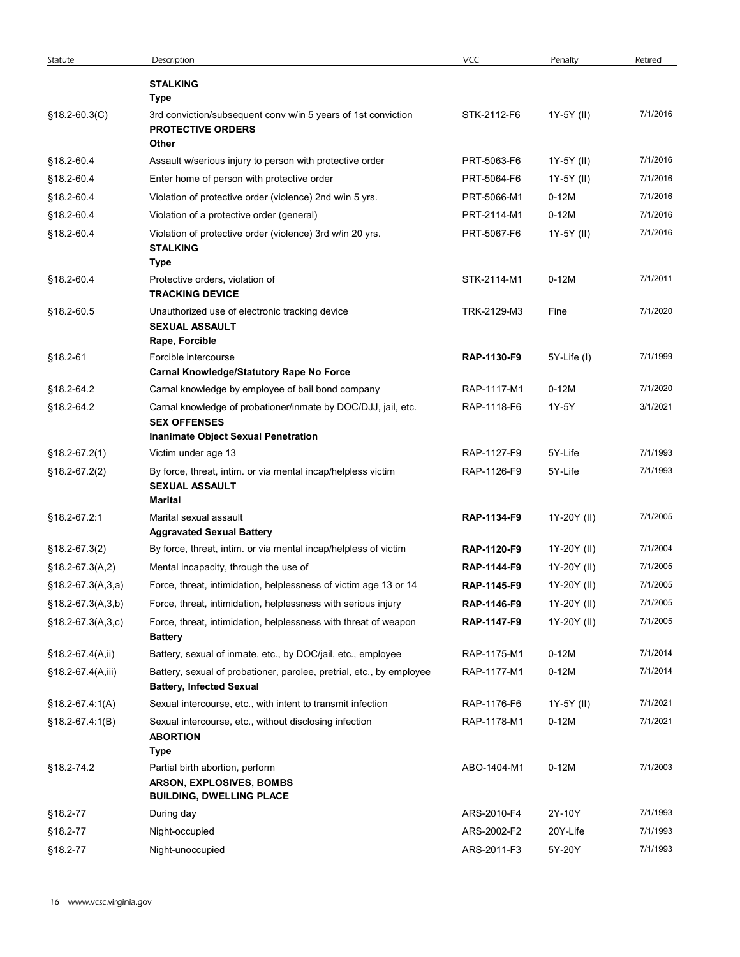| Statute             | Description                                                                                                                        | <b>VCC</b>  | Penalty     | Retired              |
|---------------------|------------------------------------------------------------------------------------------------------------------------------------|-------------|-------------|----------------------|
|                     | <b>STALKING</b><br>Type                                                                                                            |             |             |                      |
| $$18.2 - 60.3(C)$   | 3rd conviction/subsequent conv w/in 5 years of 1st conviction<br><b>PROTECTIVE ORDERS</b><br>Other                                 | STK-2112-F6 | 1Y-5Y (II)  | 7/1/2016             |
| §18.2-60.4          | Assault w/serious injury to person with protective order                                                                           | PRT-5063-F6 | 1Y-5Y (II)  | 7/1/2016             |
| §18.2-60.4          | Enter home of person with protective order                                                                                         | PRT-5064-F6 | 1Y-5Y (II)  | 7/1/2016             |
| §18.2-60.4          | Violation of protective order (violence) 2nd w/in 5 yrs.                                                                           | PRT-5066-M1 | $0-12M$     | 7/1/2016             |
| §18.2-60.4          | Violation of a protective order (general)                                                                                          | PRT-2114-M1 | $0-12M$     | 7/1/2016             |
| §18.2-60.4          | Violation of protective order (violence) 3rd w/in 20 yrs.<br><b>STALKING</b>                                                       | PRT-5067-F6 | 1Y-5Y (II)  | 7/1/2016             |
| §18.2-60.4          | Type<br>Protective orders, violation of<br><b>TRACKING DEVICE</b>                                                                  | STK-2114-M1 | $0-12M$     | 7/1/2011             |
| §18.2-60.5          | Unauthorized use of electronic tracking device<br><b>SEXUAL ASSAULT</b><br>Rape, Forcible                                          | TRK-2129-M3 | Fine        | 7/1/2020             |
| §18.2-61            | Forcible intercourse                                                                                                               | RAP-1130-F9 | 5Y-Life (I) | 7/1/1999             |
|                     | <b>Carnal Knowledge/Statutory Rape No Force</b>                                                                                    |             |             |                      |
| §18.2-64.2          | Carnal knowledge by employee of bail bond company                                                                                  | RAP-1117-M1 | $0-12M$     | 7/1/2020             |
| §18.2-64.2          | Carnal knowledge of probationer/inmate by DOC/DJJ, jail, etc.<br><b>SEX OFFENSES</b><br><b>Inanimate Object Sexual Penetration</b> | RAP-1118-F6 | 1Y-5Y       | 3/1/2021             |
| $$18.2-67.2(1)$     | Victim under age 13                                                                                                                | RAP-1127-F9 | 5Y-Life     | 7/1/1993             |
| $$18.2-67.2(2)$     | By force, threat, intim. or via mental incap/helpless victim<br><b>SEXUAL ASSAULT</b>                                              | RAP-1126-F9 | 5Y-Life     | 7/1/1993             |
| §18.2-67.2:1        | <b>Marital</b><br>Marital sexual assault<br><b>Aggravated Sexual Battery</b>                                                       | RAP-1134-F9 | 1Y-20Y (II) | 7/1/2005             |
| §18.2-67.3(2)       | By force, threat, intim. or via mental incap/helpless of victim                                                                    | RAP-1120-F9 | 1Y-20Y (II) | 7/1/2004             |
| $$18.2-67.3(A,2)$   | Mental incapacity, through the use of                                                                                              | RAP-1144-F9 | 1Y-20Y (II) | 7/1/2005             |
| $$18.2-67.3(A,3,a)$ | Force, threat, intimidation, helplessness of victim age 13 or 14                                                                   | RAP-1145-F9 | 1Y-20Y (II) | 7/1/2005             |
| $$18.2-67.3(A,3,b)$ | Force, threat, intimidation, helplessness with serious injury                                                                      | RAP-1146-F9 | 1Y-20Y (II) | 7/1/2005             |
| $$18.2-67.3(A,3,c)$ | Force, threat, intimidation, helplessness with threat of weapon<br><b>Battery</b>                                                  | RAP-1147-F9 | 1Y-20Y (II) | 7/1/2005             |
| §18.2-67.4(A,ii)    | Battery, sexual of inmate, etc., by DOC/jail, etc., employee                                                                       | RAP-1175-M1 | $0-12M$     | 7/1/2014             |
| §18.2-67.4(A,iii)   | Battery, sexual of probationer, parolee, pretrial, etc., by employee<br><b>Battery, Infected Sexual</b>                            | RAP-1177-M1 | $0-12M$     | 7/1/2014<br>7/1/2021 |
| §18.2-67.4:1(A)     | Sexual intercourse, etc., with intent to transmit infection                                                                        | RAP-1176-F6 | 1Y-5Y (II)  | 7/1/2021             |
| $$18.2-67.4.1(B)$   | Sexual intercourse, etc., without disclosing infection<br><b>ABORTION</b><br><b>Type</b>                                           | RAP-1178-M1 | $0-12M$     |                      |
| §18.2-74.2          | Partial birth abortion, perform<br>ARSON, EXPLOSIVES, BOMBS<br><b>BUILDING, DWELLING PLACE</b>                                     | ABO-1404-M1 | $0-12M$     | 7/1/2003             |
| §18.2-77            | During day                                                                                                                         | ARS-2010-F4 | 2Y-10Y      | 7/1/1993             |
| §18.2-77            | Night-occupied                                                                                                                     | ARS-2002-F2 | 20Y-Life    | 7/1/1993             |
|                     | Night-unoccupied                                                                                                                   | ARS-2011-F3 | 5Y-20Y      | 7/1/1993             |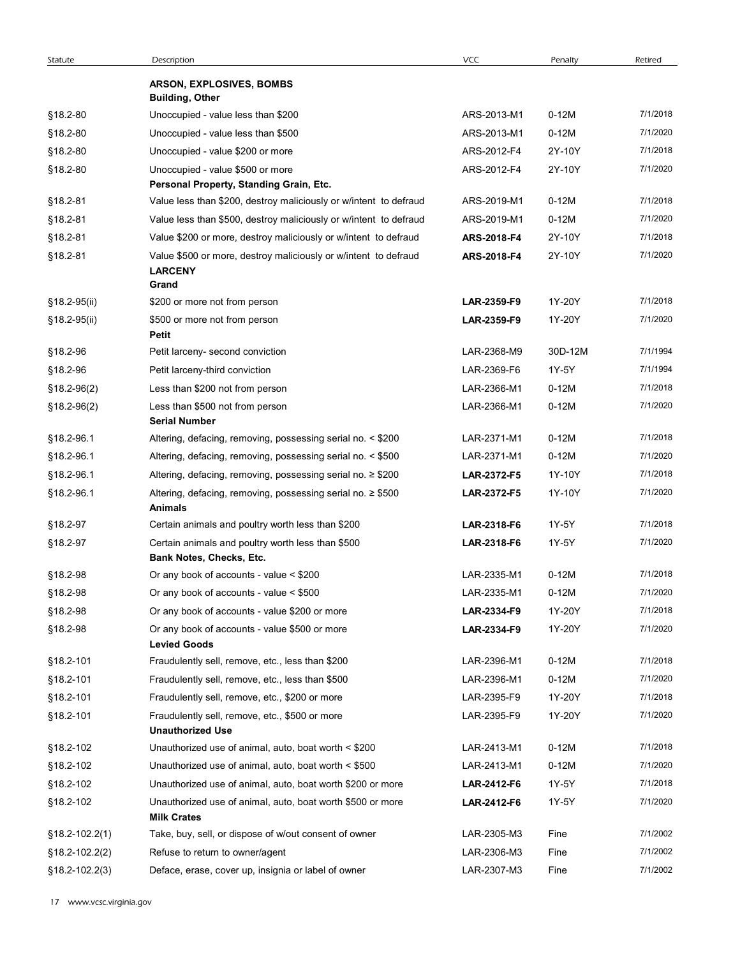| Statute            | Description                                                                                | <b>VCC</b>  | Penalty | Retired  |
|--------------------|--------------------------------------------------------------------------------------------|-------------|---------|----------|
|                    | ARSON, EXPLOSIVES, BOMBS<br><b>Building, Other</b>                                         |             |         |          |
| §18.2-80           | Unoccupied - value less than \$200                                                         | ARS-2013-M1 | $0-12M$ | 7/1/2018 |
| §18.2-80           | Unoccupied - value less than \$500                                                         | ARS-2013-M1 | $0-12M$ | 7/1/2020 |
| §18.2-80           | Unoccupied - value \$200 or more                                                           | ARS-2012-F4 | 2Y-10Y  | 7/1/2018 |
| §18.2-80           | Unoccupied - value \$500 or more                                                           | ARS-2012-F4 | 2Y-10Y  | 7/1/2020 |
|                    | Personal Property, Standing Grain, Etc.                                                    |             |         |          |
| §18.2-81           | Value less than \$200, destroy maliciously or w/intent to defraud                          | ARS-2019-M1 | $0-12M$ | 7/1/2018 |
| §18.2-81           | Value less than \$500, destroy maliciously or w/intent to defraud                          | ARS-2019-M1 | $0-12M$ | 7/1/2020 |
| §18.2-81           | Value \$200 or more, destroy maliciously or w/intent to defraud                            | ARS-2018-F4 | 2Y-10Y  | 7/1/2018 |
| §18.2-81           | Value \$500 or more, destroy maliciously or w/intent to defraud<br><b>LARCENY</b><br>Grand | ARS-2018-F4 | 2Y-10Y  | 7/1/2020 |
| §18.2-95(ii)       | \$200 or more not from person                                                              | LAR-2359-F9 | 1Y-20Y  | 7/1/2018 |
| §18.2-95(ii)       | \$500 or more not from person                                                              | LAR-2359-F9 | 1Y-20Y  | 7/1/2020 |
|                    | Petit                                                                                      |             |         |          |
| §18.2-96           | Petit larceny- second conviction                                                           | LAR-2368-M9 | 30D-12M | 7/1/1994 |
| §18.2-96           | Petit larceny-third conviction                                                             | LAR-2369-F6 | 1Y-5Y   | 7/1/1994 |
| $$18.2-96(2)$      | Less than \$200 not from person                                                            | LAR-2366-M1 | $0-12M$ | 7/1/2018 |
| $$18.2-96(2)$      | Less than \$500 not from person<br><b>Serial Number</b>                                    | LAR-2366-M1 | $0-12M$ | 7/1/2020 |
| §18.2-96.1         | Altering, defacing, removing, possessing serial no. < \$200                                | LAR-2371-M1 | $0-12M$ | 7/1/2018 |
| §18.2-96.1         | Altering, defacing, removing, possessing serial no. < \$500                                | LAR-2371-M1 | $0-12M$ | 7/1/2020 |
| §18.2-96.1         | Altering, defacing, removing, possessing serial no. ≥ \$200                                | LAR-2372-F5 | 1Y-10Y  | 7/1/2018 |
| §18.2-96.1         | Altering, defacing, removing, possessing serial no. ≥ \$500<br>Animals                     | LAR-2372-F5 | 1Y-10Y  | 7/1/2020 |
| §18.2-97           | Certain animals and poultry worth less than \$200                                          | LAR-2318-F6 | 1Y-5Y   | 7/1/2018 |
| §18.2-97           | Certain animals and poultry worth less than \$500<br>Bank Notes, Checks, Etc.              | LAR-2318-F6 | 1Y-5Y   | 7/1/2020 |
| §18.2-98           | Or any book of accounts - value < \$200                                                    | LAR-2335-M1 | $0-12M$ | 7/1/2018 |
| §18.2-98           | Or any book of accounts - value < \$500                                                    | LAR-2335-M1 | $0-12M$ | 7/1/2020 |
| §18.2-98           | Or any book of accounts - value \$200 or more                                              | LAR-2334-F9 | 1Y-20Y  | 7/1/2018 |
| §18.2-98           | Or any book of accounts - value \$500 or more<br><b>Levied Goods</b>                       | LAR-2334-F9 | 1Y-20Y  | 7/1/2020 |
| §18.2-101          | Fraudulently sell, remove, etc., less than \$200                                           | LAR-2396-M1 | $0-12M$ | 7/1/2018 |
| §18.2-101          | Fraudulently sell, remove, etc., less than \$500                                           | LAR-2396-M1 | $0-12M$ | 7/1/2020 |
| §18.2-101          | Fraudulently sell, remove, etc., \$200 or more                                             | LAR-2395-F9 | 1Y-20Y  | 7/1/2018 |
| §18.2-101          | Fraudulently sell, remove, etc., \$500 or more<br><b>Unauthorized Use</b>                  | LAR-2395-F9 | 1Y-20Y  | 7/1/2020 |
| §18.2-102          | Unauthorized use of animal, auto, boat worth < \$200                                       | LAR-2413-M1 | $0-12M$ | 7/1/2018 |
| §18.2-102          | Unauthorized use of animal, auto, boat worth < \$500                                       | LAR-2413-M1 | $0-12M$ | 7/1/2020 |
| §18.2-102          | Unauthorized use of animal, auto, boat worth \$200 or more                                 | LAR-2412-F6 | 1Y-5Y   | 7/1/2018 |
| §18.2-102          | Unauthorized use of animal, auto, boat worth \$500 or more<br><b>Milk Crates</b>           | LAR-2412-F6 | 1Y-5Y   | 7/1/2020 |
| §18.2-102.2(1)     | Take, buy, sell, or dispose of w/out consent of owner                                      | LAR-2305-M3 | Fine    | 7/1/2002 |
| §18.2-102.2(2)     | Refuse to return to owner/agent                                                            | LAR-2306-M3 | Fine    | 7/1/2002 |
| $$18.2 - 102.2(3)$ | Deface, erase, cover up, insignia or label of owner                                        | LAR-2307-M3 | Fine    | 7/1/2002 |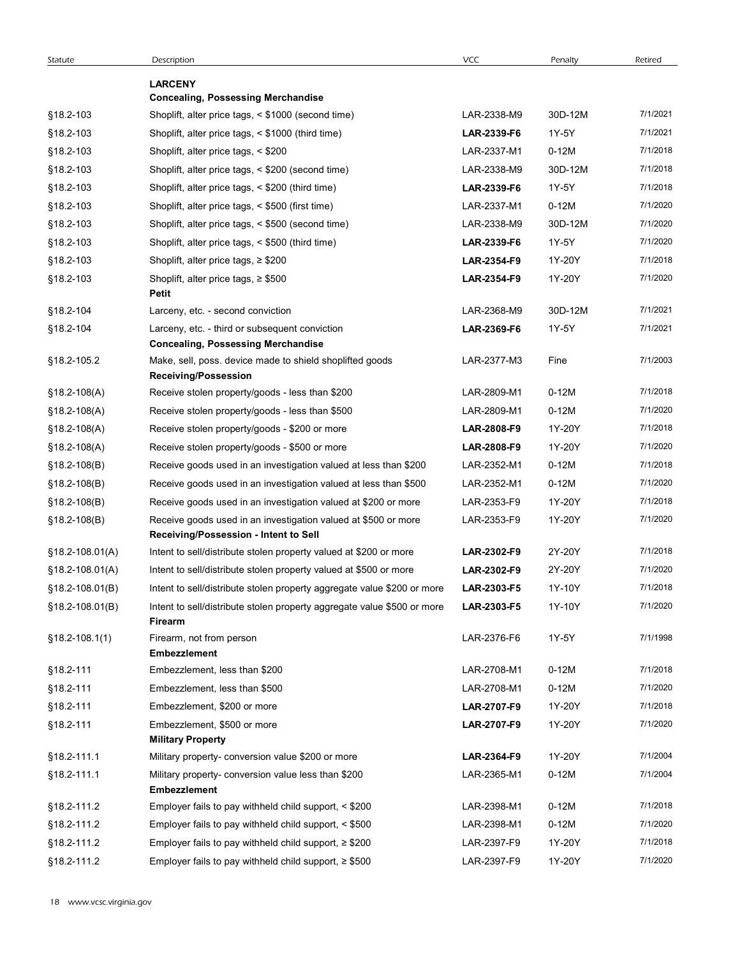| Statute             | Description                                                                                             | <b>VCC</b>                        | Penalty          | Retired              |
|---------------------|---------------------------------------------------------------------------------------------------------|-----------------------------------|------------------|----------------------|
|                     | <b>LARCENY</b>                                                                                          |                                   |                  |                      |
| §18.2-103           | <b>Concealing, Possessing Merchandise</b><br>Shoplift, alter price tags, < \$1000 (second time)         | LAR-2338-M9                       | 30D-12M          | 7/1/2021             |
| §18.2-103           | Shoplift, alter price tags, < \$1000 (third time)                                                       | LAR-2339-F6                       | 1Y-5Y            | 7/1/2021             |
| §18.2-103           | Shoplift, alter price tags, < \$200                                                                     | LAR-2337-M1                       | $0-12M$          | 7/1/2018             |
| §18.2-103           | Shoplift, alter price tags, < \$200 (second time)                                                       | LAR-2338-M9                       | 30D-12M          | 7/1/2018             |
| §18.2-103           | Shoplift, alter price tags, < \$200 (third time)                                                        | LAR-2339-F6                       | 1Y-5Y            | 7/1/2018             |
| §18.2-103           | Shoplift, alter price tags, < \$500 (first time)                                                        | LAR-2337-M1                       | $0-12M$          | 7/1/2020             |
| §18.2-103           | Shoplift, alter price tags, < \$500 (second time)                                                       | LAR-2338-M9                       | 30D-12M          | 7/1/2020             |
| §18.2-103           | Shoplift, alter price tags, < \$500 (third time)                                                        | LAR-2339-F6                       | 1Y-5Y            | 7/1/2020             |
| §18.2-103           | Shoplift, alter price tags, $\ge$ \$200                                                                 | LAR-2354-F9                       | 1Y-20Y           | 7/1/2018             |
| §18.2-103           | Shoplift, alter price tags, $\ge$ \$500                                                                 | LAR-2354-F9                       | 1Y-20Y           | 7/1/2020             |
|                     | Petit                                                                                                   |                                   |                  |                      |
| §18.2-104           | Larceny, etc. - second conviction                                                                       | LAR-2368-M9                       | 30D-12M          | 7/1/2021             |
| §18.2-104           | Larceny, etc. - third or subsequent conviction<br><b>Concealing, Possessing Merchandise</b>             | LAR-2369-F6                       | 1Y-5Y            | 7/1/2021             |
| §18.2-105.2         | Make, sell, poss. device made to shield shoplifted goods                                                | LAR-2377-M3                       | Fine             | 7/1/2003             |
|                     | <b>Receiving/Possession</b>                                                                             |                                   |                  |                      |
| $$18.2 - 108(A)$    | Receive stolen property/goods - less than \$200                                                         | LAR-2809-M1                       | $0-12M$          | 7/1/2018             |
| $$18.2 - 108(A)$    | Receive stolen property/goods - less than \$500                                                         | LAR-2809-M1                       | $0-12M$          | 7/1/2020             |
| $$18.2 - 108(A)$    | Receive stolen property/goods - \$200 or more                                                           | LAR-2808-F9                       | 1Y-20Y           | 7/1/2018             |
| $$18.2 - 108(A)$    | Receive stolen property/goods - \$500 or more                                                           | <b>LAR-2808-F9</b>                | 1Y-20Y           | 7/1/2020             |
| $$18.2 - 108(B)$    | Receive goods used in an investigation valued at less than \$200                                        | LAR-2352-M1                       | $0-12M$          | 7/1/2018             |
| $$18.2 - 108(B)$    | Receive goods used in an investigation valued at less than \$500                                        | LAR-2352-M1                       | $0-12M$          | 7/1/2020             |
| $§18.2-108(B)$      | Receive goods used in an investigation valued at \$200 or more                                          | LAR-2353-F9                       | 1Y-20Y           | 7/1/2018             |
| $§18.2-108(B)$      | Receive goods used in an investigation valued at \$500 or more<br>Receiving/Possession - Intent to Sell | LAR-2353-F9                       | 1Y-20Y           | 7/1/2020             |
| $$18.2 - 108.01(A)$ | Intent to sell/distribute stolen property valued at \$200 or more                                       | LAR-2302-F9                       | 2Y-20Y           | 7/1/2018             |
| $$18.2 - 108.01(A)$ | Intent to sell/distribute stolen property valued at \$500 or more                                       | LAR-2302-F9                       | 2Y-20Y           | 7/1/2020             |
| $$18.2 - 108.01(B)$ | Intent to sell/distribute stolen property aggregate value \$200 or more                                 | LAR-2303-F5                       | 1Y-10Y           | 7/1/2018             |
| $§18.2 - 108.01(B)$ | Intent to sell/distribute stolen property aggregate value \$500 or more                                 | LAR-2303-F5                       | 1Y-10Y           | 7/1/2020             |
|                     | Firearm                                                                                                 |                                   |                  |                      |
| $§18.2 - 108.1(1)$  | Firearm, not from person                                                                                | LAR-2376-F6                       | 1Y-5Y            | 7/1/1998             |
|                     | <b>Embezzlement</b>                                                                                     |                                   |                  |                      |
| §18.2-111           | Embezzlement, less than \$200                                                                           | LAR-2708-M1                       | $0-12M$          | 7/1/2018             |
| §18.2-111           | Embezzlement, less than \$500                                                                           | LAR-2708-M1                       | $0-12M$          | 7/1/2020             |
| §18.2-111           | Embezzlement, \$200 or more<br>Embezzlement, \$500 or more                                              | <b>LAR-2707-F9</b><br>LAR-2707-F9 | 1Y-20Y<br>1Y-20Y | 7/1/2018<br>7/1/2020 |
| §18.2-111           | <b>Military Property</b>                                                                                |                                   |                  |                      |
| §18.2-111.1         | Military property- conversion value \$200 or more                                                       | LAR-2364-F9                       | 1Y-20Y           | 7/1/2004             |
| §18.2-111.1         | Military property- conversion value less than \$200                                                     | LAR-2365-M1                       | $0-12M$          | 7/1/2004             |
|                     | Embezzlement                                                                                            |                                   |                  |                      |
| §18.2-111.2         | Employer fails to pay withheld child support, < \$200                                                   | LAR-2398-M1                       | $0-12M$          | 7/1/2018             |
| §18.2-111.2         | Employer fails to pay withheld child support, < \$500                                                   | LAR-2398-M1                       | $0-12M$          | 7/1/2020             |
| §18.2-111.2         | Employer fails to pay withheld child support, $\geq$ \$200                                              | LAR-2397-F9                       | 1Y-20Y<br>1Y-20Y | 7/1/2018             |
| §18.2-111.2         | Employer fails to pay withheld child support, $\geq$ \$500                                              | LAR-2397-F9                       |                  |                      |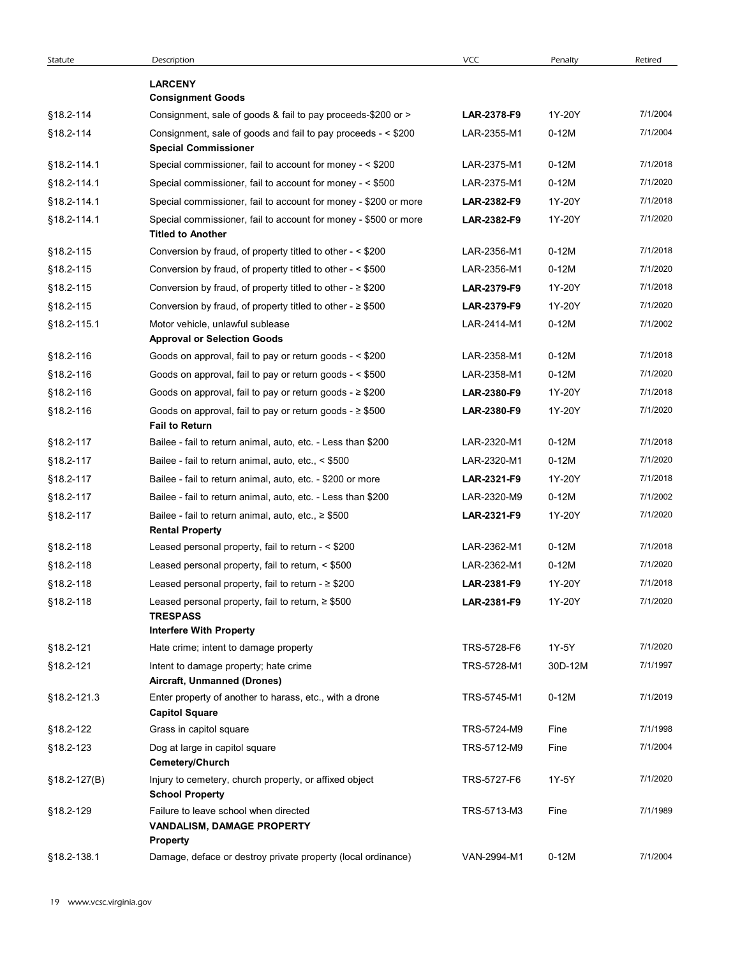| Statute      | Description                                                                                            | VCC         | Penalty | Retired  |
|--------------|--------------------------------------------------------------------------------------------------------|-------------|---------|----------|
|              | <b>LARCENY</b><br><b>Consignment Goods</b>                                                             |             |         |          |
| §18.2-114    | Consignment, sale of goods & fail to pay proceeds-\$200 or >                                           | LAR-2378-F9 | 1Y-20Y  | 7/1/2004 |
| §18.2-114    | Consignment, sale of goods and fail to pay proceeds - < \$200<br><b>Special Commissioner</b>           | LAR-2355-M1 | $0-12M$ | 7/1/2004 |
| §18.2-114.1  | Special commissioner, fail to account for money - < \$200                                              | LAR-2375-M1 | $0-12M$ | 7/1/2018 |
| §18.2-114.1  | Special commissioner, fail to account for money - < \$500                                              | LAR-2375-M1 | $0-12M$ | 7/1/2020 |
| §18.2-114.1  | Special commissioner, fail to account for money - \$200 or more                                        | LAR-2382-F9 | 1Y-20Y  | 7/1/2018 |
| §18.2-114.1  | Special commissioner, fail to account for money - \$500 or more                                        | LAR-2382-F9 | 1Y-20Y  | 7/1/2020 |
|              | <b>Titled to Another</b>                                                                               |             |         |          |
| §18.2-115    | Conversion by fraud, of property titled to other - < \$200                                             | LAR-2356-M1 | $0-12M$ | 7/1/2018 |
| §18.2-115    | Conversion by fraud, of property titled to other - < \$500                                             | LAR-2356-M1 | $0-12M$ | 7/1/2020 |
| §18.2-115    | Conversion by fraud, of property titled to other - $\geq$ \$200                                        | LAR-2379-F9 | 1Y-20Y  | 7/1/2018 |
| §18.2-115    | Conversion by fraud, of property titled to other - $\geq$ \$500                                        | LAR-2379-F9 | 1Y-20Y  | 7/1/2020 |
| §18.2-115.1  | Motor vehicle, unlawful sublease<br><b>Approval or Selection Goods</b>                                 | LAR-2414-M1 | $0-12M$ | 7/1/2002 |
| §18.2-116    | Goods on approval, fail to pay or return goods - < \$200                                               | LAR-2358-M1 | $0-12M$ | 7/1/2018 |
| §18.2-116    | Goods on approval, fail to pay or return goods - < \$500                                               | LAR-2358-M1 | $0-12M$ | 7/1/2020 |
| §18.2-116    | Goods on approval, fail to pay or return goods - ≥ \$200                                               | LAR-2380-F9 | 1Y-20Y  | 7/1/2018 |
| §18.2-116    | Goods on approval, fail to pay or return goods - ≥ \$500                                               | LAR-2380-F9 | 1Y-20Y  | 7/1/2020 |
|              | <b>Fail to Return</b>                                                                                  |             |         | 7/1/2018 |
| §18.2-117    | Bailee - fail to return animal, auto, etc. - Less than \$200                                           | LAR-2320-M1 | $0-12M$ |          |
| §18.2-117    | Bailee - fail to return animal, auto, etc., < \$500                                                    | LAR-2320-M1 | $0-12M$ | 7/1/2020 |
| §18.2-117    | Bailee - fail to return animal, auto, etc. - \$200 or more                                             | LAR-2321-F9 | 1Y-20Y  | 7/1/2018 |
| §18.2-117    | Bailee - fail to return animal, auto, etc. - Less than \$200                                           | LAR-2320-M9 | $0-12M$ | 7/1/2002 |
| §18.2-117    | Bailee - fail to return animal, auto, etc., ≥ \$500<br><b>Rental Property</b>                          | LAR-2321-F9 | 1Y-20Y  | 7/1/2020 |
| §18.2-118    | Leased personal property, fail to return - < \$200                                                     | LAR-2362-M1 | $0-12M$ | 7/1/2018 |
| §18.2-118    | Leased personal property, fail to return, < \$500                                                      | LAR-2362-M1 | $0-12M$ | 7/1/2020 |
| §18.2-118    | Leased personal property, fail to return - ≥ \$200                                                     | LAR-2381-F9 | 1Y-20Y  | 7/1/2018 |
| §18.2-118    | Leased personal property, fail to return, ≥ \$500<br><b>TRESPASS</b><br><b>Interfere With Property</b> | LAR-2381-F9 | 1Y-20Y  | 7/1/2020 |
| §18.2-121    | Hate crime; intent to damage property                                                                  | TRS-5728-F6 | 1Y-5Y   | 7/1/2020 |
| §18.2-121    | Intent to damage property; hate crime                                                                  | TRS-5728-M1 | 30D-12M | 7/1/1997 |
| §18.2-121.3  | Aircraft, Unmanned (Drones)<br>Enter property of another to harass, etc., with a drone                 | TRS-5745-M1 | $0-12M$ | 7/1/2019 |
|              | <b>Capitol Square</b>                                                                                  |             |         |          |
| §18.2-122    | Grass in capitol square                                                                                | TRS-5724-M9 | Fine    | 7/1/1998 |
| §18.2-123    | Dog at large in capitol square<br>Cemetery/Church                                                      | TRS-5712-M9 | Fine    | 7/1/2004 |
| §18.2-127(B) | Injury to cemetery, church property, or affixed object<br><b>School Property</b>                       | TRS-5727-F6 | 1Y-5Y   | 7/1/2020 |
| §18.2-129    | Failure to leave school when directed<br>VANDALISM, DAMAGE PROPERTY<br><b>Property</b>                 | TRS-5713-M3 | Fine    | 7/1/1989 |
|              | Damage, deface or destroy private property (local ordinance)                                           | VAN-2994-M1 | $0-12M$ | 7/1/2004 |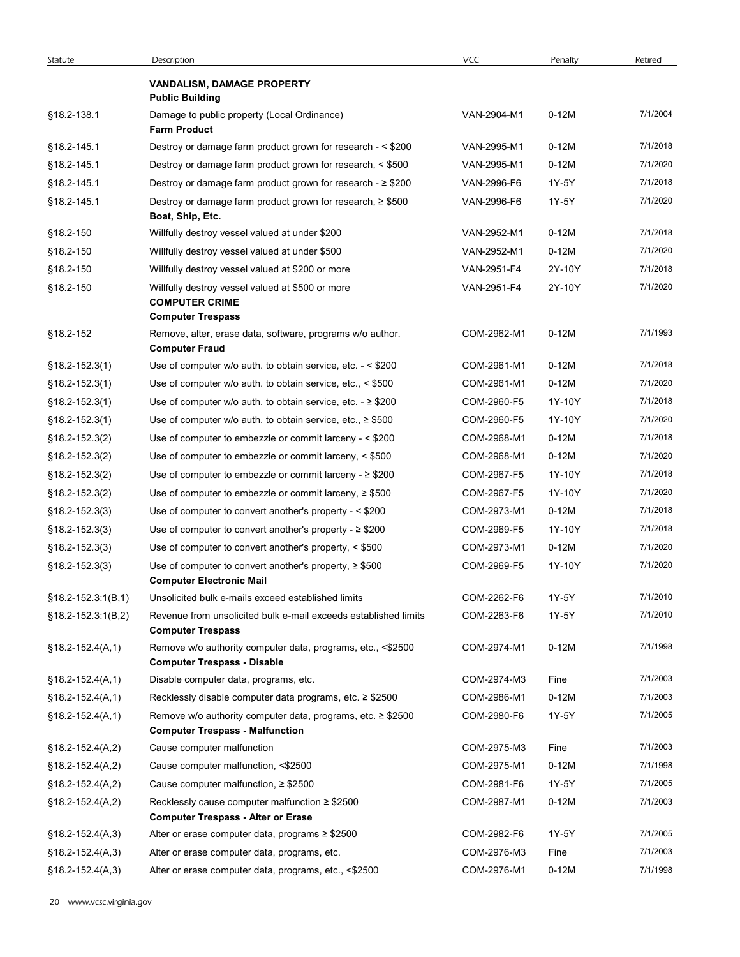| Statute                | Description                                                                                                    | <b>VCC</b>  | Penalty | Retired  |
|------------------------|----------------------------------------------------------------------------------------------------------------|-------------|---------|----------|
|                        | <b>VANDALISM, DAMAGE PROPERTY</b><br><b>Public Building</b>                                                    |             |         |          |
| §18.2-138.1            | Damage to public property (Local Ordinance)<br><b>Farm Product</b>                                             | VAN-2904-M1 | $0-12M$ | 7/1/2004 |
| §18.2-145.1            | Destroy or damage farm product grown for research - < \$200                                                    | VAN-2995-M1 | $0-12M$ | 7/1/2018 |
| §18.2-145.1            | Destroy or damage farm product grown for research, < \$500                                                     | VAN-2995-M1 | $0-12M$ | 7/1/2020 |
| §18.2-145.1            | Destroy or damage farm product grown for research - $\geq$ \$200                                               | VAN-2996-F6 | 1Y-5Y   | 7/1/2018 |
| §18.2-145.1            | Destroy or damage farm product grown for research, ≥ \$500<br>Boat, Ship, Etc.                                 | VAN-2996-F6 | 1Y-5Y   | 7/1/2020 |
| §18.2-150              | Willfully destroy vessel valued at under \$200                                                                 | VAN-2952-M1 | $0-12M$ | 7/1/2018 |
| §18.2-150              | Willfully destroy vessel valued at under \$500                                                                 | VAN-2952-M1 | $0-12M$ | 7/1/2020 |
| §18.2-150              | Willfully destroy vessel valued at \$200 or more                                                               | VAN-2951-F4 | 2Y-10Y  | 7/1/2018 |
| §18.2-150              | Willfully destroy vessel valued at \$500 or more<br><b>COMPUTER CRIME</b>                                      | VAN-2951-F4 | 2Y-10Y  | 7/1/2020 |
| §18.2-152              | <b>Computer Trespass</b><br>Remove, alter, erase data, software, programs w/o author.<br><b>Computer Fraud</b> | COM-2962-M1 | $0-12M$ | 7/1/1993 |
| $§18.2 - 152.3(1)$     | Use of computer w/o auth. to obtain service, etc. - < \$200                                                    | COM-2961-M1 | $0-12M$ | 7/1/2018 |
| $§18.2 - 152.3(1)$     | Use of computer w/o auth. to obtain service, etc., < \$500                                                     | COM-2961-M1 | $0-12M$ | 7/1/2020 |
| $§18.2 - 152.3(1)$     | Use of computer w/o auth. to obtain service, etc. $\ge$ \$200                                                  | COM-2960-F5 | 1Y-10Y  | 7/1/2018 |
| $§18.2 - 152.3(1)$     | Use of computer w/o auth. to obtain service, etc., $\geq$ \$500                                                | COM-2960-F5 | 1Y-10Y  | 7/1/2020 |
| $$18.2 - 152.3(2)$     | Use of computer to embezzle or commit larceny - < \$200                                                        | COM-2968-M1 | $0-12M$ | 7/1/2018 |
| §18.2-152.3(2)         | Use of computer to embezzle or commit larceny, < \$500                                                         | COM-2968-M1 | $0-12M$ | 7/1/2020 |
| §18.2-152.3(2)         | Use of computer to embezzle or commit larceny - $\geq$ \$200                                                   | COM-2967-F5 | 1Y-10Y  | 7/1/2018 |
| $$18.2 - 152.3(2)$     | Use of computer to embezzle or commit larceny, $\geq$ \$500                                                    | COM-2967-F5 | 1Y-10Y  | 7/1/2020 |
| $$18.2 - 152.3(3)$     | Use of computer to convert another's property - < \$200                                                        | COM-2973-M1 | $0-12M$ | 7/1/2018 |
| $$18.2 - 152.3(3)$     | Use of computer to convert another's property - $\geq$ \$200                                                   | COM-2969-F5 | 1Y-10Y  | 7/1/2018 |
|                        |                                                                                                                | COM-2973-M1 | $0-12M$ | 7/1/2020 |
| $$18.2 - 152.3(3)$     | Use of computer to convert another's property, < \$500                                                         |             |         | 7/1/2020 |
| $§18.2-152.3(3)$       | Use of computer to convert another's property, $\geq$ \$500<br><b>Computer Electronic Mail</b>                 | COM-2969-F5 | 1Y-10Y  |          |
| $$18.2 - 152.3:1(B,1)$ | Unsolicited bulk e-mails exceed established limits                                                             | COM-2262-F6 | 1Y-5Y   | 7/1/2010 |
| $§18.2-152.3:1(B,2)$   | Revenue from unsolicited bulk e-mail exceeds established limits<br><b>Computer Trespass</b>                    | COM-2263-F6 | 1Y-5Y   | 7/1/2010 |
| $§18.2-152.4(A,1)$     | Remove w/o authority computer data, programs, etc., <\$2500<br><b>Computer Trespass - Disable</b>              | COM-2974-M1 | $0-12M$ | 7/1/1998 |
| $$18.2 - 152.4(A, 1)$  | Disable computer data, programs, etc.                                                                          | COM-2974-M3 | Fine    | 7/1/2003 |
| $$18.2 - 152.4(A, 1)$  | Recklessly disable computer data programs, etc. $\geq$ \$2500                                                  | COM-2986-M1 | $0-12M$ | 7/1/2003 |
| $§18.2-152.4(A,1)$     | Remove w/o authority computer data, programs, etc. $\geq$ \$2500<br><b>Computer Trespass - Malfunction</b>     | COM-2980-F6 | 1Y-5Y   | 7/1/2005 |
| $$18.2 - 152.4(A,2)$   | Cause computer malfunction                                                                                     | COM-2975-M3 | Fine    | 7/1/2003 |
| $$18.2 - 152.4(A,2)$   | Cause computer malfunction, <\$2500                                                                            | COM-2975-M1 | $0-12M$ | 7/1/1998 |
| $§18.2-152.4(A,2)$     | Cause computer malfunction, $\geq$ \$2500                                                                      | COM-2981-F6 | 1Y-5Y   | 7/1/2005 |
| $$18.2 - 152.4(A,2)$   | Recklessly cause computer malfunction $\geq$ \$2500<br><b>Computer Trespass - Alter or Erase</b>               | COM-2987-M1 | $0-12M$ | 7/1/2003 |
| $$18.2 - 152.4(A,3)$   | Alter or erase computer data, programs $\geq$ \$2500                                                           | COM-2982-F6 | 1Y-5Y   | 7/1/2005 |
|                        | Alter or erase computer data, programs, etc.                                                                   | COM-2976-M3 | Fine    | 7/1/2003 |
| $$18.2 - 152.4(A,3)$   |                                                                                                                |             | $0-12M$ | 7/1/1998 |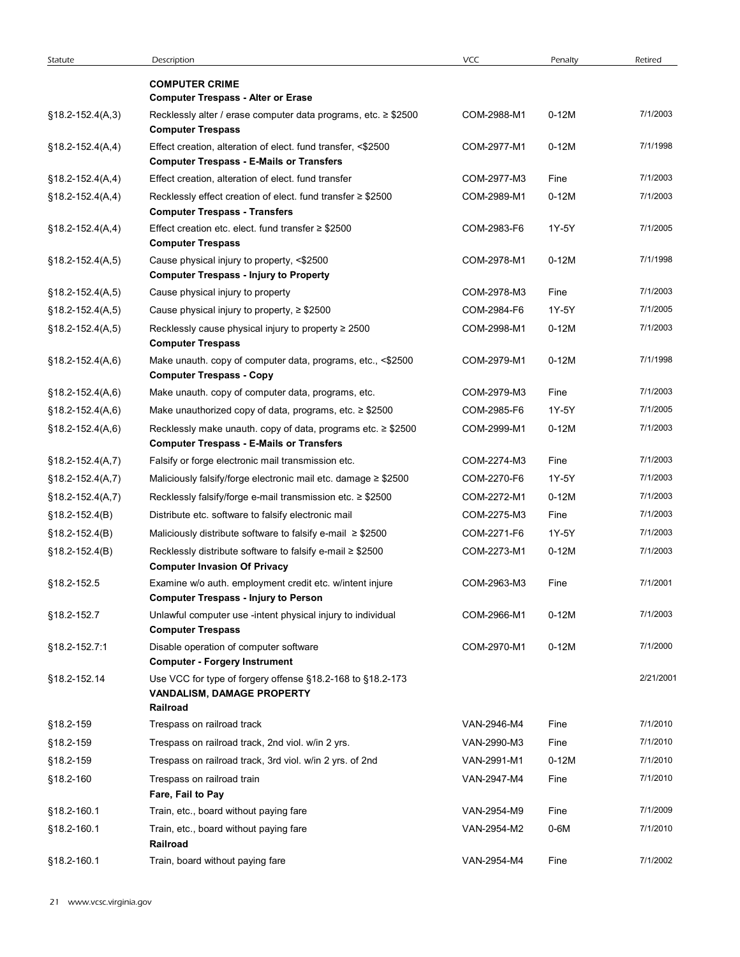| Statute               | Description                                                                                                                             | <b>VCC</b>  | Penalty | Retired   |
|-----------------------|-----------------------------------------------------------------------------------------------------------------------------------------|-------------|---------|-----------|
|                       | <b>COMPUTER CRIME</b>                                                                                                                   |             |         |           |
| $§18.2-152.4(A,3)$    | <b>Computer Trespass - Alter or Erase</b><br>Recklessly alter / erase computer data programs, etc. ≥ \$2500<br><b>Computer Trespass</b> | COM-2988-M1 | $0-12M$ | 7/1/2003  |
| $$18.2 - 152.4(A, 4)$ | Effect creation, alteration of elect. fund transfer, <\$2500<br><b>Computer Trespass - E-Mails or Transfers</b>                         | COM-2977-M1 | $0-12M$ | 7/1/1998  |
| $$18.2 - 152.4(A, 4)$ | Effect creation, alteration of elect. fund transfer                                                                                     | COM-2977-M3 | Fine    | 7/1/2003  |
| $§18.2-152.4(A,4)$    | Recklessly effect creation of elect. fund transfer ≥ \$2500<br><b>Computer Trespass - Transfers</b>                                     | COM-2989-M1 | $0-12M$ | 7/1/2003  |
| $$18.2 - 152.4(A, 4)$ | Effect creation etc. elect. fund transfer $\geq$ \$2500<br><b>Computer Trespass</b>                                                     | COM-2983-F6 | 1Y-5Y   | 7/1/2005  |
| $§18.2-152.4(A,5)$    | Cause physical injury to property, <\$2500<br><b>Computer Trespass - Injury to Property</b>                                             | COM-2978-M1 | $0-12M$ | 7/1/1998  |
| §18.2-152.4(A,5)      | Cause physical injury to property                                                                                                       | COM-2978-M3 | Fine    | 7/1/2003  |
| $§18.2-152.4(A,5)$    | Cause physical injury to property, $\geq$ \$2500                                                                                        | COM-2984-F6 | 1Y-5Y   | 7/1/2005  |
| $$18.2 - 152.4(A, 5)$ | Recklessly cause physical injury to property ≥ 2500<br><b>Computer Trespass</b>                                                         | COM-2998-M1 | $0-12M$ | 7/1/2003  |
| $$18.2 - 152.4(A, 6)$ | Make unauth. copy of computer data, programs, etc., <\$2500<br><b>Computer Trespass - Copy</b>                                          | COM-2979-M1 | $0-12M$ | 7/1/1998  |
| $$18.2 - 152.4(A, 6)$ | Make unauth. copy of computer data, programs, etc.                                                                                      | COM-2979-M3 | Fine    | 7/1/2003  |
| $§18.2-152.4(A,6)$    | Make unauthorized copy of data, programs, etc. ≥ \$2500                                                                                 | COM-2985-F6 | 1Y-5Y   | 7/1/2005  |
| $§18.2-152.4(A,6)$    | Recklessly make unauth. copy of data, programs etc. ≥ \$2500<br><b>Computer Trespass - E-Mails or Transfers</b>                         | COM-2999-M1 | $0-12M$ | 7/1/2003  |
| $$18.2 - 152.4(A,7)$  | Falsify or forge electronic mail transmission etc.                                                                                      | COM-2274-M3 | Fine    | 7/1/2003  |
| $$18.2 - 152.4(A,7)$  | Maliciously falsify/forge electronic mail etc. damage ≥ \$2500                                                                          | COM-2270-F6 | 1Y-5Y   | 7/1/2003  |
| $$18.2 - 152.4(A,7)$  | Recklessly falsify/forge e-mail transmission etc. ≥ \$2500                                                                              | COM-2272-M1 | $0-12M$ | 7/1/2003  |
| $$18.2 - 152.4(B)$    | Distribute etc. software to falsify electronic mail                                                                                     | COM-2275-M3 | Fine    | 7/1/2003  |
| $$18.2 - 152.4(B)$    | Maliciously distribute software to falsify e-mail $\geq$ \$2500                                                                         | COM-2271-F6 | 1Y-5Y   | 7/1/2003  |
| $$18.2 - 152.4(B)$    | Recklessly distribute software to falsify e-mail ≥ \$2500<br><b>Computer Invasion Of Privacy</b>                                        | COM-2273-M1 | $0-12M$ | 7/1/2003  |
| §18.2-152.5           | Examine w/o auth. employment credit etc. w/intent injure<br><b>Computer Trespass - Injury to Person</b>                                 | COM-2963-M3 | Fine    | 7/1/2001  |
| §18.2-152.7           | Unlawful computer use -intent physical injury to individual<br><b>Computer Trespass</b>                                                 | COM-2966-M1 | $0-12M$ | 7/1/2003  |
| §18.2-152.7:1         | Disable operation of computer software<br><b>Computer - Forgery Instrument</b>                                                          | COM-2970-M1 | $0-12M$ | 7/1/2000  |
| §18.2-152.14          | Use VCC for type of forgery offense §18.2-168 to §18.2-173<br>VANDALISM, DAMAGE PROPERTY<br>Railroad                                    |             |         | 2/21/2001 |
| §18.2-159             | Trespass on railroad track                                                                                                              | VAN-2946-M4 | Fine    | 7/1/2010  |
| §18.2-159             | Trespass on railroad track, 2nd viol. w/in 2 yrs.                                                                                       | VAN-2990-M3 | Fine    | 7/1/2010  |
| §18.2-159             | Trespass on railroad track, 3rd viol. w/in 2 yrs. of 2nd                                                                                | VAN-2991-M1 | $0-12M$ | 7/1/2010  |
| §18.2-160             | Trespass on railroad train<br>Fare, Fail to Pay                                                                                         | VAN-2947-M4 | Fine    | 7/1/2010  |
| §18.2-160.1           | Train, etc., board without paying fare                                                                                                  | VAN-2954-M9 | Fine    | 7/1/2009  |
| §18.2-160.1           | Train, etc., board without paying fare<br>Railroad                                                                                      | VAN-2954-M2 | 0-6M    | 7/1/2010  |
|                       |                                                                                                                                         |             |         |           |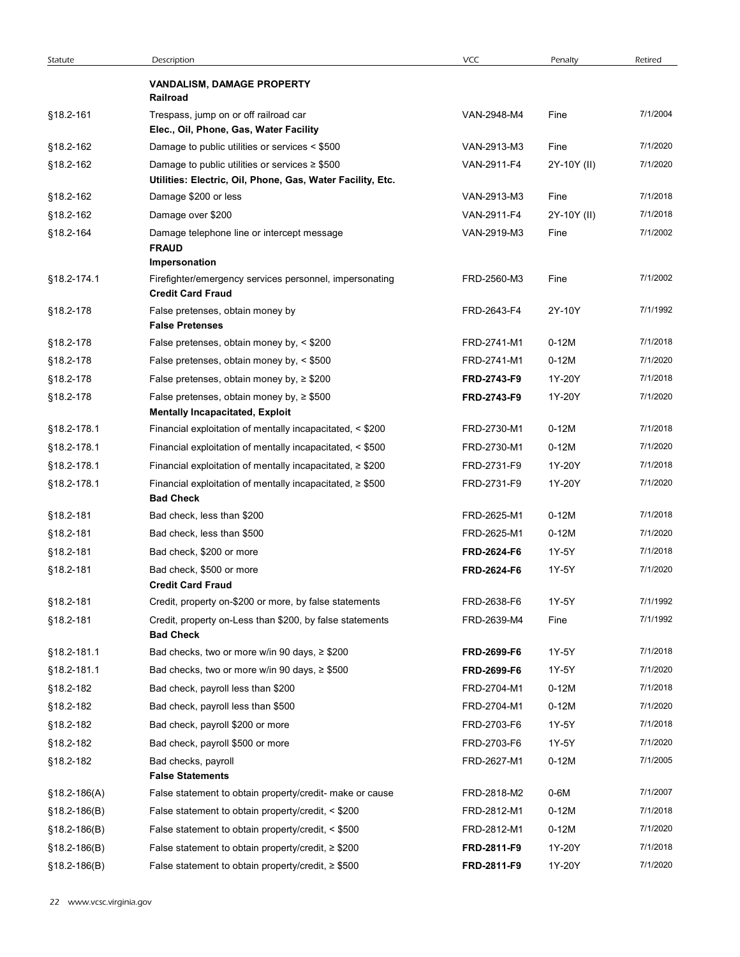| Statute                | Description                                                                                                       | <b>VCC</b>                 | Penalty        | Retired              |
|------------------------|-------------------------------------------------------------------------------------------------------------------|----------------------------|----------------|----------------------|
|                        | <b>VANDALISM, DAMAGE PROPERTY</b><br>Railroad                                                                     |                            |                |                      |
| §18.2-161              | Trespass, jump on or off railroad car<br>Elec., Oil, Phone, Gas, Water Facility                                   | VAN-2948-M4                | Fine           | 7/1/2004             |
| §18.2-162              | Damage to public utilities or services < \$500                                                                    | VAN-2913-M3                | Fine           | 7/1/2020             |
| §18.2-162              | Damage to public utilities or services $\geq$ \$500<br>Utilities: Electric, Oil, Phone, Gas, Water Facility, Etc. | VAN-2911-F4                | 2Y-10Y (II)    | 7/1/2020             |
| §18.2-162              | Damage \$200 or less                                                                                              | VAN-2913-M3                | Fine           | 7/1/2018             |
| §18.2-162              | Damage over \$200                                                                                                 | VAN-2911-F4                | 2Y-10Y (II)    | 7/1/2018             |
| §18.2-164              | Damage telephone line or intercept message<br><b>FRAUD</b><br>Impersonation                                       | VAN-2919-M3                | Fine           | 7/1/2002             |
| §18.2-174.1            | Firefighter/emergency services personnel, impersonating<br><b>Credit Card Fraud</b>                               | FRD-2560-M3                | Fine           | 7/1/2002             |
| §18.2-178              | False pretenses, obtain money by<br><b>False Pretenses</b>                                                        | FRD-2643-F4                | 2Y-10Y         | 7/1/1992             |
| §18.2-178              | False pretenses, obtain money by, < \$200                                                                         | FRD-2741-M1                | $0-12M$        | 7/1/2018             |
| §18.2-178              | False pretenses, obtain money by, < \$500                                                                         | FRD-2741-M1                | $0-12M$        | 7/1/2020             |
| §18.2-178              | False pretenses, obtain money by, $\geq$ \$200                                                                    | FRD-2743-F9                | 1Y-20Y         | 7/1/2018             |
| §18.2-178              | False pretenses, obtain money by, ≥ \$500<br><b>Mentally Incapacitated, Exploit</b>                               | FRD-2743-F9                | 1Y-20Y         | 7/1/2020             |
| §18.2-178.1            | Financial exploitation of mentally incapacitated, < \$200                                                         | FRD-2730-M1                | $0-12M$        | 7/1/2018             |
| §18.2-178.1            | Financial exploitation of mentally incapacitated, < \$500                                                         | FRD-2730-M1                | $0-12M$        | 7/1/2020             |
| §18.2-178.1            | Financial exploitation of mentally incapacitated, ≥ \$200                                                         | FRD-2731-F9                | 1Y-20Y         | 7/1/2018             |
| §18.2-178.1            | Financial exploitation of mentally incapacitated, ≥ \$500<br><b>Bad Check</b>                                     | FRD-2731-F9                | 1Y-20Y         | 7/1/2020             |
| §18.2-181              | Bad check, less than \$200                                                                                        | FRD-2625-M1                | $0-12M$        | 7/1/2018             |
| §18.2-181              | Bad check, less than \$500                                                                                        | FRD-2625-M1                | $0-12M$        | 7/1/2020             |
| §18.2-181              | Bad check, \$200 or more                                                                                          | FRD-2624-F6                | 1Y-5Y          | 7/1/2018             |
| §18.2-181<br>§18.2-181 | Bad check, \$500 or more<br><b>Credit Card Fraud</b><br>Credit, property on-\$200 or more, by false statements    | FRD-2624-F6<br>FRD-2638-F6 | 1Y-5Y<br>1Y-5Y | 7/1/2020<br>7/1/1992 |
| §18.2-181              | Credit, property on-Less than \$200, by false statements                                                          | FRD-2639-M4                | Fine           | 7/1/1992             |
| §18.2-181.1            | <b>Bad Check</b><br>Bad checks, two or more w/in 90 days, ≥ \$200                                                 | <b>FRD-2699-F6</b>         | 1Y-5Y          | 7/1/2018             |
| §18.2-181.1            | Bad checks, two or more w/in 90 days, ≥ \$500                                                                     | <b>FRD-2699-F6</b>         | 1Y-5Y          | 7/1/2020             |
| §18.2-182              | Bad check, payroll less than \$200                                                                                | FRD-2704-M1                | $0-12M$        | 7/1/2018             |
| §18.2-182              | Bad check, payroll less than \$500                                                                                | FRD-2704-M1                | $0-12M$        | 7/1/2020             |
| §18.2-182              | Bad check, payroll \$200 or more                                                                                  | FRD-2703-F6                | 1Y-5Y          | 7/1/2018             |
| §18.2-182              | Bad check, payroll \$500 or more                                                                                  | FRD-2703-F6                | 1Y-5Y          | 7/1/2020             |
| §18.2-182              | Bad checks, payroll<br><b>False Statements</b>                                                                    | FRD-2627-M1                | $0-12M$        | 7/1/2005             |
| $$18.2 - 186(A)$       | False statement to obtain property/credit- make or cause                                                          | FRD-2818-M2                | $0-6M$         | 7/1/2007             |
| $$18.2 - 186(B)$       | False statement to obtain property/credit, < \$200                                                                | FRD-2812-M1                | $0-12M$        | 7/1/2018             |
| $$18.2 - 186(B)$       | False statement to obtain property/credit, < \$500                                                                | FRD-2812-M1                | $0-12M$        | 7/1/2020             |
| $$18.2 - 186(B)$       | False statement to obtain property/credit, ≥ \$200                                                                | FRD-2811-F9                | 1Y-20Y         | 7/1/2018             |
| $$18.2 - 186(B)$       | False statement to obtain property/credit, $\geq$ \$500                                                           | FRD-2811-F9                | 1Y-20Y         | 7/1/2020             |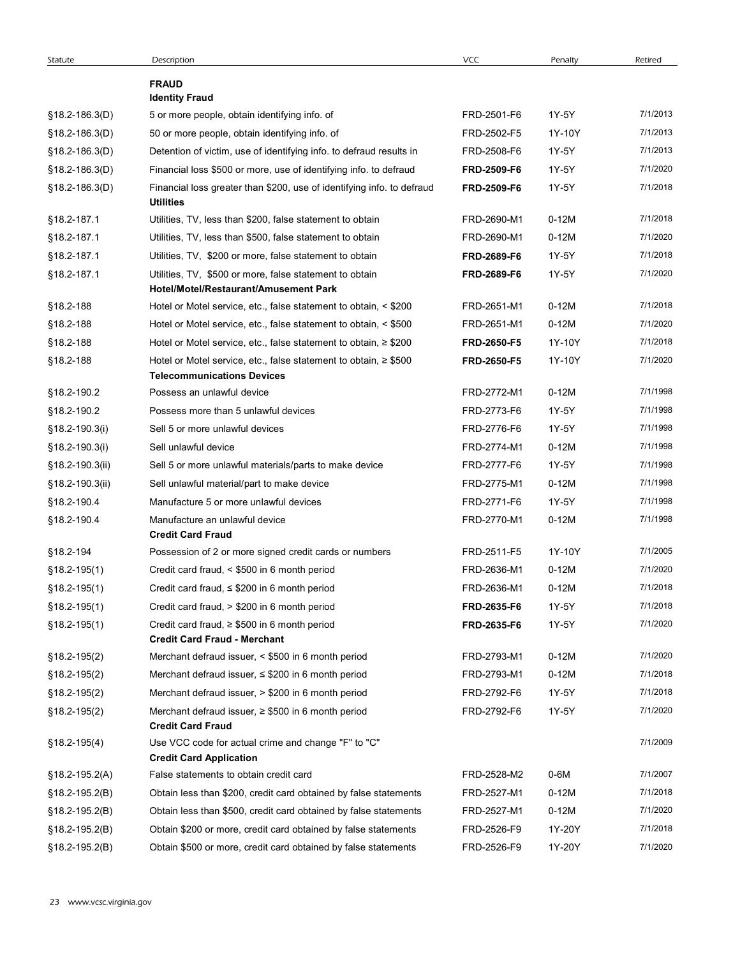| Statute            | Description                                                                                                | <b>VCC</b>         | Penalty | Retired              |
|--------------------|------------------------------------------------------------------------------------------------------------|--------------------|---------|----------------------|
|                    | <b>FRAUD</b><br><b>Identity Fraud</b>                                                                      |                    |         |                      |
| $$18.2 - 186.3(D)$ | 5 or more people, obtain identifying info. of                                                              | FRD-2501-F6        | 1Y-5Y   | 7/1/2013             |
| §18.2-186.3(D)     | 50 or more people, obtain identifying info. of                                                             | FRD-2502-F5        | 1Y-10Y  | 7/1/2013             |
| $$18.2 - 186.3(D)$ | Detention of victim, use of identifying info. to defraud results in                                        | FRD-2508-F6        | 1Y-5Y   | 7/1/2013             |
| $$18.2 - 186.3(D)$ | Financial loss \$500 or more, use of identifying info. to defraud                                          | <b>FRD-2509-F6</b> | 1Y-5Y   | 7/1/2020             |
| $$18.2 - 186.3(D)$ | Financial loss greater than \$200, use of identifying info. to defraud<br><b>Utilities</b>                 | FRD-2509-F6        | 1Y-5Y   | 7/1/2018             |
| §18.2-187.1        | Utilities, TV, less than \$200, false statement to obtain                                                  | FRD-2690-M1        | $0-12M$ | 7/1/2018             |
| §18.2-187.1        | Utilities, TV, less than \$500, false statement to obtain                                                  | FRD-2690-M1        | $0-12M$ | 7/1/2020             |
| §18.2-187.1        | Utilities, TV, \$200 or more, false statement to obtain                                                    | FRD-2689-F6        | 1Y-5Y   | 7/1/2018             |
| §18.2-187.1        | Utilities, TV, \$500 or more, false statement to obtain                                                    | FRD-2689-F6        | 1Y-5Y   | 7/1/2020             |
| §18.2-188          | Hotel/Motel/Restaurant/Amusement Park<br>Hotel or Motel service, etc., false statement to obtain, < \$200  | FRD-2651-M1        | $0-12M$ | 7/1/2018             |
| §18.2-188          | Hotel or Motel service, etc., false statement to obtain, < \$500                                           | FRD-2651-M1        | $0-12M$ | 7/1/2020             |
| §18.2-188          | Hotel or Motel service, etc., false statement to obtain, ≥ \$200                                           | FRD-2650-F5        | 1Y-10Y  | 7/1/2018             |
| §18.2-188          | Hotel or Motel service, etc., false statement to obtain, $\geq$ \$500<br><b>Telecommunications Devices</b> | FRD-2650-F5        | 1Y-10Y  | 7/1/2020             |
| §18.2-190.2        | Possess an unlawful device                                                                                 | FRD-2772-M1        | $0-12M$ | 7/1/1998             |
| §18.2-190.2        | Possess more than 5 unlawful devices                                                                       | FRD-2773-F6        | 1Y-5Y   | 7/1/1998             |
| §18.2-190.3(i)     | Sell 5 or more unlawful devices                                                                            | FRD-2776-F6        | 1Y-5Y   | 7/1/1998             |
| §18.2-190.3(i)     | Sell unlawful device                                                                                       | FRD-2774-M1        | $0-12M$ | 7/1/1998             |
| §18.2-190.3(ii)    | Sell 5 or more unlawful materials/parts to make device                                                     | FRD-2777-F6        | 1Y-5Y   | 7/1/1998             |
| §18.2-190.3(ii)    | Sell unlawful material/part to make device                                                                 | FRD-2775-M1        | $0-12M$ | 7/1/1998             |
| §18.2-190.4        | Manufacture 5 or more unlawful devices                                                                     | FRD-2771-F6        | 1Y-5Y   | 7/1/1998             |
| §18.2-190.4        | Manufacture an unlawful device<br><b>Credit Card Fraud</b>                                                 | FRD-2770-M1        | $0-12M$ | 7/1/1998             |
| §18.2-194          | Possession of 2 or more signed credit cards or numbers                                                     | FRD-2511-F5        | 1Y-10Y  | 7/1/2005             |
| $$18.2 - 195(1)$   | Credit card fraud, < \$500 in 6 month period                                                               | FRD-2636-M1        | $0-12M$ | 7/1/2020             |
| $§18.2-195(1)$     | Credit card fraud, ≤ \$200 in 6 month period                                                               | FRD-2636-M1        | $0-12M$ | 7/1/2018             |
| $§18.2-195(1)$     | Credit card fraud, > \$200 in 6 month period                                                               | FRD-2635-F6        | 1Y-5Y   | 7/1/2018             |
| $§18.2-195(1)$     | Credit card fraud, $\geq$ \$500 in 6 month period<br><b>Credit Card Fraud - Merchant</b>                   | FRD-2635-F6        | 1Y-5Y   | 7/1/2020             |
| $§18.2-195(2)$     | Merchant defraud issuer, < \$500 in 6 month period                                                         | FRD-2793-M1        | $0-12M$ | 7/1/2020             |
| $$18.2 - 195(2)$   | Merchant defraud issuer, $\leq$ \$200 in 6 month period                                                    | FRD-2793-M1        | $0-12M$ | 7/1/2018             |
| $§18.2-195(2)$     | Merchant defraud issuer, > \$200 in 6 month period                                                         | FRD-2792-F6        | 1Y-5Y   | 7/1/2018             |
| $§18.2-195(2)$     | Merchant defraud issuer, $\geq$ \$500 in 6 month period                                                    | FRD-2792-F6        | 1Y-5Y   | 7/1/2020             |
| $§18.2-195(4)$     | <b>Credit Card Fraud</b><br>Use VCC code for actual crime and change "F" to "C"                            |                    |         | 7/1/2009             |
|                    | <b>Credit Card Application</b>                                                                             |                    |         |                      |
| $$18.2 - 195.2(A)$ | False statements to obtain credit card                                                                     | FRD-2528-M2        | $0-6M$  | 7/1/2007             |
| $$18.2-195.2(B)$   | Obtain less than \$200, credit card obtained by false statements                                           | FRD-2527-M1        | $0-12M$ | 7/1/2018             |
| §18.2-195.2(B)     | Obtain less than \$500, credit card obtained by false statements                                           | FRD-2527-M1        | $0-12M$ | 7/1/2020<br>7/1/2018 |
| $$18.2-195.2(B)$   | Obtain \$200 or more, credit card obtained by false statements                                             | FRD-2526-F9        | 1Y-20Y  |                      |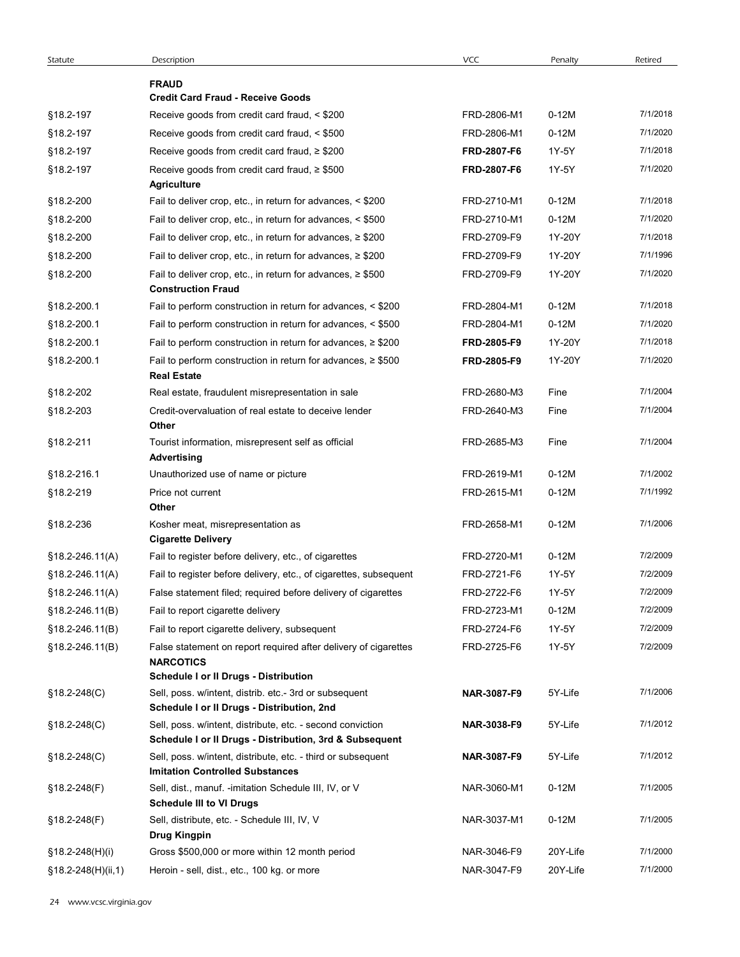| Statute                | Description                                                                                                                                   | <b>VCC</b>         | Penalty  | Retired  |
|------------------------|-----------------------------------------------------------------------------------------------------------------------------------------------|--------------------|----------|----------|
|                        | <b>FRAUD</b>                                                                                                                                  |                    |          |          |
|                        | <b>Credit Card Fraud - Receive Goods</b>                                                                                                      | FRD-2806-M1        | $0-12M$  | 7/1/2018 |
| §18.2-197<br>§18.2-197 | Receive goods from credit card fraud, < \$200<br>Receive goods from credit card fraud, < \$500                                                | FRD-2806-M1        | $0-12M$  | 7/1/2020 |
| §18.2-197              | Receive goods from credit card fraud, $\geq$ \$200                                                                                            | FRD-2807-F6        | 1Y-5Y    | 7/1/2018 |
| §18.2-197              | Receive goods from credit card fraud, $\geq$ \$500                                                                                            | FRD-2807-F6        | 1Y-5Y    | 7/1/2020 |
|                        | <b>Agriculture</b>                                                                                                                            |                    |          |          |
| §18.2-200              | Fail to deliver crop, etc., in return for advances, < \$200                                                                                   | FRD-2710-M1        | $0-12M$  | 7/1/2018 |
| §18.2-200              | Fail to deliver crop, etc., in return for advances, < \$500                                                                                   | FRD-2710-M1        | $0-12M$  | 7/1/2020 |
| §18.2-200              | Fail to deliver crop, etc., in return for advances, $\geq$ \$200                                                                              | FRD-2709-F9        | 1Y-20Y   | 7/1/2018 |
| §18.2-200              | Fail to deliver crop, etc., in return for advances, $\geq$ \$200                                                                              | FRD-2709-F9        | 1Y-20Y   | 7/1/1996 |
| §18.2-200              | Fail to deliver crop, etc., in return for advances, $\geq$ \$500<br><b>Construction Fraud</b>                                                 | FRD-2709-F9        | 1Y-20Y   | 7/1/2020 |
| §18.2-200.1            | Fail to perform construction in return for advances, < \$200                                                                                  | FRD-2804-M1        | $0-12M$  | 7/1/2018 |
| §18.2-200.1            | Fail to perform construction in return for advances, < \$500                                                                                  | FRD-2804-M1        | $0-12M$  | 7/1/2020 |
| §18.2-200.1            | Fail to perform construction in return for advances, $\geq$ \$200                                                                             | FRD-2805-F9        | 1Y-20Y   | 7/1/2018 |
| §18.2-200.1            | Fail to perform construction in return for advances, $\geq$ \$500<br><b>Real Estate</b>                                                       | FRD-2805-F9        | 1Y-20Y   | 7/1/2020 |
| §18.2-202              | Real estate, fraudulent misrepresentation in sale                                                                                             | FRD-2680-M3        | Fine     | 7/1/2004 |
| §18.2-203              | Credit-overvaluation of real estate to deceive lender<br>Other                                                                                | FRD-2640-M3        | Fine     | 7/1/2004 |
| §18.2-211              | Tourist information, misrepresent self as official<br>Advertising                                                                             | FRD-2685-M3        | Fine     | 7/1/2004 |
| §18.2-216.1            | Unauthorized use of name or picture                                                                                                           | FRD-2619-M1        | $0-12M$  | 7/1/2002 |
| §18.2-219              | Price not current<br>Other                                                                                                                    | FRD-2615-M1        | $0-12M$  | 7/1/1992 |
| §18.2-236              | Kosher meat, misrepresentation as<br><b>Cigarette Delivery</b>                                                                                | FRD-2658-M1        | $0-12M$  | 7/1/2006 |
| §18.2-246.11(A)        | Fail to register before delivery, etc., of cigarettes                                                                                         | FRD-2720-M1        | $0-12M$  | 7/2/2009 |
| $$18.2 - 246.11(A)$    | Fail to register before delivery, etc., of cigarettes, subsequent                                                                             | FRD-2721-F6        | 1Y-5Y    | 7/2/2009 |
| $$18.2 - 246.11(A)$    | False statement filed; required before delivery of cigarettes                                                                                 | FRD-2722-F6        | 1Y-5Y    | 7/2/2009 |
| $§18.2 - 246.11(B)$    | Fail to report cigarette delivery                                                                                                             | FRD-2723-M1        | $0-12M$  | 7/2/2009 |
| $$18.2 - 246.11(B)$    | Fail to report cigarette delivery, subsequent                                                                                                 | FRD-2724-F6        | 1Y-5Y    | 7/2/2009 |
| $$18.2 - 246.11(B)$    | False statement on report required after delivery of cigarettes<br><b>NARCOTICS</b>                                                           | FRD-2725-F6        | 1Y-5Y    | 7/2/2009 |
| $§18.2 - 248(C)$       | Schedule I or II Drugs - Distribution<br>Sell, poss. w/intent, distrib. etc.- 3rd or subsequent<br>Schedule I or II Drugs - Distribution, 2nd | <b>NAR-3087-F9</b> | 5Y-Life  | 7/1/2006 |
| $§18.2 - 248(C)$       | Sell, poss. w/intent, distribute, etc. - second conviction<br>Schedule I or II Drugs - Distribution, 3rd & Subsequent                         | NAR-3038-F9        | 5Y-Life  | 7/1/2012 |
| $§18.2 - 248(C)$       | Sell, poss. w/intent, distribute, etc. - third or subsequent<br><b>Imitation Controlled Substances</b>                                        | <b>NAR-3087-F9</b> | 5Y-Life  | 7/1/2012 |
| $$18.2 - 248(F)$       | Sell, dist., manuf. -imitation Schedule III, IV, or V<br><b>Schedule III to VI Drugs</b>                                                      | NAR-3060-M1        | $0-12M$  | 7/1/2005 |
| $$18.2 - 248(F)$       | Sell, distribute, etc. - Schedule III, IV, V<br><b>Drug Kingpin</b>                                                                           | NAR-3037-M1        | $0-12M$  | 7/1/2005 |
| $$18.2-248(H)(i)$      | Gross \$500,000 or more within 12 month period                                                                                                | NAR-3046-F9        | 20Y-Life | 7/1/2000 |
| $$18.2-248(H)(ii,1)$   | Heroin - sell, dist., etc., 100 kg. or more                                                                                                   | NAR-3047-F9        | 20Y-Life | 7/1/2000 |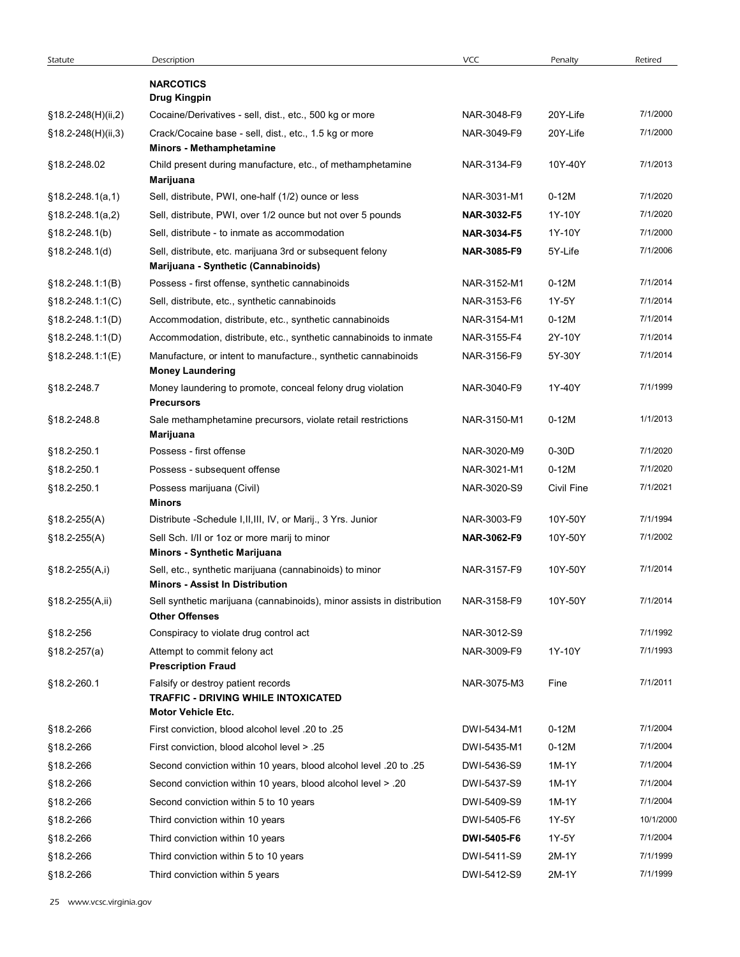| Statute                | Description                                                                               | <b>VCC</b>         | Penalty    | Retired   |
|------------------------|-------------------------------------------------------------------------------------------|--------------------|------------|-----------|
|                        | <b>NARCOTICS</b><br><b>Drug Kingpin</b>                                                   |                    |            |           |
| §18.2-248(H)(ii,2)     | Cocaine/Derivatives - sell, dist., etc., 500 kg or more                                   | NAR-3048-F9        | 20Y-Life   | 7/1/2000  |
| §18.2-248(H)(ii,3)     | Crack/Cocaine base - sell, dist., etc., 1.5 kg or more                                    | NAR-3049-F9        | 20Y-Life   | 7/1/2000  |
|                        | Minors - Methamphetamine                                                                  |                    |            |           |
| §18.2-248.02           | Child present during manufacture, etc., of methamphetamine<br>Marijuana                   | NAR-3134-F9        | 10Y-40Y    | 7/1/2013  |
| $$18.2 - 248.1(a,1)$   | Sell, distribute, PWI, one-half (1/2) ounce or less                                       | NAR-3031-M1        | $0-12M$    | 7/1/2020  |
| $$18.2-248.1(a,2)$     | Sell, distribute, PWI, over 1/2 ounce but not over 5 pounds                               | NAR-3032-F5        | 1Y-10Y     | 7/1/2020  |
| $§18.2 - 248.1(b)$     | Sell, distribute - to inmate as accommodation                                             | <b>NAR-3034-F5</b> | 1Y-10Y     | 7/1/2000  |
| $§18.2 - 248.1(d)$     | Sell, distribute, etc. marijuana 3rd or subsequent felony                                 | NAR-3085-F9        | 5Y-Life    | 7/1/2006  |
|                        | Marijuana - Synthetic (Cannabinoids)                                                      |                    |            |           |
| $§18.2 - 248.1 :1(B)$  | Possess - first offense, synthetic cannabinoids                                           | NAR-3152-M1        | $0-12M$    | 7/1/2014  |
| $§18.2 - 248.1:1(C)$   | Sell, distribute, etc., synthetic cannabinoids                                            | NAR-3153-F6        | 1Y-5Y      | 7/1/2014  |
| $$18.2 - 248.1:1(D)$   | Accommodation, distribute, etc., synthetic cannabinoids                                   | NAR-3154-M1        | $0-12M$    | 7/1/2014  |
| §18.2-248.1:1(D)       | Accommodation, distribute, etc., synthetic cannabinoids to inmate                         | NAR-3155-F4        | 2Y-10Y     | 7/1/2014  |
| §18.2-248.1:1(E)       | Manufacture, or intent to manufacture., synthetic cannabinoids<br><b>Money Laundering</b> | NAR-3156-F9        | 5Y-30Y     | 7/1/2014  |
| §18.2-248.7            | Money laundering to promote, conceal felony drug violation                                | NAR-3040-F9        | 1Y-40Y     | 7/1/1999  |
|                        | <b>Precursors</b>                                                                         |                    |            |           |
| §18.2-248.8            | Sale methamphetamine precursors, violate retail restrictions<br>Marijuana                 | NAR-3150-M1        | $0-12M$    | 1/1/2013  |
| §18.2-250.1            | Possess - first offense                                                                   | NAR-3020-M9        | $0-30D$    | 7/1/2020  |
| §18.2-250.1            | Possess - subsequent offense                                                              | NAR-3021-M1        | $0-12M$    | 7/1/2020  |
| §18.2-250.1            | Possess marijuana (Civil)                                                                 | NAR-3020-S9        | Civil Fine | 7/1/2021  |
|                        | Minors                                                                                    |                    |            |           |
| $§18.2-255(A)$         | Distribute -Schedule I, II, III, IV, or Marij., 3 Yrs. Junior                             | NAR-3003-F9        | 10Y-50Y    | 7/1/1994  |
| $$18.2 - 255(A)$       | Sell Sch. I/II or 1oz or more marij to minor                                              | NAR-3062-F9        | 10Y-50Y    | 7/1/2002  |
| $§18.2-255(A,i)$       | Minors - Synthetic Marijuana<br>Sell, etc., synthetic marijuana (cannabinoids) to minor   | NAR-3157-F9        | 10Y-50Y    | 7/1/2014  |
|                        | <b>Minors - Assist In Distribution</b>                                                    |                    |            |           |
| §18.2-255(A,ii)        | Sell synthetic marijuana (cannabinoids), minor assists in distribution                    | NAR-3158-F9        | 10Y-50Y    | 7/1/2014  |
|                        | <b>Other Offenses</b>                                                                     |                    |            |           |
| §18.2-256              | Conspiracy to violate drug control act                                                    | NAR-3012-S9        |            | 7/1/1992  |
| $§18.2-257(a)$         | Attempt to commit felony act<br><b>Prescription Fraud</b>                                 | NAR-3009-F9        | 1Y-10Y     | 7/1/1993  |
| §18.2-260.1            | Falsify or destroy patient records                                                        | NAR-3075-M3        | Fine       | 7/1/2011  |
|                        | TRAFFIC - DRIVING WHILE INTOXICATED                                                       |                    |            |           |
|                        | <b>Motor Vehicle Etc.</b>                                                                 |                    |            | 7/1/2004  |
| §18.2-266              | First conviction, blood alcohol level .20 to .25                                          | DWI-5434-M1        | $0-12M$    | 7/1/2004  |
| §18.2-266              | First conviction, blood alcohol level > .25                                               | DWI-5435-M1        | $0-12M$    | 7/1/2004  |
| §18.2-266              | Second conviction within 10 years, blood alcohol level .20 to .25                         | DWI-5436-S9        | 1M-1Y      | 7/1/2004  |
| §18.2-266              | Second conviction within 10 years, blood alcohol level > .20                              | DWI-5437-S9        | 1M-1Y      | 7/1/2004  |
| §18.2-266              | Second conviction within 5 to 10 years                                                    | DWI-5409-S9        | 1M-1Y      | 10/1/2000 |
| §18.2-266              | Third conviction within 10 years                                                          | DWI-5405-F6        | 1Y-5Y      | 7/1/2004  |
| §18.2-266<br>§18.2-266 | Third conviction within 10 years                                                          | DWI-5405-F6        | 1Y-5Y      | 7/1/1999  |
|                        | Third conviction within 5 to 10 years                                                     | DWI-5411-S9        | 2M-1Y      |           |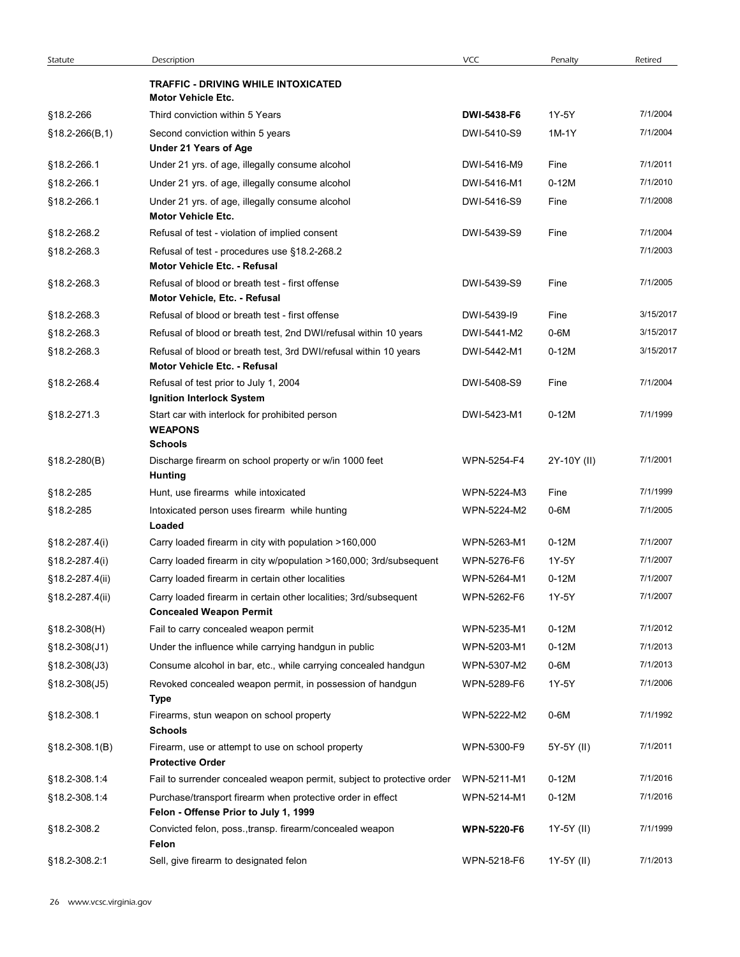| Statute             | Description                                                                                         | <b>VCC</b>         | Penalty     | Retired   |
|---------------------|-----------------------------------------------------------------------------------------------------|--------------------|-------------|-----------|
|                     | <b>TRAFFIC - DRIVING WHILE INTOXICATED</b>                                                          |                    |             |           |
| §18.2-266           | <b>Motor Vehicle Etc.</b><br>Third conviction within 5 Years                                        | DWI-5438-F6        | 1Y-5Y       | 7/1/2004  |
| $$18.2 - 266(B, 1)$ | Second conviction within 5 years                                                                    | DWI-5410-S9        | 1M-1Y       | 7/1/2004  |
|                     | Under 21 Years of Age                                                                               |                    |             |           |
| §18.2-266.1         | Under 21 yrs. of age, illegally consume alcohol                                                     | DWI-5416-M9        | Fine        | 7/1/2011  |
| §18.2-266.1         | Under 21 yrs. of age, illegally consume alcohol                                                     | DWI-5416-M1        | $0-12M$     | 7/1/2010  |
| §18.2-266.1         | Under 21 yrs. of age, illegally consume alcohol<br>Motor Vehicle Etc.                               | DWI-5416-S9        | Fine        | 7/1/2008  |
| §18.2-268.2         | Refusal of test - violation of implied consent                                                      | DWI-5439-S9        | Fine        | 7/1/2004  |
| §18.2-268.3         | Refusal of test - procedures use §18.2-268.2                                                        |                    |             | 7/1/2003  |
|                     | <b>Motor Vehicle Etc. - Refusal</b>                                                                 |                    |             |           |
| §18.2-268.3         | Refusal of blood or breath test - first offense<br>Motor Vehicle, Etc. - Refusal                    | DWI-5439-S9        | Fine        | 7/1/2005  |
| §18.2-268.3         | Refusal of blood or breath test - first offense                                                     | DWI-5439-I9        | Fine        | 3/15/2017 |
| §18.2-268.3         | Refusal of blood or breath test, 2nd DWI/refusal within 10 years                                    | DWI-5441-M2        | $0-6M$      | 3/15/2017 |
| §18.2-268.3         | Refusal of blood or breath test, 3rd DWI/refusal within 10 years<br>Motor Vehicle Etc. - Refusal    | DWI-5442-M1        | $0-12M$     | 3/15/2017 |
| §18.2-268.4         | Refusal of test prior to July 1, 2004<br>Ignition Interlock System                                  | DWI-5408-S9        | Fine        | 7/1/2004  |
| §18.2-271.3         | Start car with interlock for prohibited person<br><b>WEAPONS</b><br><b>Schools</b>                  | DWI-5423-M1        | $0-12M$     | 7/1/1999  |
| $$18.2 - 280(B)$    | Discharge firearm on school property or w/in 1000 feet<br><b>Hunting</b>                            | WPN-5254-F4        | 2Y-10Y (II) | 7/1/2001  |
| §18.2-285           | Hunt, use firearms while intoxicated                                                                | WPN-5224-M3        | Fine        | 7/1/1999  |
| §18.2-285           | Intoxicated person uses firearm while hunting<br>Loaded                                             | WPN-5224-M2        | 0-6M        | 7/1/2005  |
| §18.2-287.4(i)      | Carry loaded firearm in city with population >160,000                                               | WPN-5263-M1        | $0-12M$     | 7/1/2007  |
| §18.2-287.4(i)      | Carry loaded firearm in city w/population >160,000; 3rd/subsequent                                  | WPN-5276-F6        | 1Y-5Y       | 7/1/2007  |
| §18.2-287.4(ii)     | Carry loaded firearm in certain other localities                                                    | WPN-5264-M1        | $0-12M$     | 7/1/2007  |
| §18.2-287.4(ii)     | Carry loaded firearm in certain other localities; 3rd/subsequent<br><b>Concealed Weapon Permit</b>  | WPN-5262-F6        | 1Y-5Y       | 7/1/2007  |
| §18.2-308(H)        | Fail to carry concealed weapon permit                                                               | WPN-5235-M1        | $0-12M$     | 7/1/2012  |
| §18.2-308(J1)       | Under the influence while carrying handgun in public                                                | WPN-5203-M1        | $0-12M$     | 7/1/2013  |
| $$18.2 - 308(J3)$   | Consume alcohol in bar, etc., while carrying concealed handgun                                      | WPN-5307-M2        | $0-6M$      | 7/1/2013  |
| $$18.2 - 308(J5)$   | Revoked concealed weapon permit, in possession of handgun<br>Type                                   | WPN-5289-F6        | 1Y-5Y       | 7/1/2006  |
| §18.2-308.1         | Firearms, stun weapon on school property<br><b>Schools</b>                                          | WPN-5222-M2        | 0-6M        | 7/1/1992  |
| $$18.2 - 308.1(B)$  | Firearm, use or attempt to use on school property<br><b>Protective Order</b>                        | WPN-5300-F9        | 5Y-5Y (II)  | 7/1/2011  |
| §18.2-308.1.4       | Fail to surrender concealed weapon permit, subject to protective order                              | WPN-5211-M1        | $0-12M$     | 7/1/2016  |
| §18.2-308.1.4       | Purchase/transport firearm when protective order in effect<br>Felon - Offense Prior to July 1, 1999 | WPN-5214-M1        | $0-12M$     | 7/1/2016  |
| §18.2-308.2         | Convicted felon, poss.,transp. firearm/concealed weapon<br>Felon                                    | <b>WPN-5220-F6</b> | 1Y-5Y (II)  | 7/1/1999  |
| §18.2-308.2:1       | Sell, give firearm to designated felon                                                              | WPN-5218-F6        | 1Y-5Y (II)  | 7/1/2013  |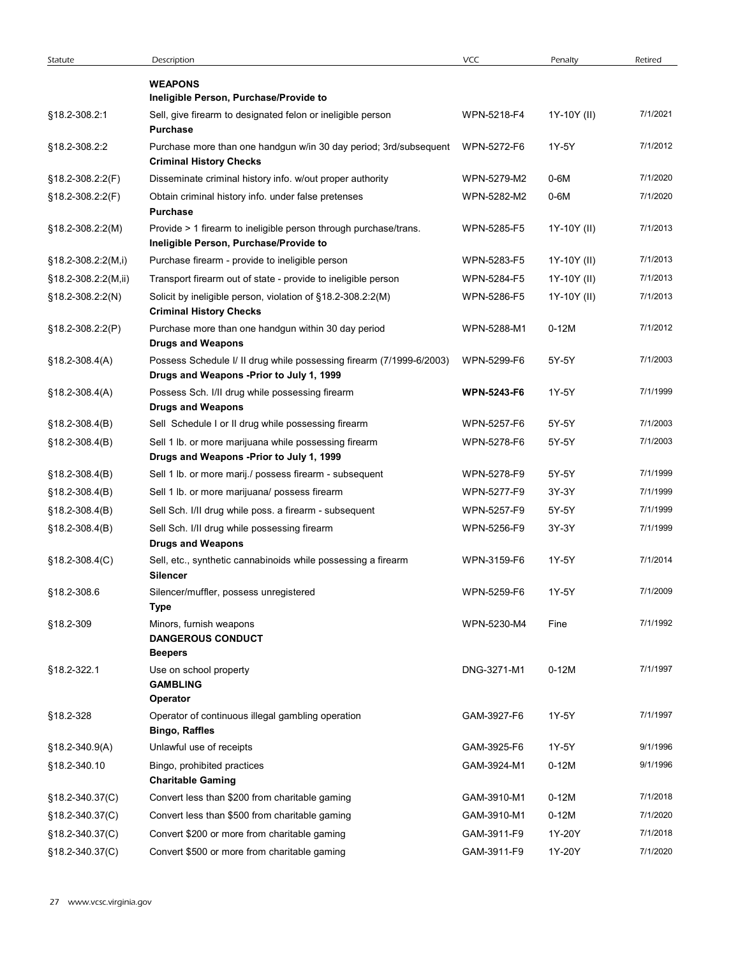| Statute               | Description                                                                                                      | <b>VCC</b>         | Penalty     | Retired  |
|-----------------------|------------------------------------------------------------------------------------------------------------------|--------------------|-------------|----------|
|                       | <b>WEAPONS</b><br>Ineligible Person, Purchase/Provide to                                                         |                    |             |          |
| §18.2-308.2:1         | Sell, give firearm to designated felon or ineligible person<br>Purchase                                          | WPN-5218-F4        | 1Y-10Y (II) | 7/1/2021 |
| §18.2-308.2:2         | Purchase more than one handgun w/in 30 day period; 3rd/subsequent<br><b>Criminal History Checks</b>              | WPN-5272-F6        | 1Y-5Y       | 7/1/2012 |
| $$18.2 - 308.2.2(F)$  | Disseminate criminal history info. w/out proper authority                                                        | WPN-5279-M2        | 0-6M        | 7/1/2020 |
| $$18.2 - 308.2.2(F)$  | Obtain criminal history info. under false pretenses<br><b>Purchase</b>                                           | WPN-5282-M2        | 0-6M        | 7/1/2020 |
| §18.2-308.2:2(M)      | Provide > 1 firearm to ineligible person through purchase/trans.<br>Ineligible Person, Purchase/Provide to       | WPN-5285-F5        | 1Y-10Y (II) | 7/1/2013 |
| $§18.2-308.2:2(M,i)$  | Purchase firearm - provide to ineligible person                                                                  | WPN-5283-F5        | 1Y-10Y (II) | 7/1/2013 |
| $$18.2-308.2.2(M,ii)$ | Transport firearm out of state - provide to ineligible person                                                    | WPN-5284-F5        | 1Y-10Y (II) | 7/1/2013 |
| $$18.2-308.2:2(N)$    | Solicit by ineligible person, violation of §18.2-308.2:2(M)<br><b>Criminal History Checks</b>                    | WPN-5286-F5        | 1Y-10Y (II) | 7/1/2013 |
| $§18.2-308.2.2(P)$    | Purchase more than one handgun within 30 day period<br><b>Drugs and Weapons</b>                                  | WPN-5288-M1        | $0-12M$     | 7/1/2012 |
| $$18.2-308.4(A)$      | Possess Schedule I/ II drug while possessing firearm (7/1999-6/2003)<br>Drugs and Weapons -Prior to July 1, 1999 | WPN-5299-F6        | 5Y-5Y       | 7/1/2003 |
| $$18.2 - 308.4(A)$    | Possess Sch. I/II drug while possessing firearm<br><b>Drugs and Weapons</b>                                      | <b>WPN-5243-F6</b> | 1Y-5Y       | 7/1/1999 |
| $$18.2-308.4(B)$      | Sell Schedule I or II drug while possessing firearm                                                              | WPN-5257-F6        | 5Y-5Y       | 7/1/2003 |
| §18.2-308.4(B)        | Sell 1 lb. or more marijuana while possessing firearm<br>Drugs and Weapons -Prior to July 1, 1999                | WPN-5278-F6        | 5Y-5Y       | 7/1/2003 |
| $$18.2 - 308.4(B)$    | Sell 1 lb. or more marij./ possess firearm - subsequent                                                          | WPN-5278-F9        | 5Y-5Y       | 7/1/1999 |
| $$18.2-308.4(B)$      | Sell 1 lb. or more marijuana/ possess firearm                                                                    | WPN-5277-F9        | 3Y-3Y       | 7/1/1999 |
| §18.2-308.4(B)        | Sell Sch. I/II drug while poss. a firearm - subsequent                                                           | WPN-5257-F9        | 5Y-5Y       | 7/1/1999 |
| §18.2-308.4(B)        | Sell Sch. I/II drug while possessing firearm<br><b>Drugs and Weapons</b>                                         | WPN-5256-F9        | 3Y-3Y       | 7/1/1999 |
| §18.2-308.4(C)        | Sell, etc., synthetic cannabinoids while possessing a firearm<br>Silencer                                        | WPN-3159-F6        | 1Y-5Y       | 7/1/2014 |
| §18.2-308.6           | Silencer/muffler, possess unregistered<br><b>Type</b>                                                            | WPN-5259-F6        | 1Y-5Y       | 7/1/2009 |
| §18.2-309             | Minors, furnish weapons<br><b>DANGEROUS CONDUCT</b><br><b>Beepers</b>                                            | WPN-5230-M4        | Fine        | 7/1/1992 |
| §18.2-322.1           | Use on school property<br><b>GAMBLING</b><br>Operator                                                            | DNG-3271-M1        | $0-12M$     | 7/1/1997 |
| §18.2-328             | Operator of continuous illegal gambling operation<br><b>Bingo, Raffles</b>                                       | GAM-3927-F6        | 1Y-5Y       | 7/1/1997 |
| $$18.2 - 340.9(A)$    | Unlawful use of receipts                                                                                         | GAM-3925-F6        | 1Y-5Y       | 9/1/1996 |
| §18.2-340.10          | Bingo, prohibited practices<br><b>Charitable Gaming</b>                                                          | GAM-3924-M1        | $0-12M$     | 9/1/1996 |
| §18.2-340.37(C)       | Convert less than \$200 from charitable gaming                                                                   | GAM-3910-M1        | $0-12M$     | 7/1/2018 |
| §18.2-340.37(C)       | Convert less than \$500 from charitable gaming                                                                   | GAM-3910-M1        | $0-12M$     | 7/1/2020 |
| §18.2-340.37(C)       | Convert \$200 or more from charitable gaming                                                                     | GAM-3911-F9        | 1Y-20Y      | 7/1/2018 |
|                       |                                                                                                                  | GAM-3911-F9        | 1Y-20Y      | 7/1/2020 |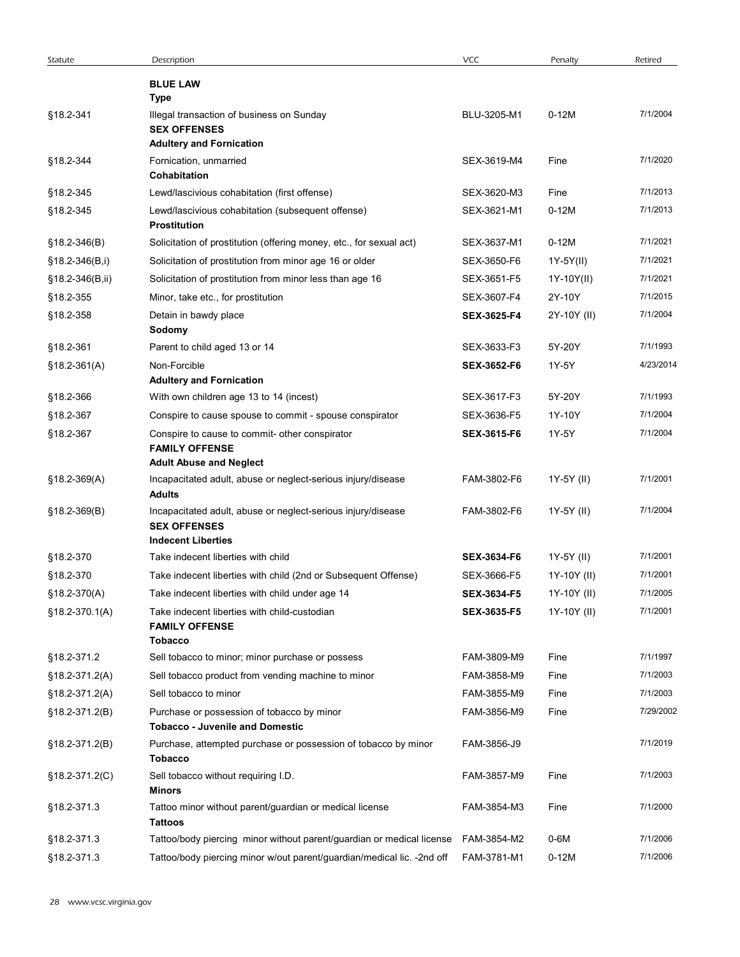| Statute          | Description                                                                                                      | <b>VCC</b>         | Penalty     | Retired   |
|------------------|------------------------------------------------------------------------------------------------------------------|--------------------|-------------|-----------|
|                  | <b>BLUE LAW</b>                                                                                                  |                    |             |           |
| §18.2-341        | Type<br>Illegal transaction of business on Sunday<br><b>SEX OFFENSES</b>                                         | BLU-3205-M1        | $0-12M$     | 7/1/2004  |
| §18.2-344        | <b>Adultery and Fornication</b><br>Fornication, unmarried                                                        | SEX-3619-M4        | Fine        | 7/1/2020  |
|                  | Cohabitation                                                                                                     |                    |             |           |
| §18.2-345        | Lewd/lascivious cohabitation (first offense)                                                                     | SEX-3620-M3        | Fine        | 7/1/2013  |
| §18.2-345        | Lewd/lascivious cohabitation (subsequent offense)<br><b>Prostitution</b>                                         | SEX-3621-M1        | $0-12M$     | 7/1/2013  |
| $$18.2 - 346(B)$ | Solicitation of prostitution (offering money, etc., for sexual act)                                              | SEX-3637-M1        | $0-12M$     | 7/1/2021  |
| §18.2-346(B,i)   | Solicitation of prostitution from minor age 16 or older                                                          | SEX-3650-F6        | 1Y-5Y(II)   | 7/1/2021  |
| §18.2-346(B,ii)  | Solicitation of prostitution from minor less than age 16                                                         | SEX-3651-F5        | 1Y-10Y(II)  | 7/1/2021  |
| §18.2-355        | Minor, take etc., for prostitution                                                                               | SEX-3607-F4        | 2Y-10Y      | 7/1/2015  |
| §18.2-358        | Detain in bawdy place<br>Sodomy                                                                                  | <b>SEX-3625-F4</b> | 2Y-10Y (II) | 7/1/2004  |
| §18.2-361        | Parent to child aged 13 or 14                                                                                    | SEX-3633-F3        | 5Y-20Y      | 7/1/1993  |
| $$18.2-361(A)$   | Non-Forcible<br><b>Adultery and Fornication</b>                                                                  | SEX-3652-F6        | 1Y-5Y       | 4/23/2014 |
| §18.2-366        | With own children age 13 to 14 (incest)                                                                          | SEX-3617-F3        | 5Y-20Y      | 7/1/1993  |
| §18.2-367        | Conspire to cause spouse to commit - spouse conspirator                                                          | SEX-3636-F5        | 1Y-10Y      | 7/1/2004  |
| §18.2-367        | Conspire to cause to commit- other conspirator<br><b>FAMILY OFFENSE</b><br><b>Adult Abuse and Neglect</b>        | <b>SEX-3615-F6</b> | 1Y-5Y       | 7/1/2004  |
| $$18.2-369(A)$   | Incapacitated adult, abuse or neglect-serious injury/disease<br><b>Adults</b>                                    | FAM-3802-F6        | 1Y-5Y (II)  | 7/1/2001  |
| $$18.2 - 369(B)$ | Incapacitated adult, abuse or neglect-serious injury/disease<br><b>SEX OFFENSES</b><br><b>Indecent Liberties</b> | FAM-3802-F6        | 1Y-5Y (II)  | 7/1/2004  |
| §18.2-370        | Take indecent liberties with child                                                                               | SEX-3634-F6        | 1Y-5Y (II)  | 7/1/2001  |
| §18.2-370        | Take indecent liberties with child (2nd or Subsequent Offense)                                                   | SEX-3666-F5        | 1Y-10Y (II) | 7/1/2001  |
| §18.2-370(A)     | Take indecent liberties with child under age 14                                                                  | SEX-3634-F5        | 1Y-10Y (II) | 7/1/2005  |
| §18.2-370.1(A)   | Take indecent liberties with child-custodian<br><b>FAMILY OFFENSE</b><br><b>Tobacco</b>                          | SEX-3635-F5        | 1Y-10Y (II) | 7/1/2001  |
| §18.2-371.2      | Sell tobacco to minor; minor purchase or possess                                                                 | FAM-3809-M9        | Fine        | 7/1/1997  |
| §18.2-371.2(A)   | Sell tobacco product from vending machine to minor                                                               | FAM-3858-M9        | Fine        | 7/1/2003  |
| §18.2-371.2(A)   | Sell tobacco to minor                                                                                            | FAM-3855-M9        | Fine        | 7/1/2003  |
| §18.2-371.2(B)   | Purchase or possession of tobacco by minor<br><b>Tobacco - Juvenile and Domestic</b>                             | FAM-3856-M9        | Fine        | 7/29/2002 |
| §18.2-371.2(B)   | Purchase, attempted purchase or possession of tobacco by minor<br><b>Tobacco</b>                                 | FAM-3856-J9        |             | 7/1/2019  |
| §18.2-371.2(C)   | Sell tobacco without requiring I.D.<br><b>Minors</b>                                                             | FAM-3857-M9        | Fine        | 7/1/2003  |
| §18.2-371.3      | Tattoo minor without parent/guardian or medical license<br><b>Tattoos</b>                                        | FAM-3854-M3        | Fine        | 7/1/2000  |
| §18.2-371.3      | Tattoo/body piercing minor without parent/guardian or medical license FAM-3854-M2                                |                    | $0-6M$      | 7/1/2006  |
| §18.2-371.3      | Tattoo/body piercing minor w/out parent/guardian/medical lic. - 2nd off                                          | FAM-3781-M1        | $0-12M$     | 7/1/2006  |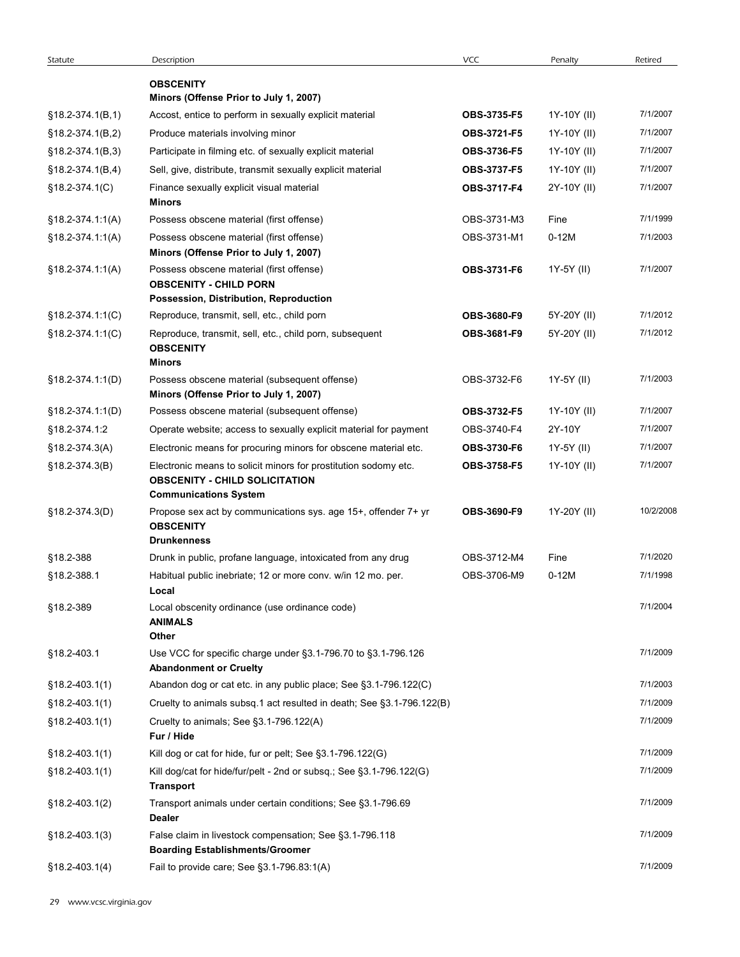| Statute              | Description                                                                                                                              | VCC                | Penalty     | Retired   |
|----------------------|------------------------------------------------------------------------------------------------------------------------------------------|--------------------|-------------|-----------|
|                      | <b>OBSCENITY</b><br>Minors (Offense Prior to July 1, 2007)                                                                               |                    |             |           |
| $§18.2-374.1(B,1)$   | Accost, entice to perform in sexually explicit material                                                                                  | OBS-3735-F5        | 1Y-10Y (II) | 7/1/2007  |
| $§18.2-374.1(B,2)$   | Produce materials involving minor                                                                                                        | OBS-3721-F5        | 1Y-10Y (II) | 7/1/2007  |
| $§18.2-374.1(B,3)$   | Participate in filming etc. of sexually explicit material                                                                                | OBS-3736-F5        | 1Y-10Y (II) | 7/1/2007  |
| $$18.2-374.1(B,4)$   | Sell, give, distribute, transmit sexually explicit material                                                                              | OBS-3737-F5        | 1Y-10Y (II) | 7/1/2007  |
| §18.2-374.1(C)       | Finance sexually explicit visual material<br>Minors                                                                                      | OBS-3717-F4        | 2Y-10Y (II) | 7/1/2007  |
| §18.2-374.1:1(A)     | Possess obscene material (first offense)                                                                                                 | OBS-3731-M3        | Fine        | 7/1/1999  |
| $$18.2 - 374.1:1(A)$ | Possess obscene material (first offense)<br>Minors (Offense Prior to July 1, 2007)                                                       | OBS-3731-M1        | $0-12M$     | 7/1/2003  |
| $$18.2-374.1:1(A)$   | Possess obscene material (first offense)<br><b>OBSCENITY - CHILD PORN</b><br>Possession, Distribution, Reproduction                      | OBS-3731-F6        | 1Y-5Y (II)  | 7/1/2007  |
| $$18.2-374.1:1(C)$   | Reproduce, transmit, sell, etc., child porn                                                                                              | <b>OBS-3680-F9</b> | 5Y-20Y (II) | 7/1/2012  |
| $$18.2-374.1:1(C)$   | Reproduce, transmit, sell, etc., child porn, subsequent<br><b>OBSCENITY</b>                                                              | OBS-3681-F9        | 5Y-20Y (II) | 7/1/2012  |
| §18.2-374.1:1(D)     | <b>Minors</b><br>Possess obscene material (subsequent offense)<br>Minors (Offense Prior to July 1, 2007)                                 | OBS-3732-F6        | 1Y-5Y (II)  | 7/1/2003  |
| $§18.2-374.1:1(D)$   | Possess obscene material (subsequent offense)                                                                                            | OBS-3732-F5        | 1Y-10Y (II) | 7/1/2007  |
| §18.2-374.1:2        | Operate website; access to sexually explicit material for payment                                                                        | OBS-3740-F4        | 2Y-10Y      | 7/1/2007  |
| §18.2-374.3(A)       | Electronic means for procuring minors for obscene material etc.                                                                          | OBS-3730-F6        | 1Y-5Y (II)  | 7/1/2007  |
| §18.2-374.3(B)       | Electronic means to solicit minors for prostitution sodomy etc.<br><b>OBSCENITY - CHILD SOLICITATION</b><br><b>Communications System</b> | OBS-3758-F5        | 1Y-10Y (II) | 7/1/2007  |
| $$18.2-374.3(D)$     | Propose sex act by communications sys. age 15+, offender 7+ yr<br><b>OBSCENITY</b><br><b>Drunkenness</b>                                 | OBS-3690-F9        | 1Y-20Y (II) | 10/2/2008 |
| §18.2-388            | Drunk in public, profane language, intoxicated from any drug                                                                             | OBS-3712-M4        | Fine        | 7/1/2020  |
| §18.2-388.1          | Habitual public inebriate; 12 or more conv. w/in 12 mo. per.<br>Local                                                                    | OBS-3706-M9        | $0-12M$     | 7/1/1998  |
| §18.2-389            | Local obscenity ordinance (use ordinance code)<br><b>ANIMALS</b><br>Other                                                                |                    |             | 7/1/2004  |
| §18.2-403.1          | Use VCC for specific charge under §3.1-796.70 to §3.1-796.126<br><b>Abandonment or Cruelty</b>                                           |                    |             | 7/1/2009  |
| $$18.2 - 403.1(1)$   | Abandon dog or cat etc. in any public place; See §3.1-796.122(C)                                                                         |                    |             | 7/1/2003  |
| $$18.2 - 403.1(1)$   | Cruelty to animals subsq.1 act resulted in death; See §3.1-796.122(B)                                                                    |                    |             | 7/1/2009  |
| $$18.2 - 403.1(1)$   | Cruelty to animals; See §3.1-796.122(A)<br>Fur / Hide                                                                                    |                    |             | 7/1/2009  |
| §18.2-403.1(1)       | Kill dog or cat for hide, fur or pelt; See §3.1-796.122(G)                                                                               |                    |             | 7/1/2009  |
| §18.2-403.1(1)       | Kill dog/cat for hide/fur/pelt - 2nd or subsq.; See §3.1-796.122(G)<br><b>Transport</b>                                                  |                    |             | 7/1/2009  |
| $$18.2 - 403.1(2)$   | Transport animals under certain conditions; See §3.1-796.69<br>Dealer                                                                    |                    |             | 7/1/2009  |
| $$18.2 - 403.1(3)$   | False claim in livestock compensation; See §3.1-796.118<br><b>Boarding Establishments/Groomer</b>                                        |                    |             | 7/1/2009  |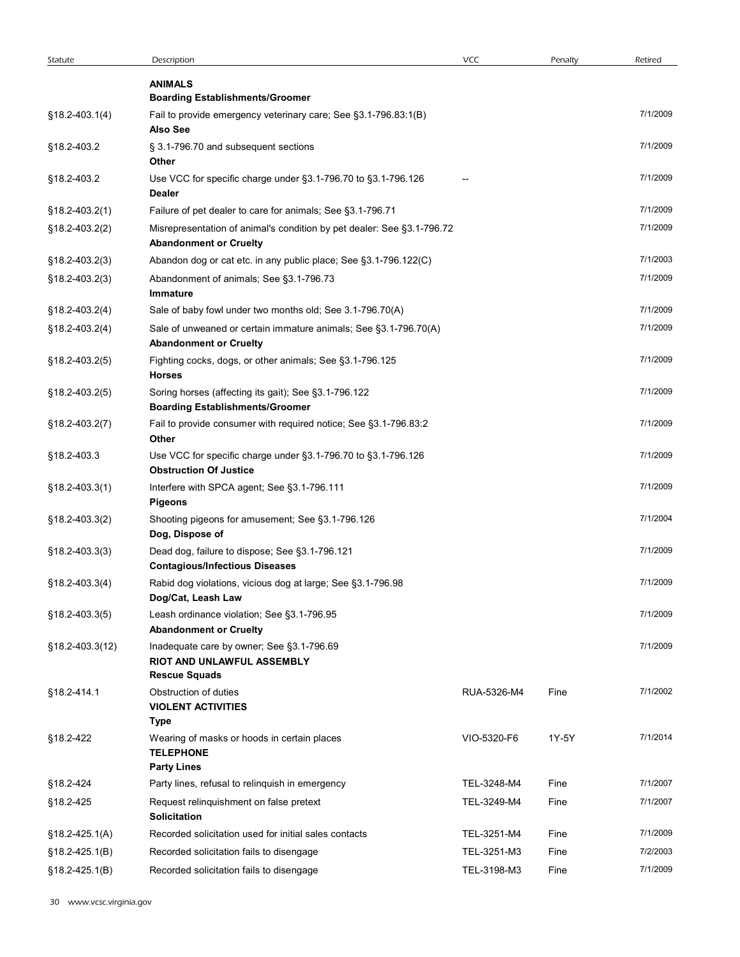| Statute                          | Description                                                                                                                          | <b>VCC</b>  | Penalty | Retired  |
|----------------------------------|--------------------------------------------------------------------------------------------------------------------------------------|-------------|---------|----------|
|                                  | <b>ANIMALS</b>                                                                                                                       |             |         |          |
| $$18.2 - 403.1(4)$               | <b>Boarding Establishments/Groomer</b><br>Fail to provide emergency veterinary care; See §3.1-796.83:1(B)                            |             |         | 7/1/2009 |
| §18.2-403.2                      | <b>Also See</b><br>§ 3.1-796.70 and subsequent sections                                                                              |             |         | 7/1/2009 |
| §18.2-403.2                      | Other<br>Use VCC for specific charge under §3.1-796.70 to §3.1-796.126                                                               |             |         | 7/1/2009 |
|                                  | <b>Dealer</b>                                                                                                                        |             |         | 7/1/2009 |
| §18.2-403.2(1)<br>§18.2-403.2(2) | Failure of pet dealer to care for animals; See §3.1-796.71<br>Misrepresentation of animal's condition by pet dealer: See §3.1-796.72 |             |         | 7/1/2009 |
| §18.2-403.2(3)                   | <b>Abandonment or Cruelty</b><br>Abandon dog or cat etc. in any public place; See §3.1-796.122(C)                                    |             |         | 7/1/2003 |
| §18.2-403.2(3)                   | Abandonment of animals; See §3.1-796.73<br>Immature                                                                                  |             |         | 7/1/2009 |
| §18.2-403.2(4)                   | Sale of baby fowl under two months old; See 3.1-796.70(A)                                                                            |             |         | 7/1/2009 |
| $§18.2-403.2(4)$                 | Sale of unweaned or certain immature animals; See §3.1-796.70(A)<br><b>Abandonment or Cruelty</b>                                    |             |         | 7/1/2009 |
| §18.2-403.2(5)                   | Fighting cocks, dogs, or other animals; See §3.1-796.125<br><b>Horses</b>                                                            |             |         | 7/1/2009 |
| §18.2-403.2(5)                   | Soring horses (affecting its gait); See §3.1-796.122<br><b>Boarding Establishments/Groomer</b>                                       |             |         | 7/1/2009 |
| §18.2-403.2(7)                   | Fail to provide consumer with required notice; See §3.1-796.83:2<br>Other                                                            |             |         | 7/1/2009 |
| §18.2-403.3                      | Use VCC for specific charge under §3.1-796.70 to §3.1-796.126<br><b>Obstruction Of Justice</b>                                       |             |         | 7/1/2009 |
| §18.2-403.3(1)                   | Interfere with SPCA agent; See §3.1-796.111<br><b>Pigeons</b>                                                                        |             |         | 7/1/2009 |
| §18.2-403.3(2)                   | Shooting pigeons for amusement; See §3.1-796.126<br>Dog, Dispose of                                                                  |             |         | 7/1/2004 |
| §18.2-403.3(3)                   | Dead dog, failure to dispose; See §3.1-796.121<br><b>Contagious/Infectious Diseases</b>                                              |             |         | 7/1/2009 |
| §18.2-403.3(4)                   | Rabid dog violations, vicious dog at large; See §3.1-796.98<br>Dog/Cat, Leash Law                                                    |             |         | 7/1/2009 |
| §18.2-403.3(5)                   | Leash ordinance violation; See §3.1-796.95<br><b>Abandonment or Cruelty</b>                                                          |             |         | 7/1/2009 |
| §18.2-403.3(12)                  | Inadequate care by owner; See §3.1-796.69<br>RIOT AND UNLAWFUL ASSEMBLY<br><b>Rescue Squads</b>                                      |             |         | 7/1/2009 |
| §18.2-414.1                      | Obstruction of duties<br><b>VIOLENT ACTIVITIES</b><br><b>Type</b>                                                                    | RUA-5326-M4 | Fine    | 7/1/2002 |
| §18.2-422                        | Wearing of masks or hoods in certain places<br><b>TELEPHONE</b><br><b>Party Lines</b>                                                | VIO-5320-F6 | 1Y-5Y   | 7/1/2014 |
| §18.2-424                        | Party lines, refusal to relinquish in emergency                                                                                      | TEL-3248-M4 | Fine    | 7/1/2007 |
| §18.2-425                        | Request relinquishment on false pretext<br><b>Solicitation</b>                                                                       | TEL-3249-M4 | Fine    | 7/1/2007 |
| $$18.2 - 425.1(A)$               | Recorded solicitation used for initial sales contacts                                                                                | TEL-3251-M4 | Fine    | 7/1/2009 |
| §18.2-425.1(B)                   | Recorded solicitation fails to disengage                                                                                             | TEL-3251-M3 | Fine    | 7/2/2003 |
| $$18.2 - 425.1(B)$               | Recorded solicitation fails to disengage                                                                                             | TEL-3198-M3 | Fine    | 7/1/2009 |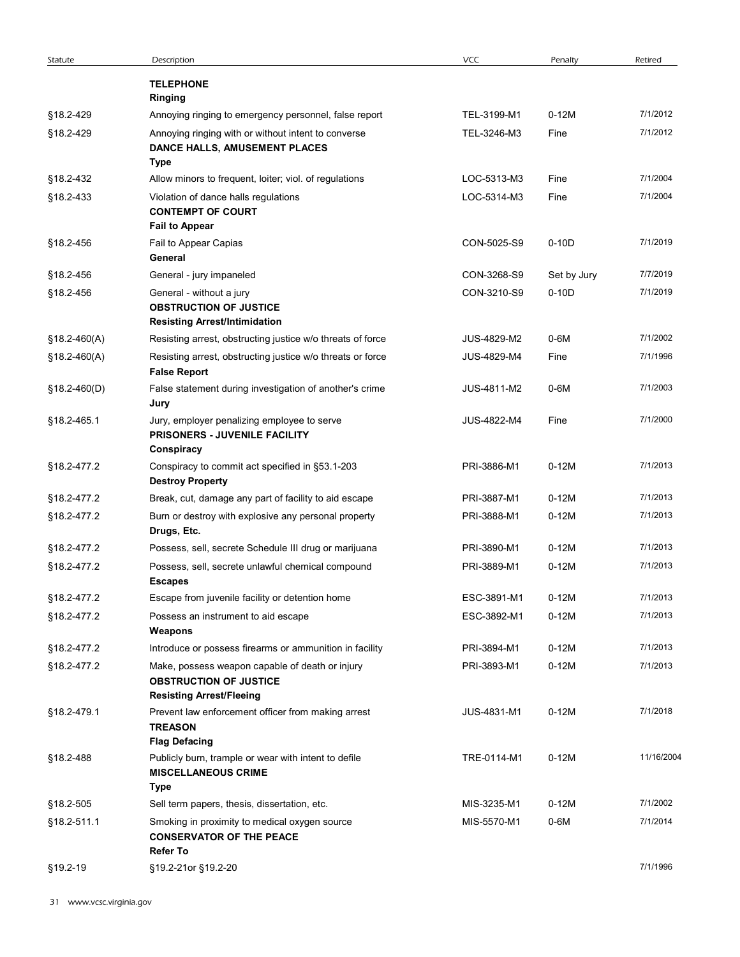| Statute        | Description                                                                                                         | VCC         | Penalty     | Retired    |
|----------------|---------------------------------------------------------------------------------------------------------------------|-------------|-------------|------------|
|                | <b>TELEPHONE</b>                                                                                                    |             |             |            |
|                | <b>Ringing</b>                                                                                                      |             |             |            |
| §18.2-429      | Annoying ringing to emergency personnel, false report                                                               | TEL-3199-M1 | $0-12M$     | 7/1/2012   |
| §18.2-429      | Annoying ringing with or without intent to converse<br>DANCE HALLS, AMUSEMENT PLACES<br>Type                        | TEL-3246-M3 | Fine        | 7/1/2012   |
| §18.2-432      | Allow minors to frequent, loiter; viol. of regulations                                                              | LOC-5313-M3 | Fine        | 7/1/2004   |
| §18.2-433      | Violation of dance halls regulations<br><b>CONTEMPT OF COURT</b>                                                    | LOC-5314-M3 | Fine        | 7/1/2004   |
| §18.2-456      | <b>Fail to Appear</b><br>Fail to Appear Capias<br>General                                                           | CON-5025-S9 | $0-10D$     | 7/1/2019   |
| §18.2-456      | General - jury impaneled                                                                                            | CON-3268-S9 | Set by Jury | 7/7/2019   |
| §18.2-456      | General - without a jury<br><b>OBSTRUCTION OF JUSTICE</b>                                                           | CON-3210-S9 | $0-10D$     | 7/1/2019   |
| $$18.2-460(A)$ | <b>Resisting Arrest/Intimidation</b><br>Resisting arrest, obstructing justice w/o threats of force                  | JUS-4829-M2 | $0-6M$      | 7/1/2002   |
| $$18.2-460(A)$ | Resisting arrest, obstructing justice w/o threats or force<br><b>False Report</b>                                   | JUS-4829-M4 | Fine        | 7/1/1996   |
| $$18.2-460(D)$ | False statement during investigation of another's crime<br>Jury                                                     | JUS-4811-M2 | $0-6M$      | 7/1/2003   |
| §18.2-465.1    | Jury, employer penalizing employee to serve<br>PRISONERS - JUVENILE FACILITY<br>Conspiracy                          | JUS-4822-M4 | Fine        | 7/1/2000   |
| §18.2-477.2    | Conspiracy to commit act specified in §53.1-203<br><b>Destroy Property</b>                                          | PRI-3886-M1 | $0-12M$     | 7/1/2013   |
| §18.2-477.2    | Break, cut, damage any part of facility to aid escape                                                               | PRI-3887-M1 | $0-12M$     | 7/1/2013   |
| §18.2-477.2    | Burn or destroy with explosive any personal property<br>Drugs, Etc.                                                 | PRI-3888-M1 | $0-12M$     | 7/1/2013   |
| §18.2-477.2    | Possess, sell, secrete Schedule III drug or marijuana                                                               | PRI-3890-M1 | $0-12M$     | 7/1/2013   |
| §18.2-477.2    | Possess, sell, secrete unlawful chemical compound<br><b>Escapes</b>                                                 | PRI-3889-M1 | $0-12M$     | 7/1/2013   |
| §18.2-477.2    | Escape from juvenile facility or detention home                                                                     | ESC-3891-M1 | $0-12M$     | 7/1/2013   |
| §18.2-477.2    | Possess an instrument to aid escape<br>Weapons                                                                      | ESC-3892-M1 | $0-12M$     | 7/1/2013   |
| §18.2-477.2    | Introduce or possess firearms or ammunition in facility                                                             | PRI-3894-M1 | $0-12M$     | 7/1/2013   |
| §18.2-477.2    | Make, possess weapon capable of death or injury<br><b>OBSTRUCTION OF JUSTICE</b><br><b>Resisting Arrest/Fleeing</b> | PRI-3893-M1 | $0-12M$     | 7/1/2013   |
| §18.2-479.1    | Prevent law enforcement officer from making arrest<br><b>TREASON</b><br><b>Flag Defacing</b>                        | JUS-4831-M1 | $0-12M$     | 7/1/2018   |
| §18.2-488      | Publicly burn, trample or wear with intent to defile<br><b>MISCELLANEOUS CRIME</b>                                  | TRE-0114-M1 | $0-12M$     | 11/16/2004 |
| §18.2-505      | Type<br>Sell term papers, thesis, dissertation, etc.                                                                | MIS-3235-M1 | $0-12M$     | 7/1/2002   |
| §18.2-511.1    | Smoking in proximity to medical oxygen source<br><b>CONSERVATOR OF THE PEACE</b>                                    | MIS-5570-M1 | $0-6M$      | 7/1/2014   |
| §19.2-19       | <b>Refer To</b><br>§19.2-21or §19.2-20                                                                              |             |             | 7/1/1996   |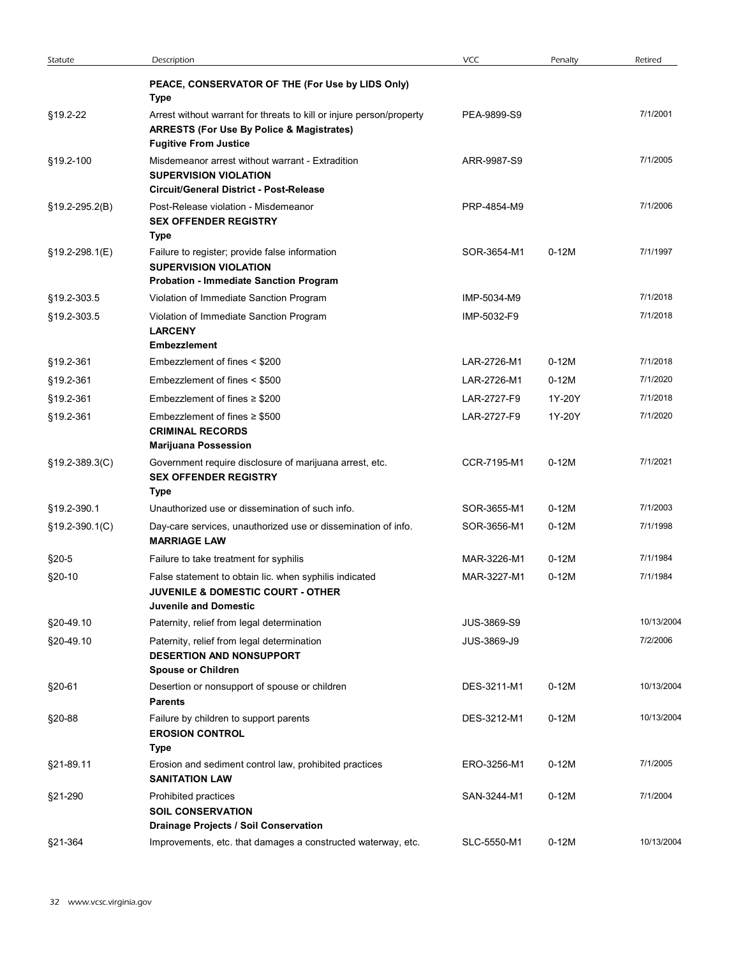| Statute          | Description                                                                                                                                                  | <b>VCC</b>         | Penalty | Retired    |
|------------------|--------------------------------------------------------------------------------------------------------------------------------------------------------------|--------------------|---------|------------|
|                  | PEACE, CONSERVATOR OF THE (For Use by LIDS Only)<br>Type                                                                                                     |                    |         |            |
| §19.2-22         | Arrest without warrant for threats to kill or injure person/property<br><b>ARRESTS (For Use By Police &amp; Magistrates)</b><br><b>Fugitive From Justice</b> | PEA-9899-S9        |         | 7/1/2001   |
| §19.2-100        | Misdemeanor arrest without warrant - Extradition<br><b>SUPERVISION VIOLATION</b><br><b>Circuit/General District - Post-Release</b>                           | ARR-9987-S9        |         | 7/1/2005   |
| §19.2-295.2(B)   | Post-Release violation - Misdemeanor<br><b>SEX OFFENDER REGISTRY</b><br>Type                                                                                 | PRP-4854-M9        |         | 7/1/2006   |
| §19.2-298.1(E)   | Failure to register; provide false information<br><b>SUPERVISION VIOLATION</b><br><b>Probation - Immediate Sanction Program</b>                              | SOR-3654-M1        | $0-12M$ | 7/1/1997   |
| §19.2-303.5      | Violation of Immediate Sanction Program                                                                                                                      | IMP-5034-M9        |         | 7/1/2018   |
| §19.2-303.5      | Violation of Immediate Sanction Program<br><b>LARCENY</b><br><b>Embezzlement</b>                                                                             | IMP-5032-F9        |         | 7/1/2018   |
| §19.2-361        | Embezzlement of fines < \$200                                                                                                                                | LAR-2726-M1        | $0-12M$ | 7/1/2018   |
| §19.2-361        | Embezzlement of fines < \$500                                                                                                                                | LAR-2726-M1        | $0-12M$ | 7/1/2020   |
| §19.2-361        | Embezzlement of fines $\geq$ \$200                                                                                                                           | LAR-2727-F9        | 1Y-20Y  | 7/1/2018   |
| §19.2-361        | Embezzlement of fines $\geq$ \$500<br><b>CRIMINAL RECORDS</b><br><b>Marijuana Possession</b>                                                                 | LAR-2727-F9        | 1Y-20Y  | 7/1/2020   |
| §19.2-389.3(C)   | Government require disclosure of marijuana arrest, etc.<br><b>SEX OFFENDER REGISTRY</b><br><b>Type</b>                                                       | CCR-7195-M1        | $0-12M$ | 7/1/2021   |
| §19.2-390.1      | Unauthorized use or dissemination of such info.                                                                                                              | SOR-3655-M1        | $0-12M$ | 7/1/2003   |
| $$19.2-390.1(C)$ | Day-care services, unauthorized use or dissemination of info.<br><b>MARRIAGE LAW</b>                                                                         | SOR-3656-M1        | $0-12M$ | 7/1/1998   |
| $$20-5$          | Failure to take treatment for syphilis                                                                                                                       | MAR-3226-M1        | $0-12M$ | 7/1/1984   |
| §20-10           | False statement to obtain lic. when syphilis indicated<br>JUVENILE & DOMESTIC COURT - OTHER<br><b>Juvenile and Domestic</b>                                  | MAR-3227-M1        | $0-12M$ | 7/1/1984   |
| §20-49.10        | Paternity, relief from legal determination                                                                                                                   | <b>JUS-3869-S9</b> |         | 10/13/2004 |
| §20-49.10        | Paternity, relief from legal determination<br><b>DESERTION AND NONSUPPORT</b><br><b>Spouse or Children</b>                                                   | JUS-3869-J9        |         | 7/2/2006   |
| §20-61           | Desertion or nonsupport of spouse or children<br><b>Parents</b>                                                                                              | DES-3211-M1        | $0-12M$ | 10/13/2004 |
| §20-88           | Failure by children to support parents<br><b>EROSION CONTROL</b><br><b>Type</b>                                                                              | DES-3212-M1        | $0-12M$ | 10/13/2004 |
| §21-89.11        | Erosion and sediment control law, prohibited practices<br><b>SANITATION LAW</b>                                                                              | ERO-3256-M1        | $0-12M$ | 7/1/2005   |
| §21-290          | Prohibited practices<br><b>SOIL CONSERVATION</b><br>Drainage Projects / Soil Conservation                                                                    | SAN-3244-M1        | $0-12M$ | 7/1/2004   |
| §21-364          | Improvements, etc. that damages a constructed waterway, etc.                                                                                                 | SLC-5550-M1        | $0-12M$ | 10/13/2004 |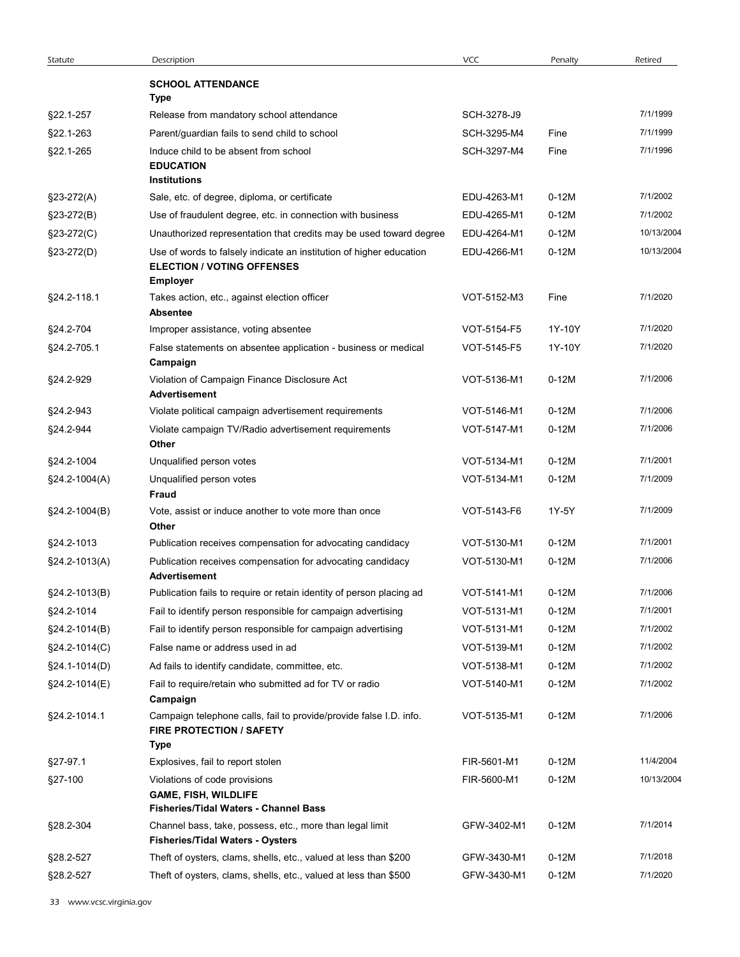| Statute         | Description                                                                                                                 | <b>VCC</b>                 | Penalty            | Retired              |
|-----------------|-----------------------------------------------------------------------------------------------------------------------------|----------------------------|--------------------|----------------------|
|                 | <b>SCHOOL ATTENDANCE</b>                                                                                                    |                            |                    |                      |
| §22.1-257       | Type<br>Release from mandatory school attendance                                                                            | SCH-3278-J9                |                    | 7/1/1999             |
| §22.1-263       | Parent/guardian fails to send child to school                                                                               | SCH-3295-M4                | Fine               | 7/1/1999             |
| §22.1-265       | Induce child to be absent from school<br><b>EDUCATION</b>                                                                   | SCH-3297-M4                | Fine               | 7/1/1996             |
|                 | <b>Institutions</b>                                                                                                         |                            |                    |                      |
| $$23-272(A)$    | Sale, etc. of degree, diploma, or certificate                                                                               | EDU-4263-M1                | $0-12M$            | 7/1/2002             |
| $§23-272(B)$    | Use of fraudulent degree, etc. in connection with business                                                                  | EDU-4265-M1                | $0-12M$            | 7/1/2002             |
| $§23-272(C)$    | Unauthorized representation that credits may be used toward degree                                                          | EDU-4264-M1                | $0-12M$            | 10/13/2004           |
| $§23-272(D)$    | Use of words to falsely indicate an institution of higher education<br><b>ELECTION / VOTING OFFENSES</b><br><b>Employer</b> | EDU-4266-M1                | $0-12M$            | 10/13/2004           |
| §24.2-118.1     | Takes action, etc., against election officer<br><b>Absentee</b>                                                             | VOT-5152-M3                | Fine               | 7/1/2020             |
| §24.2-704       | Improper assistance, voting absentee                                                                                        | VOT-5154-F5                | 1Y-10Y             | 7/1/2020             |
| §24.2-705.1     | False statements on absentee application - business or medical<br>Campaign                                                  | VOT-5145-F5                | 1Y-10Y             | 7/1/2020             |
| §24.2-929       | Violation of Campaign Finance Disclosure Act<br><b>Advertisement</b>                                                        | VOT-5136-M1                | $0-12M$            | 7/1/2006             |
| §24.2-943       | Violate political campaign advertisement requirements                                                                       | VOT-5146-M1                | $0-12M$            | 7/1/2006             |
| §24.2-944       | Violate campaign TV/Radio advertisement requirements<br>Other                                                               | VOT-5147-M1                | $0-12M$            | 7/1/2006             |
| §24.2-1004      | Unqualified person votes                                                                                                    | VOT-5134-M1                | $0-12M$            | 7/1/2001             |
| $$24.2-1004(A)$ | Unqualified person votes<br>Fraud                                                                                           | VOT-5134-M1                | $0-12M$            | 7/1/2009             |
| §24.2-1004(B)   | Vote, assist or induce another to vote more than once<br>Other                                                              | VOT-5143-F6                | 1Y-5Y              | 7/1/2009             |
| §24.2-1013      | Publication receives compensation for advocating candidacy                                                                  | VOT-5130-M1<br>VOT-5130-M1 | $0-12M$<br>$0-12M$ | 7/1/2001<br>7/1/2006 |
| §24.2-1013(A)   | Publication receives compensation for advocating candidacy<br>Advertisement                                                 |                            |                    |                      |
| §24.2-1013(B)   | Publication fails to require or retain identity of person placing ad                                                        | VOT-5141-M1                | $0-12M$            | 7/1/2006             |
| §24.2-1014      | Fail to identify person responsible for campaign advertising                                                                | VOT-5131-M1                | $0-12M$            | 7/1/2001             |
| §24.2-1014(B)   | Fail to identify person responsible for campaign advertising                                                                | VOT-5131-M1                | $0-12M$            | 7/1/2002             |
| §24.2-1014(C)   | False name or address used in ad                                                                                            | VOT-5139-M1                | $0-12M$            | 7/1/2002             |
| §24.1-1014(D)   | Ad fails to identify candidate, committee, etc.                                                                             | VOT-5138-M1                | $0-12M$            | 7/1/2002             |
| §24.2-1014(E)   | Fail to require/retain who submitted ad for TV or radio<br>Campaign                                                         | VOT-5140-M1                | $0-12M$            | 7/1/2002             |
| §24.2-1014.1    | Campaign telephone calls, fail to provide/provide false I.D. info.<br><b>FIRE PROTECTION / SAFETY</b><br><b>Type</b>        | VOT-5135-M1                | $0-12M$            | 7/1/2006             |
| §27-97.1        | Explosives, fail to report stolen                                                                                           | FIR-5601-M1                | $0-12M$            | 11/4/2004            |
| §27-100         | Violations of code provisions                                                                                               | FIR-5600-M1                | $0-12M$            | 10/13/2004           |
|                 | <b>GAME, FISH, WILDLIFE</b><br>Fisheries/Tidal Waters - Channel Bass                                                        |                            |                    |                      |
| §28.2-304       | Channel bass, take, possess, etc., more than legal limit<br><b>Fisheries/Tidal Waters - Oysters</b>                         | GFW-3402-M1                | $0-12M$            | 7/1/2014             |
| §28.2-527       | Theft of oysters, clams, shells, etc., valued at less than \$200                                                            | GFW-3430-M1                | $0-12M$            | 7/1/2018             |
| §28.2-527       | Theft of oysters, clams, shells, etc., valued at less than \$500                                                            | GFW-3430-M1                | $0-12M$            | 7/1/2020             |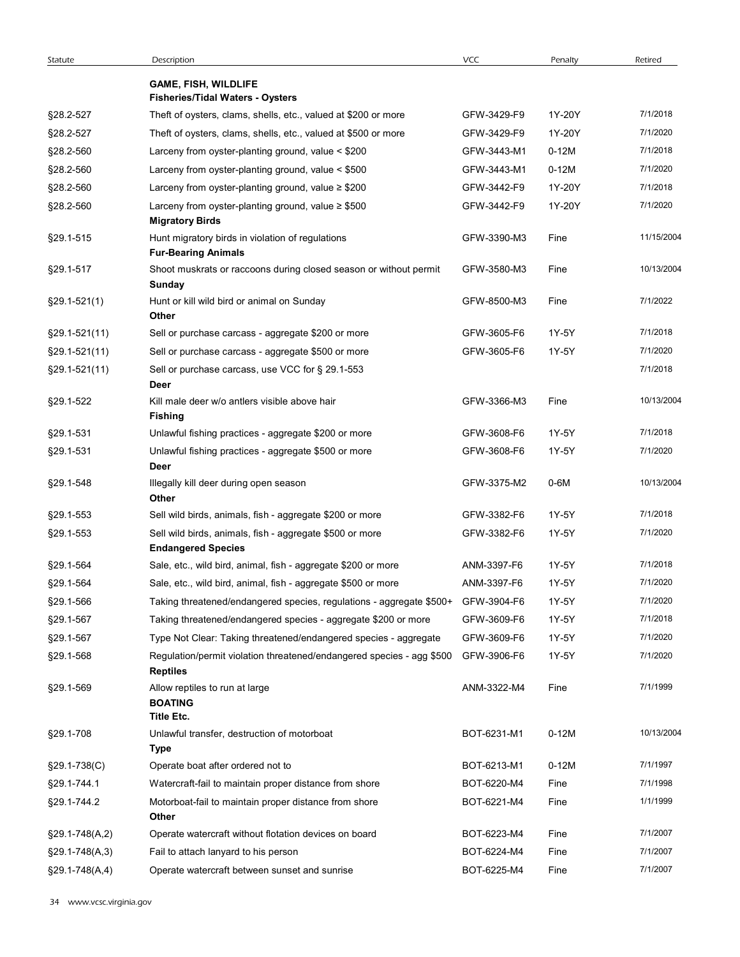| Statute                                 | Description                                                                                     | <b>VCC</b>  | Penalty | Retired    |
|-----------------------------------------|-------------------------------------------------------------------------------------------------|-------------|---------|------------|
|                                         | <b>GAME, FISH, WILDLIFE</b><br><b>Fisheries/Tidal Waters - Oysters</b>                          |             |         |            |
| §28.2-527                               | Theft of oysters, clams, shells, etc., valued at \$200 or more                                  | GFW-3429-F9 | 1Y-20Y  | 7/1/2018   |
| §28.2-527                               | Theft of oysters, clams, shells, etc., valued at \$500 or more                                  | GFW-3429-F9 | 1Y-20Y  | 7/1/2020   |
| §28.2-560                               | Larceny from oyster-planting ground, value < \$200                                              | GFW-3443-M1 | $0-12M$ | 7/1/2018   |
| §28.2-560                               | Larceny from oyster-planting ground, value < \$500                                              | GFW-3443-M1 | $0-12M$ | 7/1/2020   |
| §28.2-560                               | Larceny from oyster-planting ground, value $\geq$ \$200                                         | GFW-3442-F9 | 1Y-20Y  | 7/1/2018   |
| §28.2-560                               | Larceny from oyster-planting ground, value $\geq$ \$500                                         | GFW-3442-F9 | 1Y-20Y  | 7/1/2020   |
| §29.1-515                               | <b>Migratory Birds</b><br>Hunt migratory birds in violation of regulations                      | GFW-3390-M3 | Fine    | 11/15/2004 |
| §29.1-517                               | <b>Fur-Bearing Animals</b><br>Shoot muskrats or raccoons during closed season or without permit | GFW-3580-M3 | Fine    | 10/13/2004 |
|                                         | Sunday                                                                                          | GFW-8500-M3 | Fine    | 7/1/2022   |
| $$29.1 - 521(1)$                        | Hunt or kill wild bird or animal on Sunday<br>Other                                             |             |         | 7/1/2018   |
| $§29.1 - 521(11)$                       | Sell or purchase carcass - aggregate \$200 or more                                              | GFW-3605-F6 | 1Y-5Y   |            |
| $§29.1-521(11)$                         | Sell or purchase carcass - aggregate \$500 or more                                              | GFW-3605-F6 | 1Y-5Y   | 7/1/2020   |
| $§29.1-521(11)$                         | Sell or purchase carcass, use VCC for § 29.1-553<br>Deer                                        |             |         | 7/1/2018   |
| §29.1-522                               | Kill male deer w/o antlers visible above hair<br><b>Fishing</b>                                 | GFW-3366-M3 | Fine    | 10/13/2004 |
| §29.1-531                               | Unlawful fishing practices - aggregate \$200 or more                                            | GFW-3608-F6 | 1Y-5Y   | 7/1/2018   |
| §29.1-531                               | Unlawful fishing practices - aggregate \$500 or more<br>Deer                                    | GFW-3608-F6 | 1Y-5Y   | 7/1/2020   |
| §29.1-548                               | Illegally kill deer during open season<br>Other                                                 | GFW-3375-M2 | 0-6M    | 10/13/2004 |
| §29.1-553                               | Sell wild birds, animals, fish - aggregate \$200 or more                                        | GFW-3382-F6 | 1Y-5Y   | 7/1/2018   |
| §29.1-553                               | Sell wild birds, animals, fish - aggregate \$500 or more<br><b>Endangered Species</b>           | GFW-3382-F6 | 1Y-5Y   | 7/1/2020   |
| §29.1-564                               | Sale, etc., wild bird, animal, fish - aggregate \$200 or more                                   | ANM-3397-F6 | 1Y-5Y   | 7/1/2018   |
| §29.1-564                               | Sale, etc., wild bird, animal, fish - aggregate \$500 or more                                   | ANM-3397-F6 | 1Y-5Y   | 7/1/2020   |
| §29.1-566                               | Taking threatened/endangered species, regulations - aggregate \$500+                            | GFW-3904-F6 | 1Y-5Y   | 7/1/2020   |
| §29.1-567                               | Taking threatened/endangered species - aggregate \$200 or more                                  | GFW-3609-F6 | 1Y-5Y   | 7/1/2018   |
| §29.1-567                               | Type Not Clear: Taking threatened/endangered species - aggregate                                | GFW-3609-F6 | 1Y-5Y   | 7/1/2020   |
| §29.1-568                               | Regulation/permit violation threatened/endangered species - agg \$500<br><b>Reptiles</b>        | GFW-3906-F6 | 1Y-5Y   | 7/1/2020   |
| §29.1-569                               | Allow reptiles to run at large<br><b>BOATING</b><br><b>Title Etc.</b>                           | ANM-3322-M4 | Fine    | 7/1/1999   |
| §29.1-708                               | Unlawful transfer, destruction of motorboat<br>Type                                             | BOT-6231-M1 | $0-12M$ | 10/13/2004 |
| $\S29.1 - 738(C)$                       | Operate boat after ordered not to                                                               | BOT-6213-M1 | $0-12M$ | 7/1/1997   |
| §29.1-744.1                             | Watercraft-fail to maintain proper distance from shore                                          | BOT-6220-M4 | Fine    | 7/1/1998   |
| §29.1-744.2                             | Motorboat-fail to maintain proper distance from shore<br>Other                                  | BOT-6221-M4 | Fine    | 1/1/1999   |
|                                         | Operate watercraft without flotation devices on board                                           | BOT-6223-M4 | Fine    | 7/1/2007   |
|                                         |                                                                                                 | BOT-6224-M4 | Fine    | 7/1/2007   |
| $$29.1-748(A,2)$<br>$$29.1 - 748(A, 3)$ | Fail to attach lanyard to his person                                                            |             |         |            |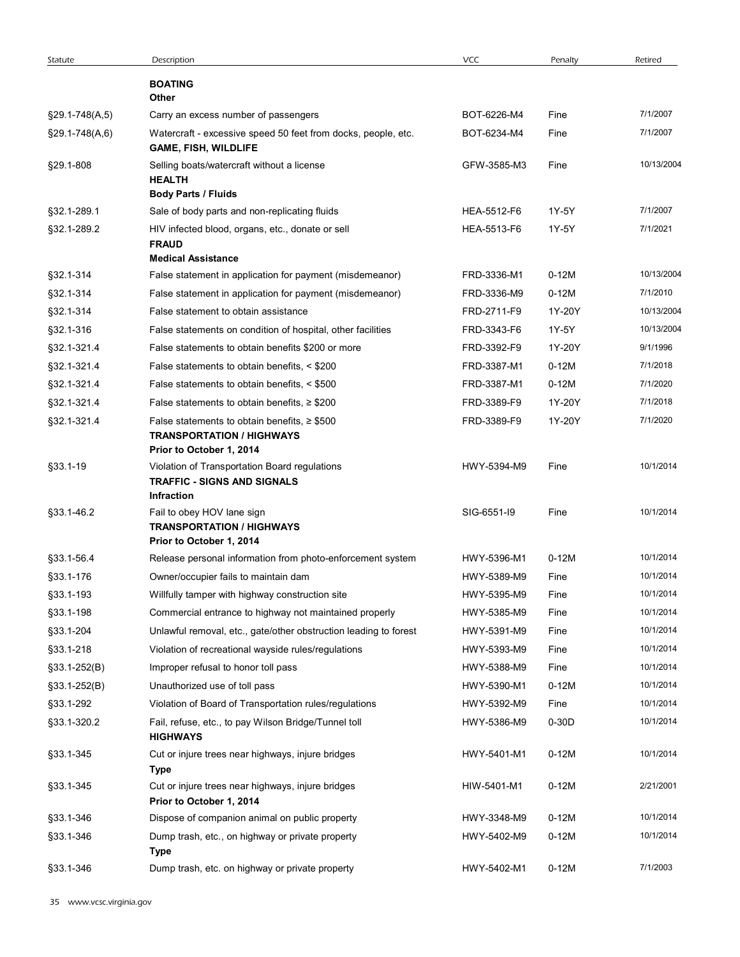| Statute                 | Description                                                                                                          | <b>VCC</b>                 | Penalty            | Retired                |
|-------------------------|----------------------------------------------------------------------------------------------------------------------|----------------------------|--------------------|------------------------|
|                         | <b>BOATING</b>                                                                                                       |                            |                    |                        |
| $\S$ 29.1-748(A,5)      | Other<br>Carry an excess number of passengers                                                                        | BOT-6226-M4                | Fine               | 7/1/2007               |
| $\S$ 29.1-748(A,6)      | Watercraft - excessive speed 50 feet from docks, people, etc.                                                        | BOT-6234-M4                | Fine               | 7/1/2007               |
|                         | <b>GAME, FISH, WILDLIFE</b>                                                                                          |                            |                    |                        |
| §29.1-808               | Selling boats/watercraft without a license<br><b>HEALTH</b><br><b>Body Parts / Fluids</b>                            | GFW-3585-M3                | Fine               | 10/13/2004             |
| §32.1-289.1             | Sale of body parts and non-replicating fluids                                                                        | HEA-5512-F6                | 1Y-5Y              | 7/1/2007               |
| §32.1-289.2             | HIV infected blood, organs, etc., donate or sell                                                                     | HEA-5513-F6                | 1Y-5Y              | 7/1/2021               |
|                         | <b>FRAUD</b>                                                                                                         |                            |                    |                        |
|                         | <b>Medical Assistance</b>                                                                                            |                            |                    | 10/13/2004             |
| §32.1-314               | False statement in application for payment (misdemeanor)<br>False statement in application for payment (misdemeanor) | FRD-3336-M1<br>FRD-3336-M9 | $0-12M$<br>$0-12M$ | 7/1/2010               |
| §32.1-314<br>§32.1-314  | False statement to obtain assistance                                                                                 | FRD-2711-F9                | 1Y-20Y             | 10/13/2004             |
| §32.1-316               | False statements on condition of hospital, other facilities                                                          | FRD-3343-F6                | 1Y-5Y              | 10/13/2004             |
| §32.1-321.4             | False statements to obtain benefits \$200 or more                                                                    | FRD-3392-F9                | 1Y-20Y             | 9/1/1996               |
| §32.1-321.4             | False statements to obtain benefits, < \$200                                                                         | FRD-3387-M1                | $0-12M$            | 7/1/2018               |
| §32.1-321.4             | False statements to obtain benefits, < \$500                                                                         | FRD-3387-M1                | $0-12M$            | 7/1/2020               |
| §32.1-321.4             | False statements to obtain benefits, $\geq$ \$200                                                                    | FRD-3389-F9                | 1Y-20Y             | 7/1/2018               |
| §32.1-321.4             | False statements to obtain benefits, $\geq$ \$500<br><b>TRANSPORTATION / HIGHWAYS</b><br>Prior to October 1, 2014    | FRD-3389-F9                | 1Y-20Y             | 7/1/2020               |
| §33.1-19                | Violation of Transportation Board regulations<br><b>TRAFFIC - SIGNS AND SIGNALS</b><br>Infraction                    | HWY-5394-M9                | Fine               | 10/1/2014              |
| §33.1-46.2              | Fail to obey HOV lane sign<br><b>TRANSPORTATION / HIGHWAYS</b>                                                       | SIG-6551-I9                | Fine               | 10/1/2014              |
|                         | Prior to October 1, 2014                                                                                             |                            |                    |                        |
| §33.1-56.4<br>§33.1-176 | Release personal information from photo-enforcement system<br>Owner/occupier fails to maintain dam                   | HWY-5396-M1<br>HWY-5389-M9 | $0-12M$<br>Fine    | 10/1/2014<br>10/1/2014 |
| §33.1-193               | Willfully tamper with highway construction site                                                                      | HWY-5395-M9                | Fine               | 10/1/2014              |
| §33.1-198               | Commercial entrance to highway not maintained properly                                                               | HWY-5385-M9                | Fine               | 10/1/2014              |
| §33.1-204               | Unlawful removal, etc., gate/other obstruction leading to forest                                                     | HWY-5391-M9                | Fine               | 10/1/2014              |
| §33.1-218               | Violation of recreational wayside rules/regulations                                                                  | HWY-5393-M9                | Fine               | 10/1/2014              |
| $$33.1-252(B)$          | Improper refusal to honor toll pass                                                                                  | HWY-5388-M9                | Fine               | 10/1/2014              |
| $$33.1-252(B)$          | Unauthorized use of toll pass                                                                                        | HWY-5390-M1                | $0-12M$            | 10/1/2014              |
| §33.1-292               | Violation of Board of Transportation rules/regulations                                                               | HWY-5392-M9                | Fine               | 10/1/2014              |
| §33.1-320.2             | Fail, refuse, etc., to pay Wilson Bridge/Tunnel toll<br><b>HIGHWAYS</b>                                              | HWY-5386-M9                | $0-30D$            | 10/1/2014              |
| §33.1-345               | Cut or injure trees near highways, injure bridges<br>Type                                                            | HWY-5401-M1                | $0-12M$            | 10/1/2014              |
| §33.1-345               | Cut or injure trees near highways, injure bridges<br>Prior to October 1, 2014                                        | HIW-5401-M1                | $0-12M$            | 2/21/2001              |
| §33.1-346               | Dispose of companion animal on public property                                                                       | HWY-3348-M9                | $0-12M$            | 10/1/2014              |
| §33.1-346               | Dump trash, etc., on highway or private property<br><b>Type</b>                                                      | HWY-5402-M9                | $0-12M$            | 10/1/2014              |
| §33.1-346               | Dump trash, etc. on highway or private property                                                                      | HWY-5402-M1                | $0-12M$            | 7/1/2003               |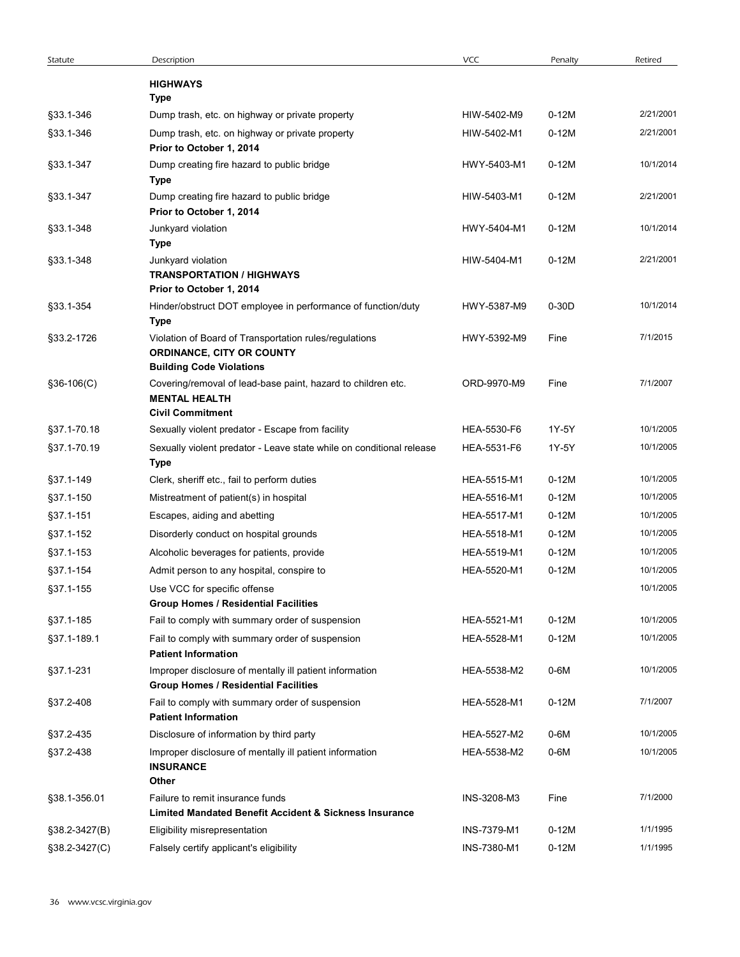| Statute                          |                                                                                                                        |                            |                    |                        |
|----------------------------------|------------------------------------------------------------------------------------------------------------------------|----------------------------|--------------------|------------------------|
|                                  |                                                                                                                        |                            |                    |                        |
|                                  |                                                                                                                        |                            |                    |                        |
|                                  |                                                                                                                        |                            |                    |                        |
|                                  |                                                                                                                        |                            |                    |                        |
|                                  |                                                                                                                        | VCC                        |                    |                        |
|                                  | Description                                                                                                            |                            | Penalty            | Retired                |
|                                  | <b>HIGHWAYS</b><br>Type                                                                                                |                            |                    |                        |
| §33.1-346                        | Dump trash, etc. on highway or private property                                                                        | HIW-5402-M9                | $0-12M$            | 2/21/2001              |
| §33.1-346                        | Dump trash, etc. on highway or private property<br>Prior to October 1, 2014                                            | HIW-5402-M1                | $0-12M$            | 2/21/2001              |
| §33.1-347                        | Dump creating fire hazard to public bridge                                                                             | HWY-5403-M1                | $0-12M$            | 10/1/2014              |
|                                  | Type                                                                                                                   |                            |                    |                        |
| §33.1-347                        | Dump creating fire hazard to public bridge<br>Prior to October 1, 2014                                                 | HIW-5403-M1                | $0-12M$            | 2/21/2001              |
| §33.1-348                        | Junkyard violation                                                                                                     | HWY-5404-M1                | $0-12M$            | 10/1/2014              |
| §33.1-348                        | Type<br>Junkyard violation                                                                                             | HIW-5404-M1                | $0-12M$            | 2/21/2001              |
|                                  | <b>TRANSPORTATION / HIGHWAYS</b><br>Prior to October 1, 2014                                                           |                            |                    |                        |
| §33.1-354                        | Hinder/obstruct DOT employee in performance of function/duty                                                           | HWY-5387-M9                | $0-30D$            | 10/1/2014              |
|                                  | Type                                                                                                                   |                            |                    |                        |
| §33.2-1726                       | Violation of Board of Transportation rules/regulations<br>ORDINANCE, CITY OR COUNTY<br><b>Building Code Violations</b> | HWY-5392-M9                | Fine               | 7/1/2015               |
| $§36-106(C)$                     | Covering/removal of lead-base paint, hazard to children etc.                                                           | ORD-9970-M9                | Fine               | 7/1/2007               |
|                                  | <b>MENTAL HEALTH</b><br><b>Civil Commitment</b>                                                                        |                            |                    |                        |
| §37.1-70.18                      | Sexually violent predator - Escape from facility                                                                       | HEA-5530-F6                | 1Y-5Y              | 10/1/2005              |
| §37.1-70.19                      | Sexually violent predator - Leave state while on conditional release                                                   | HEA-5531-F6                | 1Y-5Y              | 10/1/2005              |
|                                  | Type                                                                                                                   |                            |                    |                        |
| §37.1-149                        | Clerk, sheriff etc., fail to perform duties                                                                            | HEA-5515-M1                | $0-12M$            | 10/1/2005              |
| §37.1-150<br>§37.1-151           | Mistreatment of patient(s) in hospital<br>Escapes, aiding and abetting                                                 | HEA-5516-M1<br>HEA-5517-M1 | $0-12M$<br>$0-12M$ | 10/1/2005<br>10/1/2005 |
| §37.1-152                        | Disorderly conduct on hospital grounds                                                                                 | HEA-5518-M1                | $0-12M$            | 10/1/2005              |
| §37.1-153                        | Alcoholic beverages for patients, provide                                                                              | HEA-5519-M1                | $0-12M$            | 10/1/2005              |
| §37.1-154                        | Admit person to any hospital, conspire to                                                                              | HEA-5520-M1                | $0-12M$            | 10/1/2005              |
| §37.1-155                        | Use VCC for specific offense                                                                                           |                            |                    | 10/1/2005              |
| §37.1-185                        | <b>Group Homes / Residential Facilities</b><br>Fail to comply with summary order of suspension                         | HEA-5521-M1                | $0-12M$            | 10/1/2005              |
| §37.1-189.1                      | Fail to comply with summary order of suspension                                                                        | HEA-5528-M1                | $0-12M$            | 10/1/2005              |
|                                  | <b>Patient Information</b>                                                                                             |                            |                    |                        |
| §37.1-231                        | Improper disclosure of mentally ill patient information<br><b>Group Homes / Residential Facilities</b>                 | HEA-5538-M2                | $0-6M$             | 10/1/2005              |
| §37.2-408                        | Fail to comply with summary order of suspension<br><b>Patient Information</b>                                          | HEA-5528-M1                | $0-12M$            | 7/1/2007               |
| §37.2-435                        | Disclosure of information by third party                                                                               | HEA-5527-M2                | $0-6M$             | 10/1/2005              |
| §37.2-438                        | Improper disclosure of mentally ill patient information                                                                | HEA-5538-M2                | $0-6M$             | 10/1/2005              |
|                                  | <b>INSURANCE</b><br>Other                                                                                              |                            |                    |                        |
| §38.1-356.01                     | Failure to remit insurance funds                                                                                       | INS-3208-M3                | Fine               | 7/1/2000               |
|                                  | Limited Mandated Benefit Accident & Sickness Insurance                                                                 |                            |                    |                        |
| §38.2-3427(B)<br>$§38.2-3427(C)$ | Eligibility misrepresentation<br>Falsely certify applicant's eligibility                                               | INS-7379-M1<br>INS-7380-M1 | $0-12M$<br>$0-12M$ | 1/1/1995<br>1/1/1995   |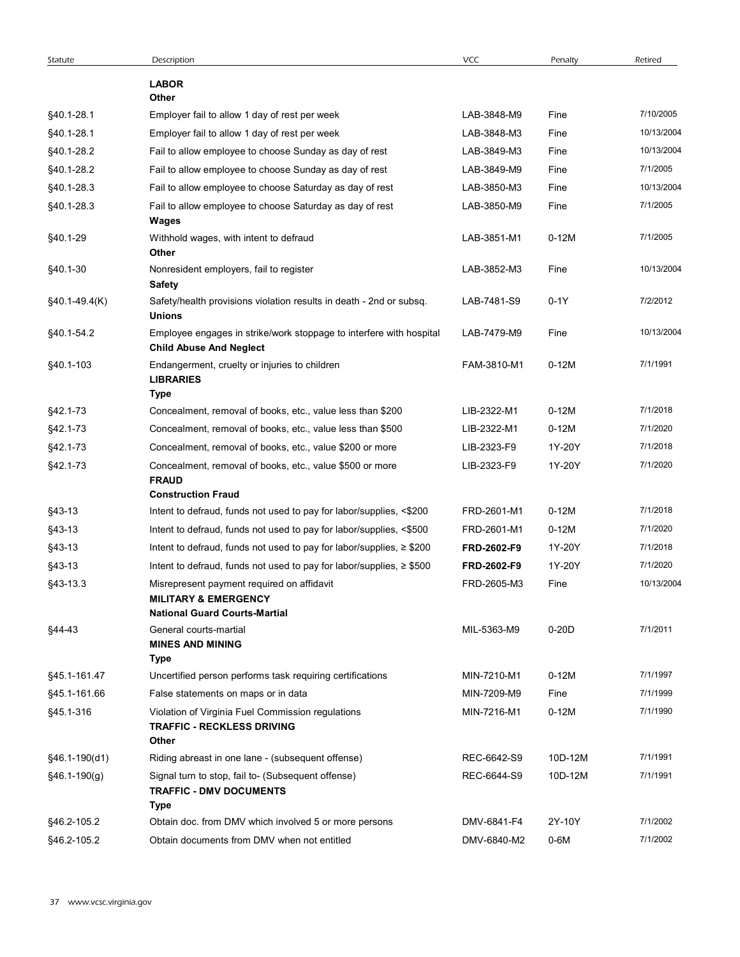|                   |                                                                                                                       | <b>VCC</b>  |         |            |
|-------------------|-----------------------------------------------------------------------------------------------------------------------|-------------|---------|------------|
| Statute           | Description<br><b>LABOR</b>                                                                                           |             | Penalty | Retired    |
|                   | Other                                                                                                                 |             |         |            |
| §40.1-28.1        | Employer fail to allow 1 day of rest per week                                                                         | LAB-3848-M9 | Fine    | 7/10/2005  |
| §40.1-28.1        | Employer fail to allow 1 day of rest per week                                                                         | LAB-3848-M3 | Fine    | 10/13/2004 |
| §40.1-28.2        | Fail to allow employee to choose Sunday as day of rest                                                                | LAB-3849-M3 | Fine    | 10/13/2004 |
| §40.1-28.2        | Fail to allow employee to choose Sunday as day of rest                                                                | LAB-3849-M9 | Fine    | 7/1/2005   |
| §40.1-28.3        | Fail to allow employee to choose Saturday as day of rest                                                              | LAB-3850-M3 | Fine    | 10/13/2004 |
| §40.1-28.3        | Fail to allow employee to choose Saturday as day of rest<br>Wages                                                     | LAB-3850-M9 | Fine    | 7/1/2005   |
| §40.1-29          | Withhold wages, with intent to defraud<br>Other                                                                       | LAB-3851-M1 | $0-12M$ | 7/1/2005   |
| §40.1-30          | Nonresident employers, fail to register<br><b>Safety</b>                                                              | LAB-3852-M3 | Fine    | 10/13/2004 |
| $§40.1 - 49.4(K)$ | Safety/health provisions violation results in death - 2nd or subsq.<br><b>Unions</b>                                  | LAB-7481-S9 | $0-1Y$  | 7/2/2012   |
| §40.1-54.2        | Employee engages in strike/work stoppage to interfere with hospital<br><b>Child Abuse And Neglect</b>                 | LAB-7479-M9 | Fine    | 10/13/2004 |
| §40.1-103         | Endangerment, cruelty or injuries to children<br><b>LIBRARIES</b><br>Type                                             | FAM-3810-M1 | $0-12M$ | 7/1/1991   |
| §42.1-73          | Concealment, removal of books, etc., value less than \$200                                                            | LIB-2322-M1 | $0-12M$ | 7/1/2018   |
| §42.1-73          | Concealment, removal of books, etc., value less than \$500                                                            | LIB-2322-M1 | $0-12M$ | 7/1/2020   |
| §42.1-73          | Concealment, removal of books, etc., value \$200 or more                                                              | LIB-2323-F9 | 1Y-20Y  | 7/1/2018   |
| §42.1-73          | Concealment, removal of books, etc., value \$500 or more<br><b>FRAUD</b><br><b>Construction Fraud</b>                 | LIB-2323-F9 | 1Y-20Y  | 7/1/2020   |
| §43-13            | Intent to defraud, funds not used to pay for labor/supplies, <\$200                                                   | FRD-2601-M1 | $0-12M$ | 7/1/2018   |
| §43-13            | Intent to defraud, funds not used to pay for labor/supplies, <\$500                                                   | FRD-2601-M1 | $0-12M$ | 7/1/2020   |
| §43-13            | Intent to defraud, funds not used to pay for labor/supplies, ≥ \$200                                                  | FRD-2602-F9 | 1Y-20Y  | 7/1/2018   |
| §43-13            | Intent to defraud, funds not used to pay for labor/supplies, ≥ \$500                                                  | FRD-2602-F9 | 1Y-20Y  | 7/1/2020   |
| §43-13.3          | Misrepresent payment required on affidavit<br><b>MILITARY &amp; EMERGENCY</b><br><b>National Guard Courts-Martial</b> | FRD-2605-M3 | Fine    | 10/13/2004 |
| §44-43            | General courts-martial<br><b>MINES AND MINING</b><br>Type                                                             | MIL-5363-M9 | $0-20D$ | 7/1/2011   |
| §45.1-161.47      | Uncertified person performs task requiring certifications                                                             | MIN-7210-M1 | $0-12M$ | 7/1/1997   |
| §45.1-161.66      | False statements on maps or in data                                                                                   | MIN-7209-M9 | Fine    | 7/1/1999   |
| §45.1-316         | Violation of Virginia Fuel Commission regulations<br><b>TRAFFIC - RECKLESS DRIVING</b><br>Other                       | MIN-7216-M1 | $0-12M$ | 7/1/1990   |
| $§46.1-190(d1)$   | Riding abreast in one lane - (subsequent offense)                                                                     | REC-6642-S9 | 10D-12M | 7/1/1991   |
| $§46.1-190(g)$    | Signal turn to stop, fail to- (Subsequent offense)<br><b>TRAFFIC - DMV DOCUMENTS</b>                                  | REC-6644-S9 | 10D-12M | 7/1/1991   |
| §46.2-105.2       | Type                                                                                                                  |             |         |            |
|                   | Obtain doc. from DMV which involved 5 or more persons                                                                 | DMV-6841-F4 | 2Y-10Y  | 7/1/2002   |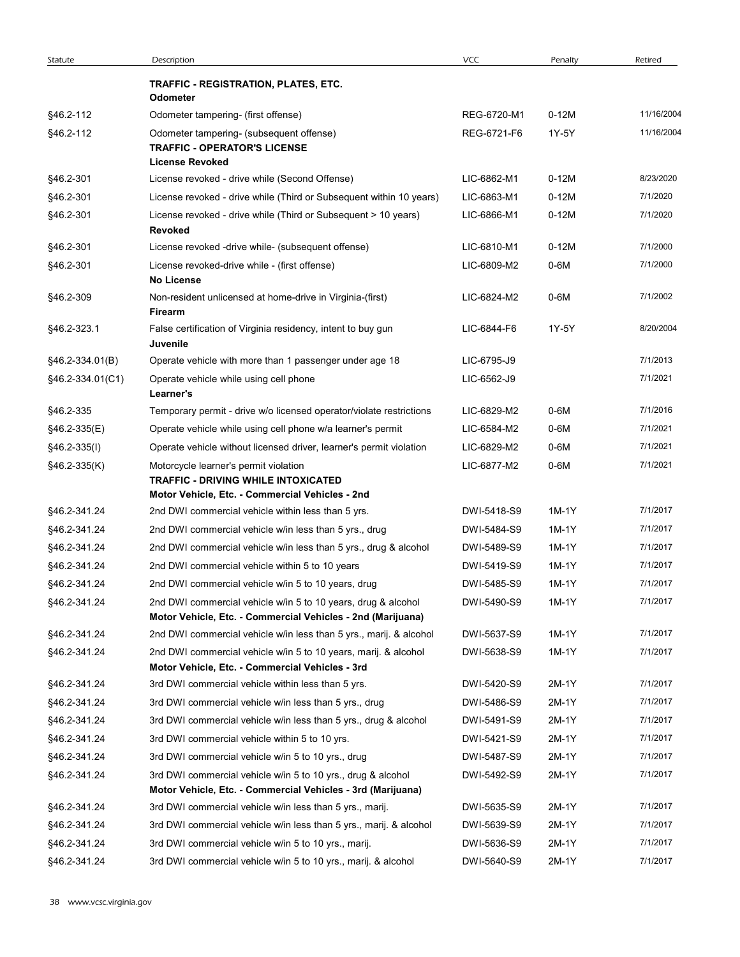| Statute          | Description                                                                                                                            | <b>VCC</b>  | Penalty | Retired    |
|------------------|----------------------------------------------------------------------------------------------------------------------------------------|-------------|---------|------------|
|                  | TRAFFIC - REGISTRATION, PLATES, ETC.<br><b>Odometer</b>                                                                                |             |         |            |
| §46.2-112        | Odometer tampering- (first offense)                                                                                                    | REG-6720-M1 | $0-12M$ | 11/16/2004 |
| §46.2-112        | Odometer tampering- (subsequent offense)<br><b>TRAFFIC - OPERATOR'S LICENSE</b><br><b>License Revoked</b>                              | REG-6721-F6 | 1Y-5Y   | 11/16/2004 |
| §46.2-301        | License revoked - drive while (Second Offense)                                                                                         | LIC-6862-M1 | $0-12M$ | 8/23/2020  |
| §46.2-301        | License revoked - drive while (Third or Subsequent within 10 years)                                                                    | LIC-6863-M1 | $0-12M$ | 7/1/2020   |
| §46.2-301        | License revoked - drive while (Third or Subsequent > 10 years)<br><b>Revoked</b>                                                       | LIC-6866-M1 | $0-12M$ | 7/1/2020   |
| §46.2-301        | License revoked -drive while- (subsequent offense)                                                                                     | LIC-6810-M1 | $0-12M$ | 7/1/2000   |
| §46.2-301        | License revoked-drive while - (first offense)<br>No License                                                                            | LIC-6809-M2 | $0-6M$  | 7/1/2000   |
| §46.2-309        | Non-resident unlicensed at home-drive in Virginia-(first)<br>Firearm                                                                   | LIC-6824-M2 | $0-6M$  | 7/1/2002   |
| §46.2-323.1      | False certification of Virginia residency, intent to buy gun<br>Juvenile                                                               | LIC-6844-F6 | 1Y-5Y   | 8/20/2004  |
| §46.2-334.01(B)  | Operate vehicle with more than 1 passenger under age 18                                                                                | LIC-6795-J9 |         | 7/1/2013   |
| §46.2-334.01(C1) | Operate vehicle while using cell phone<br>Learner's                                                                                    | LIC-6562-J9 |         | 7/1/2021   |
| §46.2-335        | Temporary permit - drive w/o licensed operator/violate restrictions                                                                    | LIC-6829-M2 | 0-6M    | 7/1/2016   |
| §46.2-335(E)     | Operate vehicle while using cell phone w/a learner's permit                                                                            | LIC-6584-M2 | 0-6M    | 7/1/2021   |
| §46.2-335(I)     | Operate vehicle without licensed driver, learner's permit violation                                                                    | LIC-6829-M2 | $0-6M$  | 7/1/2021   |
| §46.2-335(K)     | Motorcycle learner's permit violation<br><b>TRAFFIC - DRIVING WHILE INTOXICATED</b><br>Motor Vehicle, Etc. - Commercial Vehicles - 2nd | LIC-6877-M2 | 0-6M    | 7/1/2021   |
| §46.2-341.24     | 2nd DWI commercial vehicle within less than 5 yrs.                                                                                     | DWI-5418-S9 | 1M-1Y   | 7/1/2017   |
| §46.2-341.24     | 2nd DWI commercial vehicle w/in less than 5 yrs., drug                                                                                 | DWI-5484-S9 | 1M-1Y   | 7/1/2017   |
| §46.2-341.24     | 2nd DWI commercial vehicle w/in less than 5 yrs., drug & alcohol                                                                       | DWI-5489-S9 | 1M-1Y   | 7/1/2017   |
| §46.2-341.24     | 2nd DWI commercial vehicle within 5 to 10 years                                                                                        | DWI-5419-S9 | 1M-1Y   | 7/1/2017   |
| §46.2-341.24     | 2nd DWI commercial vehicle w/in 5 to 10 years, drug                                                                                    | DWI-5485-S9 | 1M-1Y   | 7/1/2017   |
| §46.2-341.24     | 2nd DWI commercial vehicle w/in 5 to 10 years, drug & alcohol                                                                          | DWI-5490-S9 | 1M-1Y   | 7/1/2017   |
|                  | Motor Vehicle, Etc. - Commercial Vehicles - 2nd (Marijuana)                                                                            |             |         |            |
| §46.2-341.24     | 2nd DWI commercial vehicle w/in less than 5 yrs., marij. & alcohol                                                                     | DWI-5637-S9 | 1M-1Y   | 7/1/2017   |
| §46.2-341.24     | 2nd DWI commercial vehicle w/in 5 to 10 years, marij. & alcohol<br>Motor Vehicle, Etc. - Commercial Vehicles - 3rd                     | DWI-5638-S9 | 1M-1Y   | 7/1/2017   |
| §46.2-341.24     | 3rd DWI commercial vehicle within less than 5 yrs.                                                                                     | DWI-5420-S9 | 2M-1Y   | 7/1/2017   |
| §46.2-341.24     | 3rd DWI commercial vehicle w/in less than 5 yrs., drug                                                                                 | DWI-5486-S9 | 2M-1Y   | 7/1/2017   |
| §46.2-341.24     | 3rd DWI commercial vehicle w/in less than 5 yrs., drug & alcohol                                                                       | DWI-5491-S9 | 2M-1Y   | 7/1/2017   |
| §46.2-341.24     | 3rd DWI commercial vehicle within 5 to 10 yrs.                                                                                         | DWI-5421-S9 | 2M-1Y   | 7/1/2017   |
| §46.2-341.24     | 3rd DWI commercial vehicle w/in 5 to 10 yrs., drug                                                                                     | DWI-5487-S9 | 2M-1Y   | 7/1/2017   |
| §46.2-341.24     | 3rd DWI commercial vehicle w/in 5 to 10 yrs., drug & alcohol<br>Motor Vehicle, Etc. - Commercial Vehicles - 3rd (Marijuana)            | DWI-5492-S9 | 2M-1Y   | 7/1/2017   |
| §46.2-341.24     | 3rd DWI commercial vehicle w/in less than 5 yrs., marij.                                                                               | DWI-5635-S9 | 2M-1Y   | 7/1/2017   |
| §46.2-341.24     | 3rd DWI commercial vehicle w/in less than 5 yrs., marij. & alcohol                                                                     | DWI-5639-S9 | 2M-1Y   | 7/1/2017   |
| §46.2-341.24     | 3rd DWI commercial vehicle w/in 5 to 10 yrs., marij.                                                                                   | DWI-5636-S9 | 2M-1Y   | 7/1/2017   |
|                  |                                                                                                                                        |             |         |            |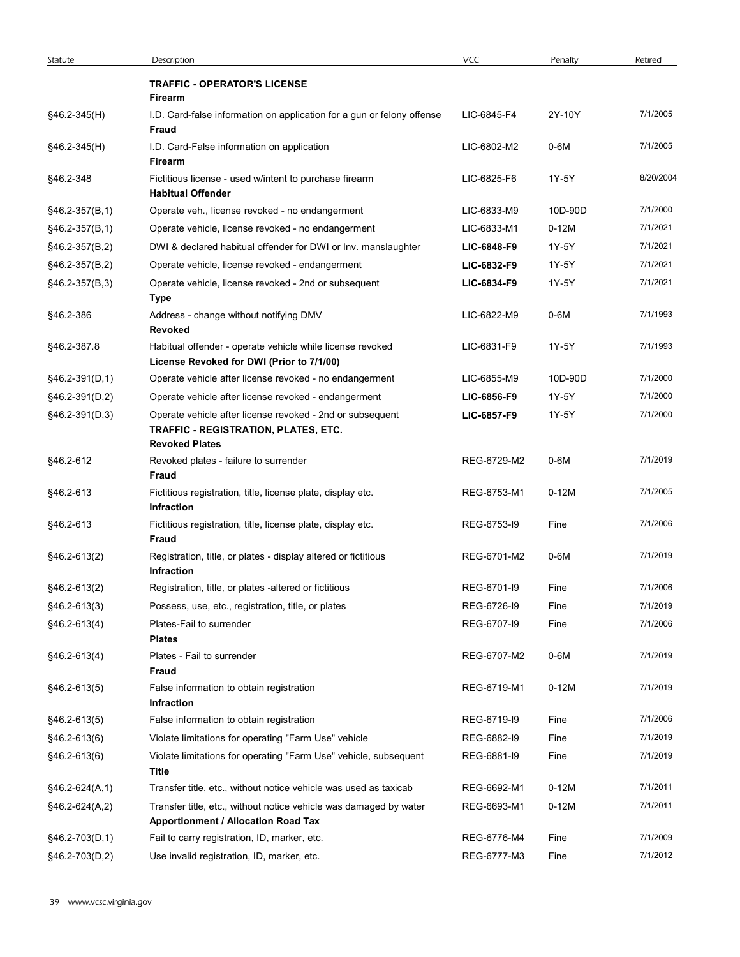| Statute<br>§46.2-345(H)<br>§46.2-345(H) | Description<br><b>TRAFFIC - OPERATOR'S LICENSE</b>                                                                         | <b>VCC</b>  | Penalty |           |
|-----------------------------------------|----------------------------------------------------------------------------------------------------------------------------|-------------|---------|-----------|
|                                         |                                                                                                                            |             |         | Retired   |
|                                         | <b>Firearm</b><br>I.D. Card-false information on application for a gun or felony offense                                   | LIC-6845-F4 | 2Y-10Y  | 7/1/2005  |
|                                         | Fraud<br>I.D. Card-False information on application<br><b>Firearm</b>                                                      | LIC-6802-M2 | 0-6M    | 7/1/2005  |
| §46.2-348                               | Fictitious license - used w/intent to purchase firearm<br><b>Habitual Offender</b>                                         | LIC-6825-F6 | 1Y-5Y   | 8/20/2004 |
| $§46.2-357(B,1)$                        | Operate veh., license revoked - no endangerment                                                                            | LIC-6833-M9 | 10D-90D | 7/1/2000  |
| $§46.2-357(B,1)$                        | Operate vehicle, license revoked - no endangerment                                                                         | LIC-6833-M1 | $0-12M$ | 7/1/2021  |
| §46.2-357(B,2)                          | DWI & declared habitual offender for DWI or Inv. manslaughter                                                              | LIC-6848-F9 | 1Y-5Y   | 7/1/2021  |
| §46.2-357(B,2)                          | Operate vehicle, license revoked - endangerment                                                                            | LIC-6832-F9 | 1Y-5Y   | 7/1/2021  |
|                                         |                                                                                                                            | LIC-6834-F9 | 1Y-5Y   | 7/1/2021  |
| $§46.2-357(B,3)$                        | Operate vehicle, license revoked - 2nd or subsequent<br><b>Type</b>                                                        |             |         |           |
| §46.2-386                               | Address - change without notifying DMV<br><b>Revoked</b>                                                                   | LIC-6822-M9 | $0-6M$  | 7/1/1993  |
| §46.2-387.8                             | Habitual offender - operate vehicle while license revoked<br>License Revoked for DWI (Prior to 7/1/00)                     | LIC-6831-F9 | 1Y-5Y   | 7/1/1993  |
| $§46.2-391(D,1)$                        | Operate vehicle after license revoked - no endangerment                                                                    | LIC-6855-M9 | 10D-90D | 7/1/2000  |
| $§46.2-391(D,2)$                        | Operate vehicle after license revoked - endangerment                                                                       | LIC-6856-F9 | 1Y-5Y   | 7/1/2000  |
| $§46.2-391(D,3)$                        | Operate vehicle after license revoked - 2nd or subsequent<br>TRAFFIC - REGISTRATION, PLATES, ETC.<br><b>Revoked Plates</b> | LIC-6857-F9 | 1Y-5Y   | 7/1/2000  |
| §46.2-612                               | Revoked plates - failure to surrender<br>Fraud                                                                             | REG-6729-M2 | $0-6M$  | 7/1/2019  |
| §46.2-613                               | Fictitious registration, title, license plate, display etc.<br>Infraction                                                  | REG-6753-M1 | $0-12M$ | 7/1/2005  |
| §46.2-613                               | Fictitious registration, title, license plate, display etc.<br>Fraud                                                       | REG-6753-I9 | Fine    | 7/1/2006  |
| §46.2-613(2)                            | Registration, title, or plates - display altered or fictitious<br>Infraction                                               | REG-6701-M2 | 0-6M    | 7/1/2019  |
| §46.2-613(2)                            | Registration, title, or plates -altered or fictitious                                                                      | REG-6701-I9 | Fine    | 7/1/2006  |
| $§46.2-613(3)$                          | Possess, use, etc., registration, title, or plates                                                                         | REG-6726-I9 | Fine    | 7/1/2019  |
| §46.2-613(4)                            | Plates-Fail to surrender<br><b>Plates</b>                                                                                  | REG-6707-I9 | Fine    | 7/1/2006  |
| $$46.2-613(4)$                          | Plates - Fail to surrender                                                                                                 | REG-6707-M2 | $0-6M$  | 7/1/2019  |
| §46.2-613(5)                            | Fraud<br>False information to obtain registration                                                                          | REG-6719-M1 | $0-12M$ | 7/1/2019  |
|                                         | Infraction                                                                                                                 |             |         |           |
| §46.2-613(5)                            | False information to obtain registration                                                                                   | REG-6719-I9 | Fine    | 7/1/2006  |
| §46.2-613(6)                            | Violate limitations for operating "Farm Use" vehicle                                                                       | REG-6882-I9 | Fine    | 7/1/2019  |
| §46.2-613(6)                            | Violate limitations for operating "Farm Use" vehicle, subsequent<br><b>Title</b>                                           | REG-6881-I9 | Fine    | 7/1/2019  |
| §46.2-624(A,1)                          | Transfer title, etc., without notice vehicle was used as taxicab                                                           | REG-6692-M1 | $0-12M$ | 7/1/2011  |
| $§46.2-624(A,2)$                        | Transfer title, etc., without notice vehicle was damaged by water<br><b>Apportionment / Allocation Road Tax</b>            | REG-6693-M1 | $0-12M$ | 7/1/2011  |
| $§46.2-703(D,1)$                        | Fail to carry registration, ID, marker, etc.                                                                               | REG-6776-M4 | Fine    | 7/1/2009  |
| $§46.2-703(D,2)$                        | Use invalid registration, ID, marker, etc.                                                                                 | REG-6777-M3 | Fine    | 7/1/2012  |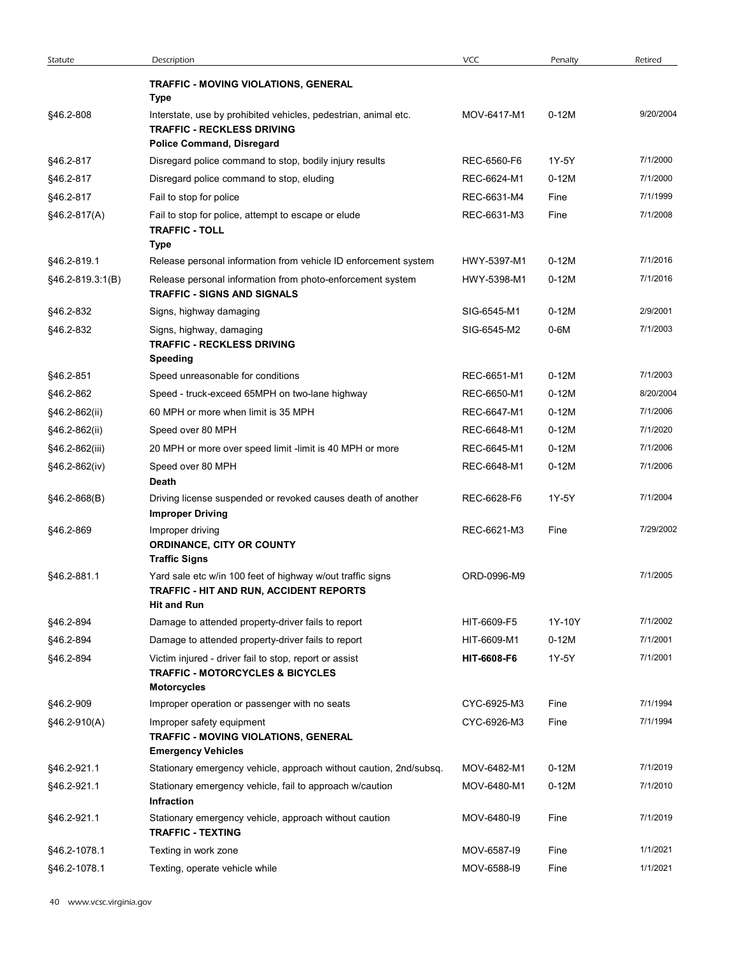| Statute                    | Description                                                                                                                                         | <b>VCC</b>                 | Penalty            | Retired              |
|----------------------------|-----------------------------------------------------------------------------------------------------------------------------------------------------|----------------------------|--------------------|----------------------|
|                            | TRAFFIC - MOVING VIOLATIONS, GENERAL<br>Type                                                                                                        |                            |                    |                      |
| §46.2-808                  | Interstate, use by prohibited vehicles, pedestrian, animal etc.<br><b>TRAFFIC - RECKLESS DRIVING</b><br><b>Police Command, Disregard</b>            | MOV-6417-M1                | $0-12M$            | 9/20/2004            |
| §46.2-817                  | Disregard police command to stop, bodily injury results                                                                                             | REC-6560-F6                | 1Y-5Y              | 7/1/2000             |
| §46.2-817                  | Disregard police command to stop, eluding                                                                                                           | REC-6624-M1                | $0-12M$            | 7/1/2000             |
| §46.2-817                  | Fail to stop for police                                                                                                                             | REC-6631-M4                | Fine               | 7/1/1999             |
| §46.2-817(A)               | Fail to stop for police, attempt to escape or elude<br><b>TRAFFIC - TOLL</b><br>Type                                                                | REC-6631-M3                | Fine               | 7/1/2008             |
| §46.2-819.1                | Release personal information from vehicle ID enforcement system                                                                                     | HWY-5397-M1                | $0-12M$            | 7/1/2016             |
| §46.2-819.3:1(B)           | Release personal information from photo-enforcement system<br><b>TRAFFIC - SIGNS AND SIGNALS</b>                                                    | HWY-5398-M1                | $0-12M$            | 7/1/2016             |
| §46.2-832                  | Signs, highway damaging                                                                                                                             | SIG-6545-M1                | $0-12M$            | 2/9/2001             |
| §46.2-832                  | Signs, highway, damaging<br><b>TRAFFIC - RECKLESS DRIVING</b><br>Speeding                                                                           | SIG-6545-M2                | $0-6M$             | 7/1/2003             |
| §46.2-851                  | Speed unreasonable for conditions                                                                                                                   | REC-6651-M1                | $0-12M$            | 7/1/2003             |
| §46.2-862                  | Speed - truck-exceed 65MPH on two-lane highway                                                                                                      | REC-6650-M1                | $0-12M$            | 8/20/2004            |
| §46.2-862(ii)              | 60 MPH or more when limit is 35 MPH                                                                                                                 | REC-6647-M1                | $0-12M$            | 7/1/2006             |
| §46.2-862(ii)              | Speed over 80 MPH                                                                                                                                   | REC-6648-M1                | $0-12M$            | 7/1/2020             |
| §46.2-862(iii)             | 20 MPH or more over speed limit -limit is 40 MPH or more                                                                                            | REC-6645-M1                | $0-12M$            | 7/1/2006             |
| §46.2-862(iv)              | Speed over 80 MPH                                                                                                                                   | REC-6648-M1                | $0-12M$            | 7/1/2006             |
| $§46.2-868(B)$             | Death<br>Driving license suspended or revoked causes death of another<br><b>Improper Driving</b>                                                    | REC-6628-F6                | 1Y-5Y              | 7/1/2004             |
| §46.2-869                  | Improper driving<br>ORDINANCE, CITY OR COUNTY                                                                                                       | REC-6621-M3                | Fine               | 7/29/2002            |
| §46.2-881.1                | <b>Traffic Signs</b><br>Yard sale etc w/in 100 feet of highway w/out traffic signs<br>TRAFFIC - HIT AND RUN, ACCIDENT REPORTS<br><b>Hit and Run</b> | ORD-0996-M9                |                    | 7/1/2005             |
| §46.2-894                  | Damage to attended property-driver fails to report                                                                                                  | HIT-6609-F5                | 1Y-10Y             | 7/1/2002             |
| §46.2-894                  | Damage to attended property-driver fails to report                                                                                                  | HIT-6609-M1                | $0-12M$            | 7/1/2001             |
| §46.2-894                  | Victim injured - driver fail to stop, report or assist<br><b>TRAFFIC - MOTORCYCLES &amp; BICYCLES</b><br><b>Motorcycles</b>                         | HIT-6608-F6                | 1Y-5Y              | 7/1/2001             |
| §46.2-909                  | Improper operation or passenger with no seats                                                                                                       | CYC-6925-M3                | Fine               | 7/1/1994             |
| $§46.2-910(A)$             | Improper safety equipment<br>TRAFFIC - MOVING VIOLATIONS, GENERAL                                                                                   | CYC-6926-M3                | Fine               | 7/1/1994             |
|                            | <b>Emergency Vehicles</b>                                                                                                                           |                            |                    |                      |
| §46.2-921.1<br>§46.2-921.1 | Stationary emergency vehicle, approach without caution, 2nd/subsq.<br>Stationary emergency vehicle, fail to approach w/caution                      | MOV-6482-M1<br>MOV-6480-M1 | $0-12M$<br>$0-12M$ | 7/1/2019<br>7/1/2010 |
| §46.2-921.1                | <b>Infraction</b><br>Stationary emergency vehicle, approach without caution                                                                         | MOV-6480-I9                | Fine               | 7/1/2019             |
|                            | <b>TRAFFIC - TEXTING</b><br>Texting in work zone                                                                                                    |                            |                    | 1/1/2021             |
| §46.2-1078.1               |                                                                                                                                                     | MOV-6587-I9                | Fine               |                      |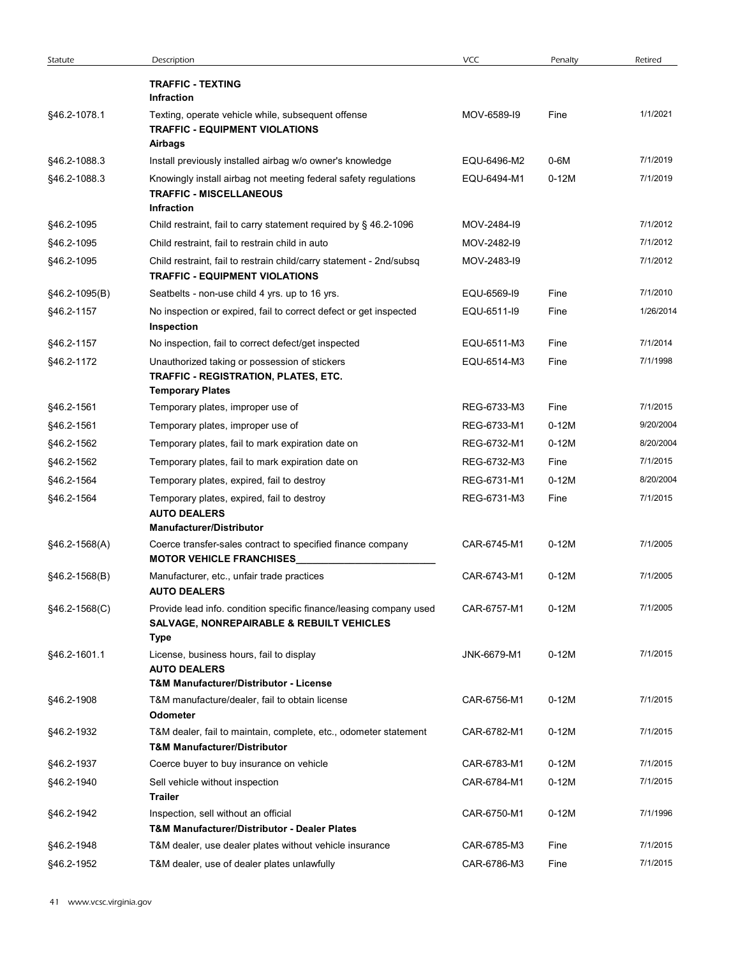| Statute                  | Description                                                                                                                       | <b>VCC</b>                 | Penalty      | Retired              |
|--------------------------|-----------------------------------------------------------------------------------------------------------------------------------|----------------------------|--------------|----------------------|
|                          | <b>TRAFFIC - TEXTING</b><br>Infraction                                                                                            |                            |              |                      |
| §46.2-1078.1             | Texting, operate vehicle while, subsequent offense<br><b>TRAFFIC - EQUIPMENT VIOLATIONS</b><br>Airbags                            | MOV-6589-I9                | Fine         | 1/1/2021             |
| §46.2-1088.3             | Install previously installed airbag w/o owner's knowledge                                                                         | EQU-6496-M2                | 0-6M         | 7/1/2019             |
| §46.2-1088.3             | Knowingly install airbag not meeting federal safety regulations<br><b>TRAFFIC - MISCELLANEOUS</b><br>Infraction                   | EQU-6494-M1                | $0-12M$      | 7/1/2019             |
| §46.2-1095               | Child restraint, fail to carry statement required by § 46.2-1096                                                                  | MOV-2484-I9                |              | 7/1/2012             |
| §46.2-1095               | Child restraint, fail to restrain child in auto                                                                                   | MOV-2482-I9                |              | 7/1/2012             |
| §46.2-1095               | Child restraint, fail to restrain child/carry statement - 2nd/subsq<br><b>TRAFFIC - EQUIPMENT VIOLATIONS</b>                      | MOV-2483-I9                |              | 7/1/2012             |
| §46.2-1095(B)            | Seatbelts - non-use child 4 yrs. up to 16 yrs.                                                                                    | EQU-6569-I9                | Fine         | 7/1/2010             |
| §46.2-1157               | No inspection or expired, fail to correct defect or get inspected<br>Inspection                                                   | EQU-6511-I9                | Fine         | 1/26/2014            |
| §46.2-1157               | No inspection, fail to correct defect/get inspected                                                                               | EQU-6511-M3                | Fine         | 7/1/2014             |
| §46.2-1172               | Unauthorized taking or possession of stickers<br>TRAFFIC - REGISTRATION, PLATES, ETC.<br><b>Temporary Plates</b>                  | EQU-6514-M3                | Fine         | 7/1/1998             |
| §46.2-1561               | Temporary plates, improper use of                                                                                                 | REG-6733-M3                | Fine         | 7/1/2015             |
| §46.2-1561               | Temporary plates, improper use of                                                                                                 | REG-6733-M1                | $0-12M$      | 9/20/2004            |
| §46.2-1562               | Temporary plates, fail to mark expiration date on                                                                                 | REG-6732-M1                | $0-12M$      | 8/20/2004            |
| §46.2-1562               | Temporary plates, fail to mark expiration date on                                                                                 | REG-6732-M3                | Fine         | 7/1/2015             |
| §46.2-1564               | Temporary plates, expired, fail to destroy                                                                                        | REG-6731-M1                | $0-12M$      | 8/20/2004            |
| §46.2-1564               | Temporary plates, expired, fail to destroy<br><b>AUTO DEALERS</b>                                                                 | REG-6731-M3                | Fine         | 7/1/2015             |
| §46.2-1568(A)            | <b>Manufacturer/Distributor</b><br>Coerce transfer-sales contract to specified finance company<br><b>MOTOR VEHICLE FRANCHISES</b> | CAR-6745-M1                | $0-12M$      | 7/1/2005             |
| §46.2-1568(B)            | Manufacturer, etc., unfair trade practices<br><b>AUTO DEALERS</b>                                                                 | CAR-6743-M1                | $0-12M$      | 7/1/2005             |
| §46.2-1568(C)            | Provide lead info. condition specific finance/leasing company used<br>SALVAGE, NONREPAIRABLE & REBUILT VEHICLES<br><b>Type</b>    | CAR-6757-M1                | $0-12M$      | 7/1/2005             |
| §46.2-1601.1             | License, business hours, fail to display<br><b>AUTO DEALERS</b><br><b>T&amp;M Manufacturer/Distributor - License</b>              | JNK-6679-M1                | $0-12M$      | 7/1/2015             |
| §46.2-1908               | T&M manufacture/dealer, fail to obtain license<br>Odometer                                                                        | CAR-6756-M1                | $0-12M$      | 7/1/2015             |
| §46.2-1932               | T&M dealer, fail to maintain, complete, etc., odometer statement<br><b>T&amp;M Manufacturer/Distributor</b>                       | CAR-6782-M1                | $0-12M$      | 7/1/2015             |
| §46.2-1937               | Coerce buyer to buy insurance on vehicle                                                                                          | CAR-6783-M1                | $0-12M$      | 7/1/2015             |
| §46.2-1940               | Sell vehicle without inspection<br>Trailer                                                                                        | CAR-6784-M1                | $0-12M$      | 7/1/2015             |
| §46.2-1942               | Inspection, sell without an official<br>T&M Manufacturer/Distributor - Dealer Plates                                              | CAR-6750-M1                | $0-12M$      | 7/1/1996             |
| §46.2-1948<br>§46.2-1952 | T&M dealer, use dealer plates without vehicle insurance<br>T&M dealer, use of dealer plates unlawfully                            | CAR-6785-M3<br>CAR-6786-M3 | Fine<br>Fine | 7/1/2015<br>7/1/2015 |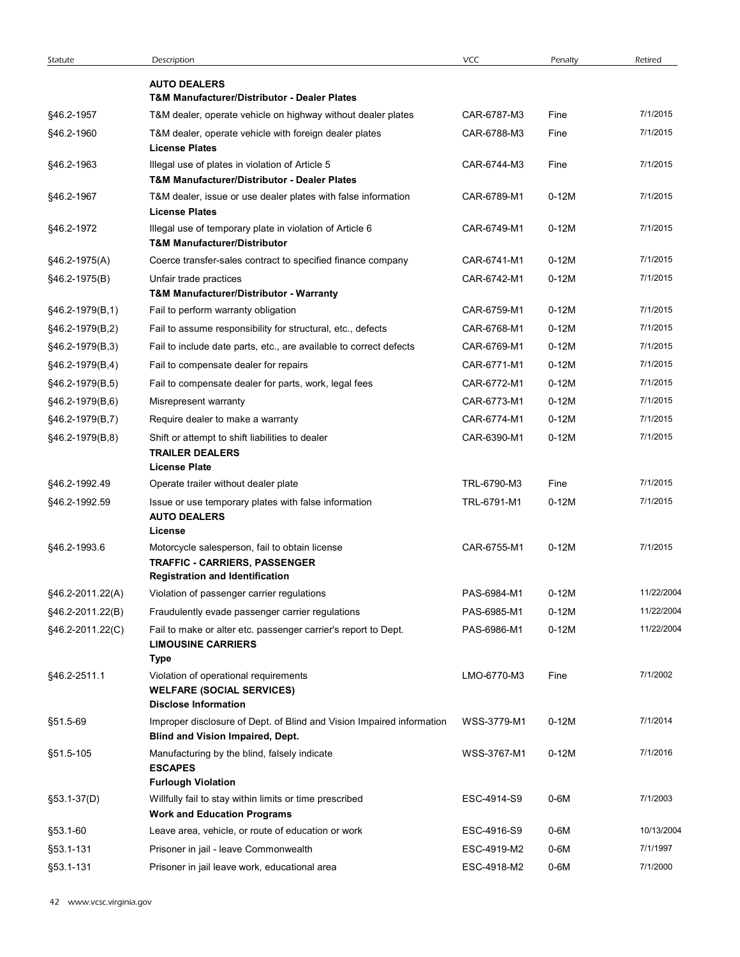| Statute                              | Description                                                                                                             | <b>VCC</b>                 | Penalty            | Retired                  |
|--------------------------------------|-------------------------------------------------------------------------------------------------------------------------|----------------------------|--------------------|--------------------------|
|                                      | <b>AUTO DEALERS</b>                                                                                                     |                            |                    |                          |
|                                      | <b>T&amp;M Manufacturer/Distributor - Dealer Plates</b><br>T&M dealer, operate vehicle on highway without dealer plates | CAR-6787-M3                | Fine               | 7/1/2015                 |
| §46.2-1957<br>§46.2-1960             | T&M dealer, operate vehicle with foreign dealer plates                                                                  | CAR-6788-M3                | Fine               | 7/1/2015                 |
|                                      | <b>License Plates</b>                                                                                                   |                            |                    |                          |
| §46.2-1963                           | Illegal use of plates in violation of Article 5                                                                         | CAR-6744-M3                | Fine               | 7/1/2015                 |
|                                      | T&M Manufacturer/Distributor - Dealer Plates                                                                            |                            |                    | 7/1/2015                 |
| §46.2-1967                           | T&M dealer, issue or use dealer plates with false information<br><b>License Plates</b>                                  | CAR-6789-M1                | $0-12M$            |                          |
| §46.2-1972                           | Illegal use of temporary plate in violation of Article 6                                                                | CAR-6749-M1                | $0-12M$            | 7/1/2015                 |
|                                      | <b>T&amp;M Manufacturer/Distributor</b>                                                                                 |                            |                    |                          |
| §46.2-1975(A)                        | Coerce transfer-sales contract to specified finance company                                                             | CAR-6741-M1                | $0-12M$            | 7/1/2015                 |
| §46.2-1975(B)                        | Unfair trade practices<br>T&M Manufacturer/Distributor - Warranty                                                       | CAR-6742-M1                | $0-12M$            | 7/1/2015                 |
| §46.2-1979(B,1)                      | Fail to perform warranty obligation                                                                                     | CAR-6759-M1                | $0-12M$            | 7/1/2015                 |
| §46.2-1979(B,2)                      | Fail to assume responsibility for structural, etc., defects                                                             | CAR-6768-M1                | $0-12M$            | 7/1/2015                 |
| §46.2-1979(B,3)                      | Fail to include date parts, etc., are available to correct defects                                                      | CAR-6769-M1                | $0-12M$            | 7/1/2015                 |
| §46.2-1979(B,4)                      | Fail to compensate dealer for repairs                                                                                   | CAR-6771-M1                | $0-12M$            | 7/1/2015                 |
| §46.2-1979(B,5)                      | Fail to compensate dealer for parts, work, legal fees                                                                   | CAR-6772-M1                | $0-12M$            | 7/1/2015                 |
| §46.2-1979(B,6)                      | Misrepresent warranty                                                                                                   | CAR-6773-M1                | $0-12M$            | 7/1/2015                 |
| §46.2-1979(B,7)                      | Require dealer to make a warranty                                                                                       | CAR-6774-M1                | $0-12M$            | 7/1/2015                 |
| §46.2-1979(B,8)                      | Shift or attempt to shift liabilities to dealer<br><b>TRAILER DEALERS</b>                                               | CAR-6390-M1                | $0-12M$            | 7/1/2015                 |
|                                      | <b>License Plate</b>                                                                                                    |                            |                    |                          |
| §46.2-1992.49                        | Operate trailer without dealer plate                                                                                    | TRL-6790-M3                | Fine               | 7/1/2015                 |
| §46.2-1992.59                        | Issue or use temporary plates with false information<br><b>AUTO DEALERS</b><br>License                                  | TRL-6791-M1                | $0-12M$            | 7/1/2015                 |
| §46.2-1993.6                         | Motorcycle salesperson, fail to obtain license                                                                          | CAR-6755-M1                | $0-12M$            | 7/1/2015                 |
|                                      | TRAFFIC - CARRIERS, PASSENGER                                                                                           |                            |                    |                          |
|                                      | <b>Registration and Identification</b>                                                                                  |                            |                    |                          |
| §46.2-2011.22(A)<br>§46.2-2011.22(B) | Violation of passenger carrier regulations<br>Fraudulently evade passenger carrier regulations                          | PAS-6984-M1<br>PAS-6985-M1 | $0-12M$<br>$0-12M$ | 11/22/2004<br>11/22/2004 |
| §46.2-2011.22(C)                     | Fail to make or alter etc. passenger carrier's report to Dept.                                                          | PAS-6986-M1                | $0-12M$            | 11/22/2004               |
|                                      | <b>LIMOUSINE CARRIERS</b><br>Type                                                                                       |                            |                    |                          |
| §46.2-2511.1                         | Violation of operational requirements                                                                                   | LMO-6770-M3                | Fine               | 7/1/2002                 |
|                                      | <b>WELFARE (SOCIAL SERVICES)</b><br><b>Disclose Information</b>                                                         |                            |                    |                          |
| §51.5-69                             | Improper disclosure of Dept. of Blind and Vision Impaired information<br>Blind and Vision Impaired, Dept.               | WSS-3779-M1                | $0-12M$            | 7/1/2014                 |
| §51.5-105                            | Manufacturing by the blind, falsely indicate<br><b>ESCAPES</b>                                                          | WSS-3767-M1                | $0-12M$            | 7/1/2016                 |
|                                      | <b>Furlough Violation</b>                                                                                               |                            |                    |                          |
| §53.1-37(D)                          | Willfully fail to stay within limits or time prescribed                                                                 | ESC-4914-S9                | 0-6M               | 7/1/2003                 |
|                                      | <b>Work and Education Programs</b>                                                                                      |                            |                    |                          |
| §53.1-60                             | Leave area, vehicle, or route of education or work                                                                      | ESC-4916-S9                | $0-6M$             | 10/13/2004               |
| §53.1-131                            | Prisoner in jail - leave Commonwealth                                                                                   | ESC-4919-M2                | $0-6M$             | 7/1/1997                 |
| §53.1-131                            | Prisoner in jail leave work, educational area                                                                           | ESC-4918-M2                | 0-6M               | 7/1/2000                 |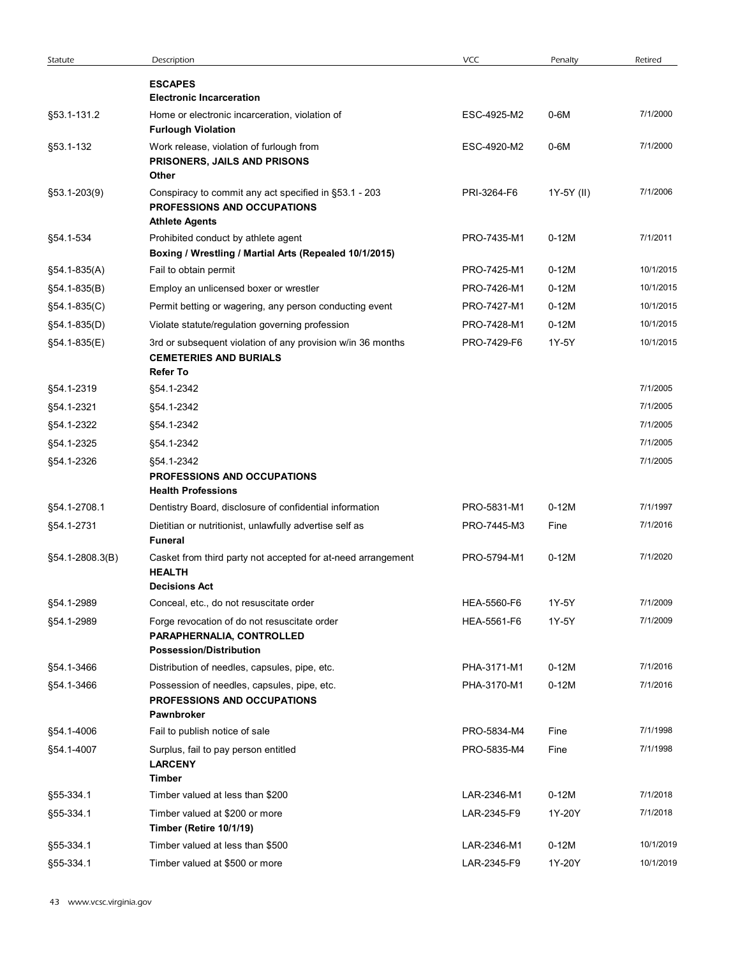| Statute         | Description                                                                                                                               | VCC         | Penalty    | Retired   |
|-----------------|-------------------------------------------------------------------------------------------------------------------------------------------|-------------|------------|-----------|
|                 | <b>ESCAPES</b><br><b>Electronic Incarceration</b>                                                                                         |             |            |           |
| §53.1-131.2     | Home or electronic incarceration, violation of<br><b>Furlough Violation</b>                                                               | ESC-4925-M2 | $0-6M$     | 7/1/2000  |
| §53.1-132       | Work release, violation of furlough from<br>PRISONERS, JAILS AND PRISONS<br>Other                                                         | ESC-4920-M2 | $0-6M$     | 7/1/2000  |
| $$53.1-203(9)$  | Conspiracy to commit any act specified in §53.1 - 203<br>PROFESSIONS AND OCCUPATIONS<br><b>Athlete Agents</b>                             | PRI-3264-F6 | 1Y-5Y (II) | 7/1/2006  |
| §54.1-534       | Prohibited conduct by athlete agent<br>Boxing / Wrestling / Martial Arts (Repealed 10/1/2015)                                             | PRO-7435-M1 | $0-12M$    | 7/1/2011  |
| §54.1-835(A)    | Fail to obtain permit                                                                                                                     | PRO-7425-M1 | $0-12M$    | 10/1/2015 |
| §54.1-835(B)    | Employ an unlicensed boxer or wrestler                                                                                                    | PRO-7426-M1 | $0-12M$    | 10/1/2015 |
| §54.1-835(C)    | Permit betting or wagering, any person conducting event                                                                                   | PRO-7427-M1 | $0-12M$    | 10/1/2015 |
| §54.1-835(D)    | Violate statute/regulation governing profession                                                                                           | PRO-7428-M1 | $0 - 12M$  | 10/1/2015 |
| §54.1-835(E)    | 3rd or subsequent violation of any provision w/in 36 months<br><b>CEMETERIES AND BURIALS</b><br><b>Refer To</b>                           | PRO-7429-F6 | 1Y-5Y      | 10/1/2015 |
| §54.1-2319      | §54.1-2342                                                                                                                                |             |            | 7/1/2005  |
| §54.1-2321      | §54.1-2342                                                                                                                                |             |            | 7/1/2005  |
| §54.1-2322      | §54.1-2342                                                                                                                                |             |            | 7/1/2005  |
| §54.1-2325      | §54.1-2342                                                                                                                                |             |            | 7/1/2005  |
| §54.1-2326      | §54.1-2342                                                                                                                                |             |            | 7/1/2005  |
|                 | <b>PROFESSIONS AND OCCUPATIONS</b><br><b>Health Professions</b>                                                                           |             |            |           |
| §54.1-2708.1    | Dentistry Board, disclosure of confidential information                                                                                   | PRO-5831-M1 | $0-12M$    | 7/1/1997  |
| §54.1-2731      | Dietitian or nutritionist, unlawfully advertise self as<br><b>Funeral</b>                                                                 | PRO-7445-M3 | Fine       | 7/1/2016  |
| §54.1-2808.3(B) | Casket from third party not accepted for at-need arrangement<br><b>HEALTH</b><br><b>Decisions Act</b>                                     | PRO-5794-M1 | $0-12M$    | 7/1/2020  |
| §54.1-2989      | Conceal, etc., do not resuscitate order                                                                                                   | HEA-5560-F6 | 1Y-5Y      | 7/1/2009  |
| §54.1-2989      | Forge revocation of do not resuscitate order<br>PARAPHERNALIA, CONTROLLED                                                                 | HEA-5561-F6 | 1Y-5Y      | 7/1/2009  |
| §54.1-3466      | <b>Possession/Distribution</b>                                                                                                            | PHA-3171-M1 | $0-12M$    | 7/1/2016  |
| §54.1-3466      | Distribution of needles, capsules, pipe, etc.<br>Possession of needles, capsules, pipe, etc.<br>PROFESSIONS AND OCCUPATIONS<br>Pawnbroker | PHA-3170-M1 | $0-12M$    | 7/1/2016  |
| §54.1-4006      | Fail to publish notice of sale                                                                                                            | PRO-5834-M4 | Fine       | 7/1/1998  |
| §54.1-4007      | Surplus, fail to pay person entitled                                                                                                      | PRO-5835-M4 | Fine       | 7/1/1998  |
|                 | <b>LARCENY</b><br><b>Timber</b>                                                                                                           |             |            |           |
| §55-334.1       | Timber valued at less than \$200                                                                                                          | LAR-2346-M1 | $0-12M$    | 7/1/2018  |
| §55-334.1       | Timber valued at \$200 or more<br>Timber (Retire 10/1/19)                                                                                 | LAR-2345-F9 | 1Y-20Y     | 7/1/2018  |
| §55-334.1       | Timber valued at less than \$500                                                                                                          | LAR-2346-M1 | $0-12M$    | 10/1/2019 |
|                 | Timber valued at \$500 or more                                                                                                            | LAR-2345-F9 | 1Y-20Y     | 10/1/2019 |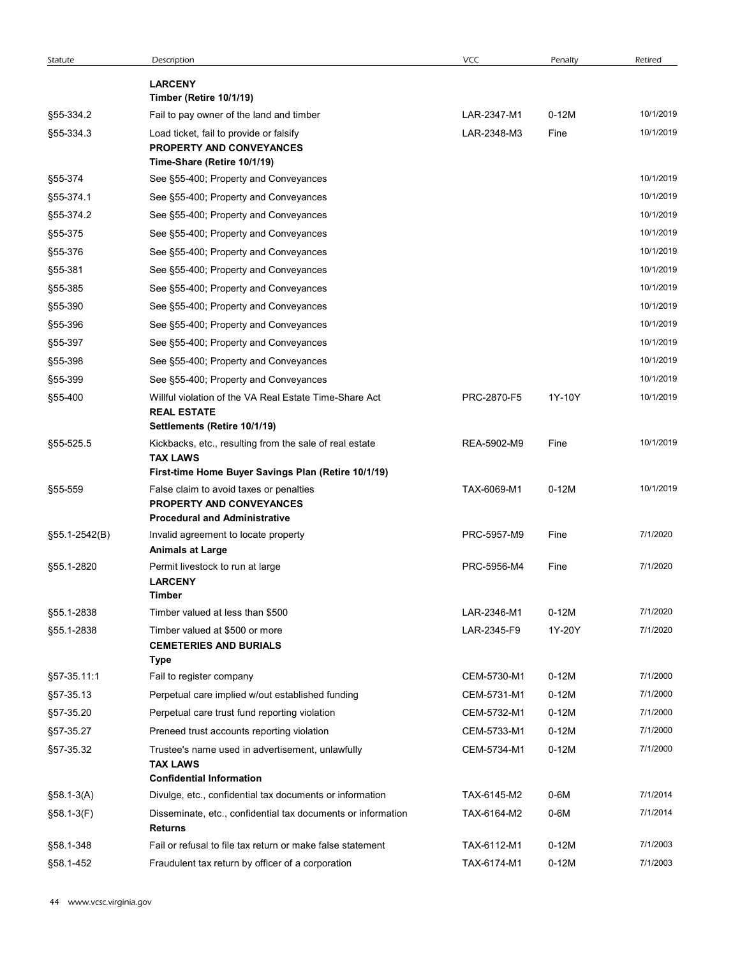|               |                                                                                                                                                                   | <b>VCC</b>  |         |           |
|---------------|-------------------------------------------------------------------------------------------------------------------------------------------------------------------|-------------|---------|-----------|
| Statute       | Description<br><b>LARCENY</b>                                                                                                                                     |             | Penalty | Retired   |
|               | Timber (Retire 10/1/19)                                                                                                                                           |             |         |           |
| §55-334.2     | Fail to pay owner of the land and timber                                                                                                                          | LAR-2347-M1 | $0-12M$ | 10/1/2019 |
| §55-334.3     | Load ticket, fail to provide or falsify<br>PROPERTY AND CONVEYANCES<br>Time-Share (Retire 10/1/19)                                                                | LAR-2348-M3 | Fine    | 10/1/2019 |
| §55-374       | See §55-400; Property and Conveyances                                                                                                                             |             |         | 10/1/2019 |
| §55-374.1     | See §55-400; Property and Conveyances                                                                                                                             |             |         | 10/1/2019 |
| §55-374.2     | See §55-400; Property and Conveyances                                                                                                                             |             |         | 10/1/2019 |
| §55-375       | See §55-400; Property and Conveyances                                                                                                                             |             |         | 10/1/2019 |
| §55-376       | See §55-400; Property and Conveyances                                                                                                                             |             |         | 10/1/2019 |
| §55-381       | See §55-400; Property and Conveyances                                                                                                                             |             |         | 10/1/2019 |
| §55-385       | See §55-400; Property and Conveyances                                                                                                                             |             |         | 10/1/2019 |
| §55-390       | See §55-400; Property and Conveyances                                                                                                                             |             |         | 10/1/2019 |
| §55-396       | See §55-400; Property and Conveyances                                                                                                                             |             |         | 10/1/2019 |
| §55-397       | See §55-400; Property and Conveyances                                                                                                                             |             |         | 10/1/2019 |
| §55-398       | See §55-400; Property and Conveyances                                                                                                                             |             |         | 10/1/2019 |
| §55-399       | See §55-400; Property and Conveyances                                                                                                                             |             |         | 10/1/2019 |
| §55-400       | Willful violation of the VA Real Estate Time-Share Act<br><b>REAL ESTATE</b>                                                                                      | PRC-2870-F5 | 1Y-10Y  | 10/1/2019 |
| §55-525.5     | Settlements (Retire 10/1/19)<br>Kickbacks, etc., resulting from the sale of real estate<br><b>TAX LAWS</b><br>First-time Home Buyer Savings Plan (Retire 10/1/19) | REA-5902-M9 | Fine    | 10/1/2019 |
| §55-559       | False claim to avoid taxes or penalties<br>PROPERTY AND CONVEYANCES<br><b>Procedural and Administrative</b>                                                       | TAX-6069-M1 | $0-12M$ | 10/1/2019 |
| §55.1-2542(B) | Invalid agreement to locate property<br><b>Animals at Large</b>                                                                                                   | PRC-5957-M9 | Fine    | 7/1/2020  |
| §55.1-2820    | Permit livestock to run at large<br><b>LARCENY</b><br>Timber                                                                                                      | PRC-5956-M4 | Fine    | 7/1/2020  |
| §55.1-2838    | Timber valued at less than \$500                                                                                                                                  | LAR-2346-M1 | $0-12M$ | 7/1/2020  |
| §55.1-2838    | Timber valued at \$500 or more<br><b>CEMETERIES AND BURIALS</b><br>Type                                                                                           | LAR-2345-F9 | 1Y-20Y  | 7/1/2020  |
| §57-35.11:1   | Fail to register company                                                                                                                                          | CEM-5730-M1 | $0-12M$ | 7/1/2000  |
| §57-35.13     | Perpetual care implied w/out established funding                                                                                                                  | CEM-5731-M1 | $0-12M$ | 7/1/2000  |
| §57-35.20     | Perpetual care trust fund reporting violation                                                                                                                     | CEM-5732-M1 | $0-12M$ | 7/1/2000  |
| §57-35.27     | Preneed trust accounts reporting violation                                                                                                                        | CEM-5733-M1 | $0-12M$ | 7/1/2000  |
| §57-35.32     | Trustee's name used in advertisement, unlawfully<br><b>TAX LAWS</b><br><b>Confidential Information</b>                                                            | CEM-5734-M1 | $0-12M$ | 7/1/2000  |
| $$58.1-3(A)$  | Divulge, etc., confidential tax documents or information                                                                                                          | TAX-6145-M2 | 0-6M    | 7/1/2014  |
| §58.1-3(F)    | Disseminate, etc., confidential tax documents or information<br><b>Returns</b>                                                                                    | TAX-6164-M2 | $0-6M$  | 7/1/2014  |
| §58.1-348     | Fail or refusal to file tax return or make false statement                                                                                                        | TAX-6112-M1 | $0-12M$ | 7/1/2003  |
|               | Fraudulent tax return by officer of a corporation                                                                                                                 | TAX-6174-M1 | $0-12M$ | 7/1/2003  |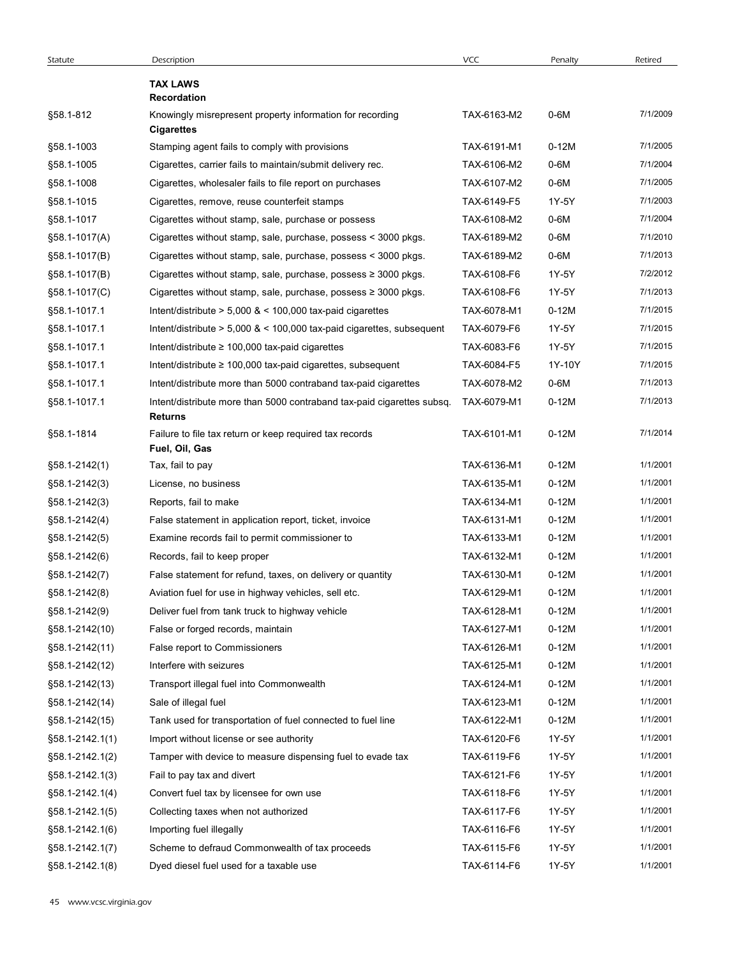| Statute             | Description                                                                                          | VCC         | Penalty | Retired  |
|---------------------|------------------------------------------------------------------------------------------------------|-------------|---------|----------|
|                     | <b>TAX LAWS</b>                                                                                      |             |         |          |
| §58.1-812           | <b>Recordation</b><br>Knowingly misrepresent property information for recording<br><b>Cigarettes</b> | TAX-6163-M2 | $0-6M$  | 7/1/2009 |
| §58.1-1003          | Stamping agent fails to comply with provisions                                                       | TAX-6191-M1 | $0-12M$ | 7/1/2005 |
| §58.1-1005          | Cigarettes, carrier fails to maintain/submit delivery rec.                                           | TAX-6106-M2 | 0-6M    | 7/1/2004 |
| §58.1-1008          | Cigarettes, wholesaler fails to file report on purchases                                             | TAX-6107-M2 | 0-6M    | 7/1/2005 |
| §58.1-1015          | Cigarettes, remove, reuse counterfeit stamps                                                         | TAX-6149-F5 | 1Y-5Y   | 7/1/2003 |
| §58.1-1017          | Cigarettes without stamp, sale, purchase or possess                                                  | TAX-6108-M2 | 0-6M    | 7/1/2004 |
| §58.1-1017(A)       | Cigarettes without stamp, sale, purchase, possess < 3000 pkgs.                                       | TAX-6189-M2 | $0-6M$  | 7/1/2010 |
| §58.1-1017(B)       | Cigarettes without stamp, sale, purchase, possess < 3000 pkgs.                                       | TAX-6189-M2 | 0-6M    | 7/1/2013 |
| §58.1-1017(B)       | Cigarettes without stamp, sale, purchase, possess $\geq$ 3000 pkgs.                                  | TAX-6108-F6 | 1Y-5Y   | 7/2/2012 |
| §58.1-1017(C)       | Cigarettes without stamp, sale, purchase, possess $\geq$ 3000 pkgs.                                  | TAX-6108-F6 | 1Y-5Y   | 7/1/2013 |
| §58.1-1017.1        | Intent/distribute $> 5,000$ & $< 100,000$ tax-paid cigarettes                                        | TAX-6078-M1 | $0-12M$ | 7/1/2015 |
| §58.1-1017.1        | Intent/distribute $> 5,000$ & $< 100,000$ tax-paid cigarettes, subsequent                            | TAX-6079-F6 | 1Y-5Y   | 7/1/2015 |
| §58.1-1017.1        | Intent/distribute $\geq 100,000$ tax-paid cigarettes                                                 | TAX-6083-F6 | 1Y-5Y   | 7/1/2015 |
| §58.1-1017.1        | Intent/distribute ≥ 100,000 tax-paid cigarettes, subsequent                                          | TAX-6084-F5 | 1Y-10Y  | 7/1/2015 |
| §58.1-1017.1        | Intent/distribute more than 5000 contraband tax-paid cigarettes                                      | TAX-6078-M2 | $0-6M$  | 7/1/2013 |
| §58.1-1017.1        | Intent/distribute more than 5000 contraband tax-paid cigarettes subsq.<br>Returns                    | TAX-6079-M1 | $0-12M$ | 7/1/2013 |
| §58.1-1814          | Failure to file tax return or keep required tax records<br>Fuel, Oil, Gas                            | TAX-6101-M1 | $0-12M$ | 7/1/2014 |
| $$58.1-2142(1)$     | Tax, fail to pay                                                                                     | TAX-6136-M1 | $0-12M$ | 1/1/2001 |
| $§58.1 - 2142(3)$   | License, no business                                                                                 | TAX-6135-M1 | $0-12M$ | 1/1/2001 |
| $§58.1 - 2142(3)$   | Reports, fail to make                                                                                | TAX-6134-M1 | $0-12M$ | 1/1/2001 |
| §58.1-2142(4)       | False statement in application report, ticket, invoice                                               | TAX-6131-M1 | $0-12M$ | 1/1/2001 |
| §58.1-2142(5)       | Examine records fail to permit commissioner to                                                       | TAX-6133-M1 | $0-12M$ | 1/1/2001 |
| §58.1-2142(6)       | Records, fail to keep proper                                                                         | TAX-6132-M1 | $0-12M$ | 1/1/2001 |
| §58.1-2142(7)       | False statement for refund, taxes, on delivery or quantity                                           | TAX-6130-M1 | $0-12M$ | 1/1/2001 |
|                     |                                                                                                      |             |         | 1/1/2001 |
| §58.1-2142(8)       | Aviation fuel for use in highway vehicles, sell etc.                                                 | TAX-6129-M1 | $0-12M$ | 1/1/2001 |
| §58.1-2142(9)       | Deliver fuel from tank truck to highway vehicle                                                      | TAX-6128-M1 | $0-12M$ |          |
| §58.1-2142(10)      | False or forged records, maintain                                                                    | TAX-6127-M1 | $0-12M$ | 1/1/2001 |
| §58.1-2142(11)      | False report to Commissioners                                                                        | TAX-6126-M1 | $0-12M$ | 1/1/2001 |
| §58.1-2142(12)      | Interfere with seizures                                                                              | TAX-6125-M1 | $0-12M$ | 1/1/2001 |
| §58.1-2142(13)      | Transport illegal fuel into Commonwealth                                                             | TAX-6124-M1 | $0-12M$ | 1/1/2001 |
| §58.1-2142(14)      | Sale of illegal fuel                                                                                 | TAX-6123-M1 | $0-12M$ | 1/1/2001 |
| §58.1-2142(15)      | Tank used for transportation of fuel connected to fuel line                                          | TAX-6122-M1 | $0-12M$ | 1/1/2001 |
| $$58.1 - 2142.1(1)$ | Import without license or see authority                                                              | TAX-6120-F6 | 1Y-5Y   | 1/1/2001 |
| $$58.1 - 2142.1(2)$ | Tamper with device to measure dispensing fuel to evade tax                                           | TAX-6119-F6 | 1Y-5Y   | 1/1/2001 |
| §58.1-2142.1(3)     | Fail to pay tax and divert                                                                           | TAX-6121-F6 | 1Y-5Y   | 1/1/2001 |
| $§58.1 - 2142.1(4)$ | Convert fuel tax by licensee for own use                                                             | TAX-6118-F6 | 1Y-5Y   | 1/1/2001 |
| $$58.1-2142.1(5)$   | Collecting taxes when not authorized                                                                 | TAX-6117-F6 | 1Y-5Y   | 1/1/2001 |
| $$58.1 - 2142.1(6)$ | Importing fuel illegally                                                                             | TAX-6116-F6 | 1Y-5Y   | 1/1/2001 |
| $§58.1 - 2142.1(7)$ | Scheme to defraud Commonwealth of tax proceeds                                                       | TAX-6115-F6 | 1Y-5Y   | 1/1/2001 |
| §58.1-2142.1(8)     | Dyed diesel fuel used for a taxable use                                                              | TAX-6114-F6 | 1Y-5Y   | 1/1/2001 |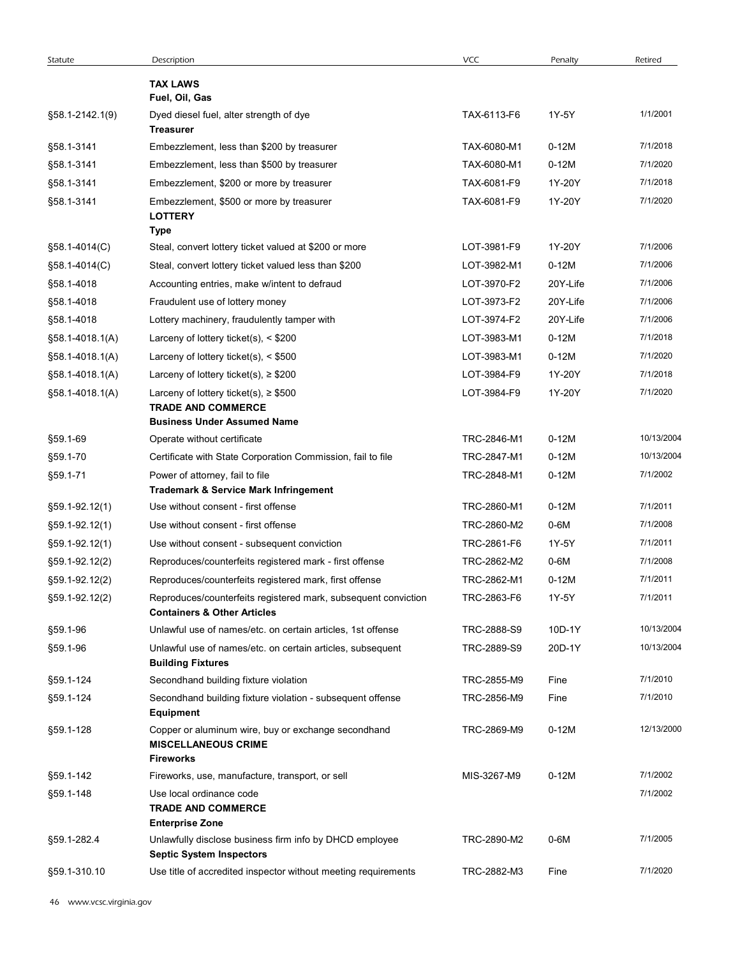| Statute         | Description                                                                                              | <b>VCC</b>  | Penalty  | Retired    |
|-----------------|----------------------------------------------------------------------------------------------------------|-------------|----------|------------|
|                 | <b>TAX LAWS</b><br>Fuel, Oil, Gas                                                                        |             |          |            |
| §58.1-2142.1(9) | Dyed diesel fuel, alter strength of dye<br>Treasurer                                                     | TAX-6113-F6 | 1Y-5Y    | 1/1/2001   |
| §58.1-3141      | Embezzlement, less than \$200 by treasurer                                                               | TAX-6080-M1 | $0-12M$  | 7/1/2018   |
| §58.1-3141      | Embezzlement, less than \$500 by treasurer                                                               | TAX-6080-M1 | $0-12M$  | 7/1/2020   |
| §58.1-3141      | Embezzlement, \$200 or more by treasurer                                                                 | TAX-6081-F9 | 1Y-20Y   | 7/1/2018   |
| §58.1-3141      | Embezzlement, \$500 or more by treasurer<br><b>LOTTERY</b>                                               | TAX-6081-F9 | 1Y-20Y   | 7/1/2020   |
| §58.1-4014(C)   | <b>Type</b><br>Steal, convert lottery ticket valued at \$200 or more                                     | LOT-3981-F9 | 1Y-20Y   | 7/1/2006   |
| §58.1-4014(C)   | Steal, convert lottery ticket valued less than \$200                                                     | LOT-3982-M1 | $0-12M$  | 7/1/2006   |
| §58.1-4018      | Accounting entries, make w/intent to defraud                                                             | LOT-3970-F2 | 20Y-Life | 7/1/2006   |
| §58.1-4018      | Fraudulent use of lottery money                                                                          | LOT-3973-F2 | 20Y-Life | 7/1/2006   |
| §58.1-4018      | Lottery machinery, fraudulently tamper with                                                              | LOT-3974-F2 | 20Y-Life | 7/1/2006   |
| §58.1-4018.1(A) | Larceny of lottery ticket(s), $\le$ \$200                                                                | LOT-3983-M1 | $0-12M$  | 7/1/2018   |
| §58.1-4018.1(A) | Larceny of lottery ticket(s), $\le$ \$500                                                                | LOT-3983-M1 | $0-12M$  | 7/1/2020   |
| §58.1-4018.1(A) | Larceny of lottery ticket(s), $\ge$ \$200                                                                | LOT-3984-F9 | 1Y-20Y   | 7/1/2018   |
| §58.1-4018.1(A) | Larceny of lottery ticket(s), $\ge$ \$500                                                                | LOT-3984-F9 | 1Y-20Y   | 7/1/2020   |
|                 | <b>TRADE AND COMMERCE</b><br><b>Business Under Assumed Name</b>                                          |             |          |            |
| §59.1-69        | Operate without certificate                                                                              | TRC-2846-M1 | $0-12M$  | 10/13/2004 |
| §59.1-70        | Certificate with State Corporation Commission, fail to file                                              | TRC-2847-M1 | $0-12M$  | 10/13/2004 |
| §59.1-71        | Power of attorney, fail to file<br><b>Trademark &amp; Service Mark Infringement</b>                      | TRC-2848-M1 | $0-12M$  | 7/1/2002   |
| §59.1-92.12(1)  | Use without consent - first offense                                                                      | TRC-2860-M1 | $0-12M$  | 7/1/2011   |
| §59.1-92.12(1)  | Use without consent - first offense                                                                      | TRC-2860-M2 | $0-6M$   | 7/1/2008   |
| §59.1-92.12(1)  | Use without consent - subsequent conviction                                                              | TRC-2861-F6 | 1Y-5Y    | 7/1/2011   |
| §59.1-92.12(2)  | Reproduces/counterfeits registered mark - first offense                                                  | TRC-2862-M2 | 0-6M     | 7/1/2008   |
| §59.1-92.12(2)  | Reproduces/counterfeits registered mark, first offense                                                   | TRC-2862-M1 | $0-12M$  | 7/1/2011   |
| §59.1-92.12(2)  | Reproduces/counterfeits registered mark, subsequent conviction<br><b>Containers &amp; Other Articles</b> | TRC-2863-F6 | 1Y-5Y    | 7/1/2011   |
| §59.1-96        | Unlawful use of names/etc. on certain articles, 1st offense                                              | TRC-2888-S9 | 10D-1Y   | 10/13/2004 |
| §59.1-96        | Unlawful use of names/etc. on certain articles, subsequent<br><b>Building Fixtures</b>                   | TRC-2889-S9 | 20D-1Y   | 10/13/2004 |
| §59.1-124       | Secondhand building fixture violation                                                                    | TRC-2855-M9 | Fine     | 7/1/2010   |
| §59.1-124       | Secondhand building fixture violation - subsequent offense<br>Equipment                                  | TRC-2856-M9 | Fine     | 7/1/2010   |
| §59.1-128       | Copper or aluminum wire, buy or exchange secondhand<br><b>MISCELLANEOUS CRIME</b><br>Fireworks           | TRC-2869-M9 | $0-12M$  | 12/13/2000 |
| §59.1-142       | Fireworks, use, manufacture, transport, or sell                                                          | MIS-3267-M9 | $0-12M$  | 7/1/2002   |
| §59.1-148       | Use local ordinance code<br><b>TRADE AND COMMERCE</b><br><b>Enterprise Zone</b>                          |             |          | 7/1/2002   |
| §59.1-282.4     | Unlawfully disclose business firm info by DHCD employee<br><b>Septic System Inspectors</b>               | TRC-2890-M2 | $0-6M$   | 7/1/2005   |
|                 | Use title of accredited inspector without meeting requirements                                           | TRC-2882-M3 | Fine     | 7/1/2020   |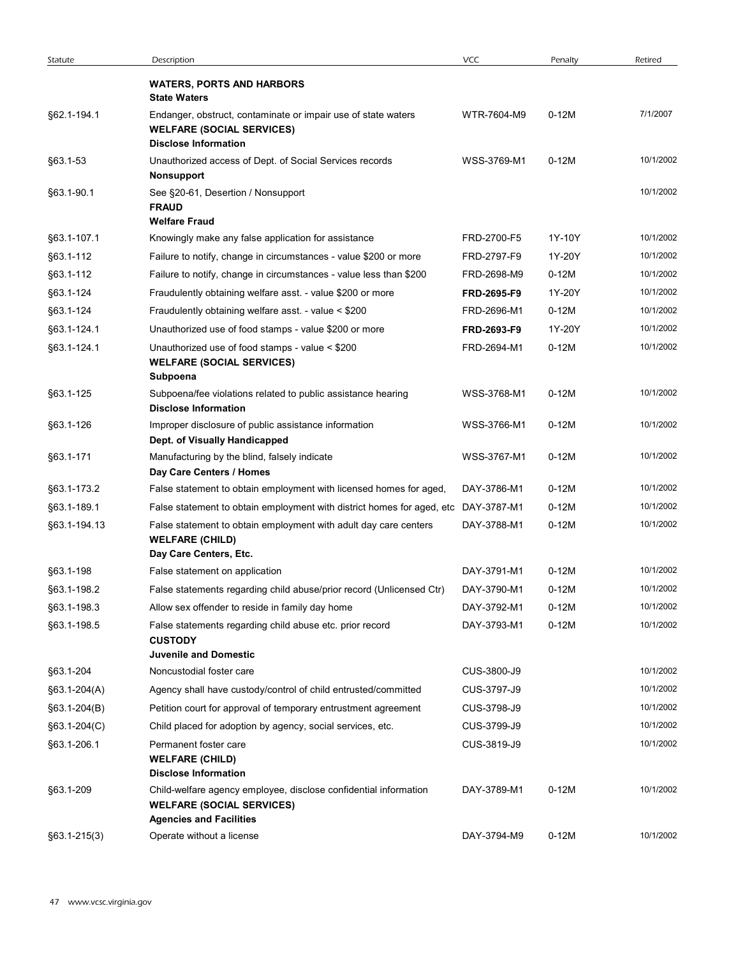| Statute          | Description                                                                                                                                             | <b>VCC</b>  | Penalty | Retired   |
|------------------|---------------------------------------------------------------------------------------------------------------------------------------------------------|-------------|---------|-----------|
|                  | <b>WATERS, PORTS AND HARBORS</b>                                                                                                                        |             |         |           |
| §62.1-194.1      | <b>State Waters</b><br>Endanger, obstruct, contaminate or impair use of state waters<br><b>WELFARE (SOCIAL SERVICES)</b><br><b>Disclose Information</b> | WTR-7604-M9 | $0-12M$ | 7/1/2007  |
| §63.1-53         | Unauthorized access of Dept. of Social Services records<br>Nonsupport                                                                                   | WSS-3769-M1 | $0-12M$ | 10/1/2002 |
| §63.1-90.1       | See §20-61, Desertion / Nonsupport<br><b>FRAUD</b><br><b>Welfare Fraud</b>                                                                              |             |         | 10/1/2002 |
| §63.1-107.1      | Knowingly make any false application for assistance                                                                                                     | FRD-2700-F5 | 1Y-10Y  | 10/1/2002 |
| §63.1-112        | Failure to notify, change in circumstances - value \$200 or more                                                                                        | FRD-2797-F9 | 1Y-20Y  | 10/1/2002 |
| §63.1-112        | Failure to notify, change in circumstances - value less than \$200                                                                                      | FRD-2698-M9 | $0-12M$ | 10/1/2002 |
| §63.1-124        | Fraudulently obtaining welfare asst. - value \$200 or more                                                                                              | FRD-2695-F9 | 1Y-20Y  | 10/1/2002 |
| §63.1-124        | Fraudulently obtaining welfare asst. - value < \$200                                                                                                    | FRD-2696-M1 | $0-12M$ | 10/1/2002 |
|                  | Unauthorized use of food stamps - value \$200 or more                                                                                                   |             | 1Y-20Y  | 10/1/2002 |
| §63.1-124.1      |                                                                                                                                                         | FRD-2693-F9 |         |           |
| §63.1-124.1      | Unauthorized use of food stamps - value < \$200<br><b>WELFARE (SOCIAL SERVICES)</b><br>Subpoena                                                         | FRD-2694-M1 | $0-12M$ | 10/1/2002 |
| §63.1-125        | Subpoena/fee violations related to public assistance hearing<br><b>Disclose Information</b>                                                             | WSS-3768-M1 | $0-12M$ | 10/1/2002 |
| §63.1-126        | Improper disclosure of public assistance information<br>Dept. of Visually Handicapped                                                                   | WSS-3766-M1 | $0-12M$ | 10/1/2002 |
| §63.1-171        | Manufacturing by the blind, falsely indicate<br>Day Care Centers / Homes                                                                                | WSS-3767-M1 | $0-12M$ | 10/1/2002 |
| §63.1-173.2      | False statement to obtain employment with licensed homes for aged,                                                                                      | DAY-3786-M1 | $0-12M$ | 10/1/2002 |
| §63.1-189.1      | False statement to obtain employment with district homes for aged, etc DAY-3787-M1                                                                      |             | $0-12M$ | 10/1/2002 |
| §63.1-194.13     | False statement to obtain employment with adult day care centers<br><b>WELFARE (CHILD)</b><br>Day Care Centers, Etc.                                    | DAY-3788-M1 | $0-12M$ | 10/1/2002 |
| §63.1-198        | False statement on application                                                                                                                          | DAY-3791-M1 | $0-12M$ | 10/1/2002 |
| §63.1-198.2      | False statements regarding child abuse/prior record (Unlicensed Ctr)                                                                                    | DAY-3790-M1 | $0-12M$ | 10/1/2002 |
| §63.1-198.3      | Allow sex offender to reside in family day home                                                                                                         | DAY-3792-M1 | $0-12M$ | 10/1/2002 |
| §63.1-198.5      | False statements regarding child abuse etc. prior record<br><b>CUSTODY</b><br><b>Juvenile and Domestic</b>                                              | DAY-3793-M1 | $0-12M$ | 10/1/2002 |
| §63.1-204        | Noncustodial foster care                                                                                                                                | CUS-3800-J9 |         | 10/1/2002 |
| $$63.1-204(A)$   | Agency shall have custody/control of child entrusted/committed                                                                                          | CUS-3797-J9 |         | 10/1/2002 |
|                  |                                                                                                                                                         |             |         |           |
| $§63.1-204(B)$   | Petition court for approval of temporary entrustment agreement                                                                                          | CUS-3798-J9 |         | 10/1/2002 |
| §63.1-204(C)     | Child placed for adoption by agency, social services, etc.                                                                                              | CUS-3799-J9 |         | 10/1/2002 |
| §63.1-206.1      | Permanent foster care<br><b>WELFARE (CHILD)</b><br><b>Disclose Information</b>                                                                          | CUS-3819-J9 |         | 10/1/2002 |
| §63.1-209        | Child-welfare agency employee, disclose confidential information<br><b>WELFARE (SOCIAL SERVICES)</b><br><b>Agencies and Facilities</b>                  | DAY-3789-M1 | $0-12M$ | 10/1/2002 |
| $§63.1 - 215(3)$ | Operate without a license                                                                                                                               | DAY-3794-M9 | $0-12M$ | 10/1/2002 |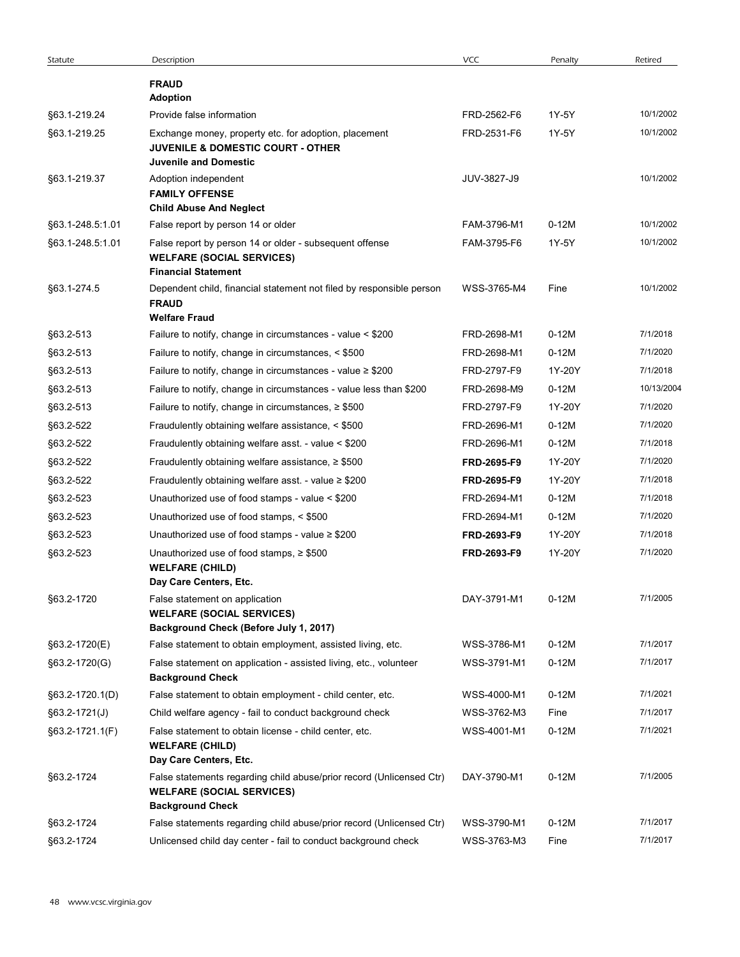| <b>VCC</b><br>Description<br>Penalty<br>Retired<br>Statute<br><b>FRAUD</b><br><b>Adoption</b><br>10/1/2002<br>§63.1-219.24<br>Provide false information<br>FRD-2562-F6<br>1Y-5Y<br>FRD-2531-F6<br>1Y-5Y<br>10/1/2002<br>§63.1-219.25<br>Exchange money, property etc. for adoption, placement<br><b>JUVENILE &amp; DOMESTIC COURT - OTHER</b><br><b>Juvenile and Domestic</b><br>10/1/2002<br>§63.1-219.37<br>JUV-3827-J9<br>Adoption independent<br><b>FAMILY OFFENSE</b><br><b>Child Abuse And Neglect</b><br>10/1/2002<br>§63.1-248.5:1.01<br>False report by person 14 or older<br>FAM-3796-M1<br>$0-12M$<br>10/1/2002<br>§63.1-248.5:1.01<br>False report by person 14 or older - subsequent offense<br>FAM-3795-F6<br>1Y-5Y<br><b>WELFARE (SOCIAL SERVICES)</b><br><b>Financial Statement</b><br>10/1/2002<br>§63.1-274.5<br>Dependent child, financial statement not filed by responsible person<br>WSS-3765-M4<br>Fine<br><b>FRAUD</b><br><b>Welfare Fraud</b><br>7/1/2018<br>FRD-2698-M1<br>$0-12M$<br>§63.2-513<br>Failure to notify, change in circumstances - value < \$200<br>7/1/2020<br>§63.2-513<br>Failure to notify, change in circumstances, < \$500<br>FRD-2698-M1<br>$0-12M$<br>§63.2-513<br>Failure to notify, change in circumstances - value ≥ \$200<br>FRD-2797-F9<br>1Y-20Y<br>7/1/2018<br>§63.2-513<br>Failure to notify, change in circumstances - value less than \$200<br>FRD-2698-M9<br>$0-12M$<br>7/1/2020<br>§63.2-513<br>Failure to notify, change in circumstances, $\geq$ \$500<br>FRD-2797-F9<br>1Y-20Y<br>7/1/2020<br>§63.2-522<br>Fraudulently obtaining welfare assistance, < \$500<br>FRD-2696-M1<br>$0-12M$<br>§63.2-522<br>FRD-2696-M1<br>$0-12M$<br>7/1/2018<br>Fraudulently obtaining welfare asst. - value < \$200<br>§63.2-522<br>Fraudulently obtaining welfare assistance, $\geq$ \$500<br>1Y-20Y<br>7/1/2020<br>FRD-2695-F9<br>7/1/2018<br>§63.2-522<br>Fraudulently obtaining welfare asst. - value $\geq$ \$200<br>FRD-2695-F9<br>1Y-20Y<br>7/1/2018<br>§63.2-523<br>Unauthorized use of food stamps - value < \$200<br>FRD-2694-M1<br>$0-12M$<br>§63.2-523<br>Unauthorized use of food stamps, < \$500<br>FRD-2694-M1<br>$0-12M$<br>7/1/2020<br>7/1/2018<br>§63.2-523<br>Unauthorized use of food stamps - value $\geq$ \$200<br>1Y-20Y<br>FRD-2693-F9<br>7/1/2020<br>§63.2-523<br>Unauthorized use of food stamps, $\geq$ \$500<br>1Y-20Y<br>FRD-2693-F9<br><b>WELFARE (CHILD)</b><br>Day Care Centers, Etc.<br>7/1/2005<br>§63.2-1720<br>False statement on application<br>DAY-3791-M1<br>$0-12M$<br><b>WELFARE (SOCIAL SERVICES)</b><br>Background Check (Before July 1, 2017)<br>7/1/2017<br>§63.2-1720(E)<br>False statement to obtain employment, assisted living, etc.<br>WSS-3786-M1<br>$0-12M$<br>7/1/2017<br>§63.2-1720(G)<br>False statement on application - assisted living, etc., volunteer<br>WSS-3791-M1<br>$0-12M$<br><b>Background Check</b><br>7/1/2021<br>§63.2-1720.1(D)<br>False statement to obtain employment - child center, etc.<br>WSS-4000-M1<br>$0-12M$<br>7/1/2017<br>$§63.2-1721(J)$<br>Child welfare agency - fail to conduct background check<br>WSS-3762-M3<br>Fine<br>7/1/2021<br>§63.2-1721.1(F)<br>False statement to obtain license - child center, etc.<br>WSS-4001-M1<br>$0-12M$<br><b>WELFARE (CHILD)</b><br>Day Care Centers, Etc.<br>False statements regarding child abuse/prior record (Unlicensed Ctr)<br>$0-12M$<br>7/1/2005<br>§63.2-1724<br>DAY-3790-M1<br><b>WELFARE (SOCIAL SERVICES)</b><br><b>Background Check</b><br>§63.2-1724<br>False statements regarding child abuse/prior record (Unlicensed Ctr)<br>WSS-3790-M1<br>$0-12M$<br>7/1/2017 |  |  |            |
|----------------------------------------------------------------------------------------------------------------------------------------------------------------------------------------------------------------------------------------------------------------------------------------------------------------------------------------------------------------------------------------------------------------------------------------------------------------------------------------------------------------------------------------------------------------------------------------------------------------------------------------------------------------------------------------------------------------------------------------------------------------------------------------------------------------------------------------------------------------------------------------------------------------------------------------------------------------------------------------------------------------------------------------------------------------------------------------------------------------------------------------------------------------------------------------------------------------------------------------------------------------------------------------------------------------------------------------------------------------------------------------------------------------------------------------------------------------------------------------------------------------------------------------------------------------------------------------------------------------------------------------------------------------------------------------------------------------------------------------------------------------------------------------------------------------------------------------------------------------------------------------------------------------------------------------------------------------------------------------------------------------------------------------------------------------------------------------------------------------------------------------------------------------------------------------------------------------------------------------------------------------------------------------------------------------------------------------------------------------------------------------------------------------------------------------------------------------------------------------------------------------------------------------------------------------------------------------------------------------------------------------------------------------------------------------------------------------------------------------------------------------------------------------------------------------------------------------------------------------------------------------------------------------------------------------------------------------------------------------------------------------------------------------------------------------------------------------------------------------------------------------------------------------------------------------------------------------------------------------------------------------------------------------------------------------------------------------------------------------------------------------------------------------------------------------------------------------------------------------------------------------------------------------------------------------------------------------------------------------------------------------------------------|--|--|------------|
|                                                                                                                                                                                                                                                                                                                                                                                                                                                                                                                                                                                                                                                                                                                                                                                                                                                                                                                                                                                                                                                                                                                                                                                                                                                                                                                                                                                                                                                                                                                                                                                                                                                                                                                                                                                                                                                                                                                                                                                                                                                                                                                                                                                                                                                                                                                                                                                                                                                                                                                                                                                                                                                                                                                                                                                                                                                                                                                                                                                                                                                                                                                                                                                                                                                                                                                                                                                                                                                                                                                                                                                                                                                          |  |  |            |
|                                                                                                                                                                                                                                                                                                                                                                                                                                                                                                                                                                                                                                                                                                                                                                                                                                                                                                                                                                                                                                                                                                                                                                                                                                                                                                                                                                                                                                                                                                                                                                                                                                                                                                                                                                                                                                                                                                                                                                                                                                                                                                                                                                                                                                                                                                                                                                                                                                                                                                                                                                                                                                                                                                                                                                                                                                                                                                                                                                                                                                                                                                                                                                                                                                                                                                                                                                                                                                                                                                                                                                                                                                                          |  |  |            |
|                                                                                                                                                                                                                                                                                                                                                                                                                                                                                                                                                                                                                                                                                                                                                                                                                                                                                                                                                                                                                                                                                                                                                                                                                                                                                                                                                                                                                                                                                                                                                                                                                                                                                                                                                                                                                                                                                                                                                                                                                                                                                                                                                                                                                                                                                                                                                                                                                                                                                                                                                                                                                                                                                                                                                                                                                                                                                                                                                                                                                                                                                                                                                                                                                                                                                                                                                                                                                                                                                                                                                                                                                                                          |  |  |            |
|                                                                                                                                                                                                                                                                                                                                                                                                                                                                                                                                                                                                                                                                                                                                                                                                                                                                                                                                                                                                                                                                                                                                                                                                                                                                                                                                                                                                                                                                                                                                                                                                                                                                                                                                                                                                                                                                                                                                                                                                                                                                                                                                                                                                                                                                                                                                                                                                                                                                                                                                                                                                                                                                                                                                                                                                                                                                                                                                                                                                                                                                                                                                                                                                                                                                                                                                                                                                                                                                                                                                                                                                                                                          |  |  |            |
|                                                                                                                                                                                                                                                                                                                                                                                                                                                                                                                                                                                                                                                                                                                                                                                                                                                                                                                                                                                                                                                                                                                                                                                                                                                                                                                                                                                                                                                                                                                                                                                                                                                                                                                                                                                                                                                                                                                                                                                                                                                                                                                                                                                                                                                                                                                                                                                                                                                                                                                                                                                                                                                                                                                                                                                                                                                                                                                                                                                                                                                                                                                                                                                                                                                                                                                                                                                                                                                                                                                                                                                                                                                          |  |  |            |
|                                                                                                                                                                                                                                                                                                                                                                                                                                                                                                                                                                                                                                                                                                                                                                                                                                                                                                                                                                                                                                                                                                                                                                                                                                                                                                                                                                                                                                                                                                                                                                                                                                                                                                                                                                                                                                                                                                                                                                                                                                                                                                                                                                                                                                                                                                                                                                                                                                                                                                                                                                                                                                                                                                                                                                                                                                                                                                                                                                                                                                                                                                                                                                                                                                                                                                                                                                                                                                                                                                                                                                                                                                                          |  |  |            |
|                                                                                                                                                                                                                                                                                                                                                                                                                                                                                                                                                                                                                                                                                                                                                                                                                                                                                                                                                                                                                                                                                                                                                                                                                                                                                                                                                                                                                                                                                                                                                                                                                                                                                                                                                                                                                                                                                                                                                                                                                                                                                                                                                                                                                                                                                                                                                                                                                                                                                                                                                                                                                                                                                                                                                                                                                                                                                                                                                                                                                                                                                                                                                                                                                                                                                                                                                                                                                                                                                                                                                                                                                                                          |  |  |            |
|                                                                                                                                                                                                                                                                                                                                                                                                                                                                                                                                                                                                                                                                                                                                                                                                                                                                                                                                                                                                                                                                                                                                                                                                                                                                                                                                                                                                                                                                                                                                                                                                                                                                                                                                                                                                                                                                                                                                                                                                                                                                                                                                                                                                                                                                                                                                                                                                                                                                                                                                                                                                                                                                                                                                                                                                                                                                                                                                                                                                                                                                                                                                                                                                                                                                                                                                                                                                                                                                                                                                                                                                                                                          |  |  |            |
|                                                                                                                                                                                                                                                                                                                                                                                                                                                                                                                                                                                                                                                                                                                                                                                                                                                                                                                                                                                                                                                                                                                                                                                                                                                                                                                                                                                                                                                                                                                                                                                                                                                                                                                                                                                                                                                                                                                                                                                                                                                                                                                                                                                                                                                                                                                                                                                                                                                                                                                                                                                                                                                                                                                                                                                                                                                                                                                                                                                                                                                                                                                                                                                                                                                                                                                                                                                                                                                                                                                                                                                                                                                          |  |  |            |
|                                                                                                                                                                                                                                                                                                                                                                                                                                                                                                                                                                                                                                                                                                                                                                                                                                                                                                                                                                                                                                                                                                                                                                                                                                                                                                                                                                                                                                                                                                                                                                                                                                                                                                                                                                                                                                                                                                                                                                                                                                                                                                                                                                                                                                                                                                                                                                                                                                                                                                                                                                                                                                                                                                                                                                                                                                                                                                                                                                                                                                                                                                                                                                                                                                                                                                                                                                                                                                                                                                                                                                                                                                                          |  |  |            |
|                                                                                                                                                                                                                                                                                                                                                                                                                                                                                                                                                                                                                                                                                                                                                                                                                                                                                                                                                                                                                                                                                                                                                                                                                                                                                                                                                                                                                                                                                                                                                                                                                                                                                                                                                                                                                                                                                                                                                                                                                                                                                                                                                                                                                                                                                                                                                                                                                                                                                                                                                                                                                                                                                                                                                                                                                                                                                                                                                                                                                                                                                                                                                                                                                                                                                                                                                                                                                                                                                                                                                                                                                                                          |  |  |            |
|                                                                                                                                                                                                                                                                                                                                                                                                                                                                                                                                                                                                                                                                                                                                                                                                                                                                                                                                                                                                                                                                                                                                                                                                                                                                                                                                                                                                                                                                                                                                                                                                                                                                                                                                                                                                                                                                                                                                                                                                                                                                                                                                                                                                                                                                                                                                                                                                                                                                                                                                                                                                                                                                                                                                                                                                                                                                                                                                                                                                                                                                                                                                                                                                                                                                                                                                                                                                                                                                                                                                                                                                                                                          |  |  |            |
|                                                                                                                                                                                                                                                                                                                                                                                                                                                                                                                                                                                                                                                                                                                                                                                                                                                                                                                                                                                                                                                                                                                                                                                                                                                                                                                                                                                                                                                                                                                                                                                                                                                                                                                                                                                                                                                                                                                                                                                                                                                                                                                                                                                                                                                                                                                                                                                                                                                                                                                                                                                                                                                                                                                                                                                                                                                                                                                                                                                                                                                                                                                                                                                                                                                                                                                                                                                                                                                                                                                                                                                                                                                          |  |  |            |
|                                                                                                                                                                                                                                                                                                                                                                                                                                                                                                                                                                                                                                                                                                                                                                                                                                                                                                                                                                                                                                                                                                                                                                                                                                                                                                                                                                                                                                                                                                                                                                                                                                                                                                                                                                                                                                                                                                                                                                                                                                                                                                                                                                                                                                                                                                                                                                                                                                                                                                                                                                                                                                                                                                                                                                                                                                                                                                                                                                                                                                                                                                                                                                                                                                                                                                                                                                                                                                                                                                                                                                                                                                                          |  |  |            |
|                                                                                                                                                                                                                                                                                                                                                                                                                                                                                                                                                                                                                                                                                                                                                                                                                                                                                                                                                                                                                                                                                                                                                                                                                                                                                                                                                                                                                                                                                                                                                                                                                                                                                                                                                                                                                                                                                                                                                                                                                                                                                                                                                                                                                                                                                                                                                                                                                                                                                                                                                                                                                                                                                                                                                                                                                                                                                                                                                                                                                                                                                                                                                                                                                                                                                                                                                                                                                                                                                                                                                                                                                                                          |  |  |            |
|                                                                                                                                                                                                                                                                                                                                                                                                                                                                                                                                                                                                                                                                                                                                                                                                                                                                                                                                                                                                                                                                                                                                                                                                                                                                                                                                                                                                                                                                                                                                                                                                                                                                                                                                                                                                                                                                                                                                                                                                                                                                                                                                                                                                                                                                                                                                                                                                                                                                                                                                                                                                                                                                                                                                                                                                                                                                                                                                                                                                                                                                                                                                                                                                                                                                                                                                                                                                                                                                                                                                                                                                                                                          |  |  |            |
|                                                                                                                                                                                                                                                                                                                                                                                                                                                                                                                                                                                                                                                                                                                                                                                                                                                                                                                                                                                                                                                                                                                                                                                                                                                                                                                                                                                                                                                                                                                                                                                                                                                                                                                                                                                                                                                                                                                                                                                                                                                                                                                                                                                                                                                                                                                                                                                                                                                                                                                                                                                                                                                                                                                                                                                                                                                                                                                                                                                                                                                                                                                                                                                                                                                                                                                                                                                                                                                                                                                                                                                                                                                          |  |  |            |
|                                                                                                                                                                                                                                                                                                                                                                                                                                                                                                                                                                                                                                                                                                                                                                                                                                                                                                                                                                                                                                                                                                                                                                                                                                                                                                                                                                                                                                                                                                                                                                                                                                                                                                                                                                                                                                                                                                                                                                                                                                                                                                                                                                                                                                                                                                                                                                                                                                                                                                                                                                                                                                                                                                                                                                                                                                                                                                                                                                                                                                                                                                                                                                                                                                                                                                                                                                                                                                                                                                                                                                                                                                                          |  |  | 10/13/2004 |
|                                                                                                                                                                                                                                                                                                                                                                                                                                                                                                                                                                                                                                                                                                                                                                                                                                                                                                                                                                                                                                                                                                                                                                                                                                                                                                                                                                                                                                                                                                                                                                                                                                                                                                                                                                                                                                                                                                                                                                                                                                                                                                                                                                                                                                                                                                                                                                                                                                                                                                                                                                                                                                                                                                                                                                                                                                                                                                                                                                                                                                                                                                                                                                                                                                                                                                                                                                                                                                                                                                                                                                                                                                                          |  |  |            |
|                                                                                                                                                                                                                                                                                                                                                                                                                                                                                                                                                                                                                                                                                                                                                                                                                                                                                                                                                                                                                                                                                                                                                                                                                                                                                                                                                                                                                                                                                                                                                                                                                                                                                                                                                                                                                                                                                                                                                                                                                                                                                                                                                                                                                                                                                                                                                                                                                                                                                                                                                                                                                                                                                                                                                                                                                                                                                                                                                                                                                                                                                                                                                                                                                                                                                                                                                                                                                                                                                                                                                                                                                                                          |  |  |            |
|                                                                                                                                                                                                                                                                                                                                                                                                                                                                                                                                                                                                                                                                                                                                                                                                                                                                                                                                                                                                                                                                                                                                                                                                                                                                                                                                                                                                                                                                                                                                                                                                                                                                                                                                                                                                                                                                                                                                                                                                                                                                                                                                                                                                                                                                                                                                                                                                                                                                                                                                                                                                                                                                                                                                                                                                                                                                                                                                                                                                                                                                                                                                                                                                                                                                                                                                                                                                                                                                                                                                                                                                                                                          |  |  |            |
|                                                                                                                                                                                                                                                                                                                                                                                                                                                                                                                                                                                                                                                                                                                                                                                                                                                                                                                                                                                                                                                                                                                                                                                                                                                                                                                                                                                                                                                                                                                                                                                                                                                                                                                                                                                                                                                                                                                                                                                                                                                                                                                                                                                                                                                                                                                                                                                                                                                                                                                                                                                                                                                                                                                                                                                                                                                                                                                                                                                                                                                                                                                                                                                                                                                                                                                                                                                                                                                                                                                                                                                                                                                          |  |  |            |
|                                                                                                                                                                                                                                                                                                                                                                                                                                                                                                                                                                                                                                                                                                                                                                                                                                                                                                                                                                                                                                                                                                                                                                                                                                                                                                                                                                                                                                                                                                                                                                                                                                                                                                                                                                                                                                                                                                                                                                                                                                                                                                                                                                                                                                                                                                                                                                                                                                                                                                                                                                                                                                                                                                                                                                                                                                                                                                                                                                                                                                                                                                                                                                                                                                                                                                                                                                                                                                                                                                                                                                                                                                                          |  |  |            |
|                                                                                                                                                                                                                                                                                                                                                                                                                                                                                                                                                                                                                                                                                                                                                                                                                                                                                                                                                                                                                                                                                                                                                                                                                                                                                                                                                                                                                                                                                                                                                                                                                                                                                                                                                                                                                                                                                                                                                                                                                                                                                                                                                                                                                                                                                                                                                                                                                                                                                                                                                                                                                                                                                                                                                                                                                                                                                                                                                                                                                                                                                                                                                                                                                                                                                                                                                                                                                                                                                                                                                                                                                                                          |  |  |            |
|                                                                                                                                                                                                                                                                                                                                                                                                                                                                                                                                                                                                                                                                                                                                                                                                                                                                                                                                                                                                                                                                                                                                                                                                                                                                                                                                                                                                                                                                                                                                                                                                                                                                                                                                                                                                                                                                                                                                                                                                                                                                                                                                                                                                                                                                                                                                                                                                                                                                                                                                                                                                                                                                                                                                                                                                                                                                                                                                                                                                                                                                                                                                                                                                                                                                                                                                                                                                                                                                                                                                                                                                                                                          |  |  |            |
|                                                                                                                                                                                                                                                                                                                                                                                                                                                                                                                                                                                                                                                                                                                                                                                                                                                                                                                                                                                                                                                                                                                                                                                                                                                                                                                                                                                                                                                                                                                                                                                                                                                                                                                                                                                                                                                                                                                                                                                                                                                                                                                                                                                                                                                                                                                                                                                                                                                                                                                                                                                                                                                                                                                                                                                                                                                                                                                                                                                                                                                                                                                                                                                                                                                                                                                                                                                                                                                                                                                                                                                                                                                          |  |  |            |
|                                                                                                                                                                                                                                                                                                                                                                                                                                                                                                                                                                                                                                                                                                                                                                                                                                                                                                                                                                                                                                                                                                                                                                                                                                                                                                                                                                                                                                                                                                                                                                                                                                                                                                                                                                                                                                                                                                                                                                                                                                                                                                                                                                                                                                                                                                                                                                                                                                                                                                                                                                                                                                                                                                                                                                                                                                                                                                                                                                                                                                                                                                                                                                                                                                                                                                                                                                                                                                                                                                                                                                                                                                                          |  |  |            |
|                                                                                                                                                                                                                                                                                                                                                                                                                                                                                                                                                                                                                                                                                                                                                                                                                                                                                                                                                                                                                                                                                                                                                                                                                                                                                                                                                                                                                                                                                                                                                                                                                                                                                                                                                                                                                                                                                                                                                                                                                                                                                                                                                                                                                                                                                                                                                                                                                                                                                                                                                                                                                                                                                                                                                                                                                                                                                                                                                                                                                                                                                                                                                                                                                                                                                                                                                                                                                                                                                                                                                                                                                                                          |  |  |            |
|                                                                                                                                                                                                                                                                                                                                                                                                                                                                                                                                                                                                                                                                                                                                                                                                                                                                                                                                                                                                                                                                                                                                                                                                                                                                                                                                                                                                                                                                                                                                                                                                                                                                                                                                                                                                                                                                                                                                                                                                                                                                                                                                                                                                                                                                                                                                                                                                                                                                                                                                                                                                                                                                                                                                                                                                                                                                                                                                                                                                                                                                                                                                                                                                                                                                                                                                                                                                                                                                                                                                                                                                                                                          |  |  |            |
|                                                                                                                                                                                                                                                                                                                                                                                                                                                                                                                                                                                                                                                                                                                                                                                                                                                                                                                                                                                                                                                                                                                                                                                                                                                                                                                                                                                                                                                                                                                                                                                                                                                                                                                                                                                                                                                                                                                                                                                                                                                                                                                                                                                                                                                                                                                                                                                                                                                                                                                                                                                                                                                                                                                                                                                                                                                                                                                                                                                                                                                                                                                                                                                                                                                                                                                                                                                                                                                                                                                                                                                                                                                          |  |  |            |
|                                                                                                                                                                                                                                                                                                                                                                                                                                                                                                                                                                                                                                                                                                                                                                                                                                                                                                                                                                                                                                                                                                                                                                                                                                                                                                                                                                                                                                                                                                                                                                                                                                                                                                                                                                                                                                                                                                                                                                                                                                                                                                                                                                                                                                                                                                                                                                                                                                                                                                                                                                                                                                                                                                                                                                                                                                                                                                                                                                                                                                                                                                                                                                                                                                                                                                                                                                                                                                                                                                                                                                                                                                                          |  |  |            |
|                                                                                                                                                                                                                                                                                                                                                                                                                                                                                                                                                                                                                                                                                                                                                                                                                                                                                                                                                                                                                                                                                                                                                                                                                                                                                                                                                                                                                                                                                                                                                                                                                                                                                                                                                                                                                                                                                                                                                                                                                                                                                                                                                                                                                                                                                                                                                                                                                                                                                                                                                                                                                                                                                                                                                                                                                                                                                                                                                                                                                                                                                                                                                                                                                                                                                                                                                                                                                                                                                                                                                                                                                                                          |  |  |            |
|                                                                                                                                                                                                                                                                                                                                                                                                                                                                                                                                                                                                                                                                                                                                                                                                                                                                                                                                                                                                                                                                                                                                                                                                                                                                                                                                                                                                                                                                                                                                                                                                                                                                                                                                                                                                                                                                                                                                                                                                                                                                                                                                                                                                                                                                                                                                                                                                                                                                                                                                                                                                                                                                                                                                                                                                                                                                                                                                                                                                                                                                                                                                                                                                                                                                                                                                                                                                                                                                                                                                                                                                                                                          |  |  |            |
|                                                                                                                                                                                                                                                                                                                                                                                                                                                                                                                                                                                                                                                                                                                                                                                                                                                                                                                                                                                                                                                                                                                                                                                                                                                                                                                                                                                                                                                                                                                                                                                                                                                                                                                                                                                                                                                                                                                                                                                                                                                                                                                                                                                                                                                                                                                                                                                                                                                                                                                                                                                                                                                                                                                                                                                                                                                                                                                                                                                                                                                                                                                                                                                                                                                                                                                                                                                                                                                                                                                                                                                                                                                          |  |  |            |
|                                                                                                                                                                                                                                                                                                                                                                                                                                                                                                                                                                                                                                                                                                                                                                                                                                                                                                                                                                                                                                                                                                                                                                                                                                                                                                                                                                                                                                                                                                                                                                                                                                                                                                                                                                                                                                                                                                                                                                                                                                                                                                                                                                                                                                                                                                                                                                                                                                                                                                                                                                                                                                                                                                                                                                                                                                                                                                                                                                                                                                                                                                                                                                                                                                                                                                                                                                                                                                                                                                                                                                                                                                                          |  |  |            |
|                                                                                                                                                                                                                                                                                                                                                                                                                                                                                                                                                                                                                                                                                                                                                                                                                                                                                                                                                                                                                                                                                                                                                                                                                                                                                                                                                                                                                                                                                                                                                                                                                                                                                                                                                                                                                                                                                                                                                                                                                                                                                                                                                                                                                                                                                                                                                                                                                                                                                                                                                                                                                                                                                                                                                                                                                                                                                                                                                                                                                                                                                                                                                                                                                                                                                                                                                                                                                                                                                                                                                                                                                                                          |  |  |            |
| §63.2-1724<br>Unlicensed child day center - fail to conduct background check<br>WSS-3763-M3<br>7/1/2017<br>Fine                                                                                                                                                                                                                                                                                                                                                                                                                                                                                                                                                                                                                                                                                                                                                                                                                                                                                                                                                                                                                                                                                                                                                                                                                                                                                                                                                                                                                                                                                                                                                                                                                                                                                                                                                                                                                                                                                                                                                                                                                                                                                                                                                                                                                                                                                                                                                                                                                                                                                                                                                                                                                                                                                                                                                                                                                                                                                                                                                                                                                                                                                                                                                                                                                                                                                                                                                                                                                                                                                                                                          |  |  |            |